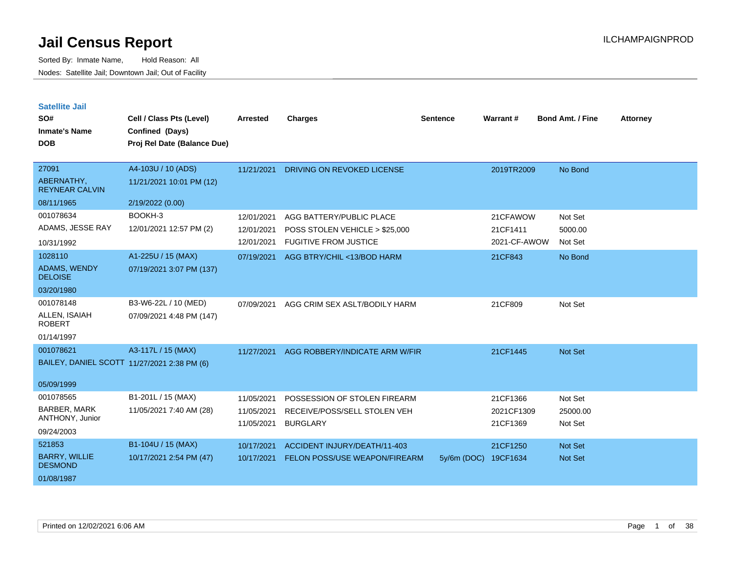Sorted By: Inmate Name, Hold Reason: All Nodes: Satellite Jail; Downtown Jail; Out of Facility

**Satellite Jail**

| SO#<br><b>Inmate's Name</b><br><b>DOB</b>                              | Cell / Class Pts (Level)<br><b>Confined (Days)</b><br>Proj Rel Date (Balance Due) | <b>Arrested</b>                        | <b>Charges</b>                                                                             | <b>Sentence</b> | Warrant#                             | <b>Bond Amt. / Fine</b>          | <b>Attorney</b> |
|------------------------------------------------------------------------|-----------------------------------------------------------------------------------|----------------------------------------|--------------------------------------------------------------------------------------------|-----------------|--------------------------------------|----------------------------------|-----------------|
| 27091<br>ABERNATHY,<br><b>REYNEAR CALVIN</b><br>08/11/1965             | A4-103U / 10 (ADS)<br>11/21/2021 10:01 PM (12)<br>2/19/2022 (0.00)                | 11/21/2021                             | DRIVING ON REVOKED LICENSE                                                                 |                 | 2019TR2009                           | No Bond                          |                 |
| 001078634<br>ADAMS, JESSE RAY<br>10/31/1992                            | BOOKH-3<br>12/01/2021 12:57 PM (2)                                                | 12/01/2021<br>12/01/2021<br>12/01/2021 | AGG BATTERY/PUBLIC PLACE<br>POSS STOLEN VEHICLE > \$25,000<br><b>FUGITIVE FROM JUSTICE</b> |                 | 21CFAWOW<br>21CF1411<br>2021-CF-AWOW | Not Set<br>5000.00<br>Not Set    |                 |
| 1028110<br>ADAMS, WENDY<br><b>DELOISE</b><br>03/20/1980                | A1-225U / 15 (MAX)<br>07/19/2021 3:07 PM (137)                                    | 07/19/2021                             | AGG BTRY/CHIL <13/BOD HARM                                                                 |                 | 21CF843                              | No Bond                          |                 |
| 001078148<br>ALLEN, ISAIAH<br><b>ROBERT</b><br>01/14/1997              | B3-W6-22L / 10 (MED)<br>07/09/2021 4:48 PM (147)                                  | 07/09/2021                             | AGG CRIM SEX ASLT/BODILY HARM                                                              |                 | 21CF809                              | Not Set                          |                 |
| 001078621<br>BAILEY, DANIEL SCOTT 11/27/2021 2:38 PM (6)<br>05/09/1999 | A3-117L / 15 (MAX)                                                                | 11/27/2021                             | AGG ROBBERY/INDICATE ARM W/FIR                                                             |                 | 21CF1445                             | Not Set                          |                 |
| 001078565<br><b>BARBER, MARK</b><br>ANTHONY, Junior<br>09/24/2003      | B1-201L / 15 (MAX)<br>11/05/2021 7:40 AM (28)                                     | 11/05/2021<br>11/05/2021<br>11/05/2021 | POSSESSION OF STOLEN FIREARM<br>RECEIVE/POSS/SELL STOLEN VEH<br><b>BURGLARY</b>            |                 | 21CF1366<br>2021CF1309<br>21CF1369   | Not Set<br>25000.00<br>Not Set   |                 |
| 521853<br><b>BARRY, WILLIE</b><br><b>DESMOND</b><br>01/08/1987         | B1-104U / 15 (MAX)<br>10/17/2021 2:54 PM (47)                                     | 10/17/2021<br>10/17/2021               | ACCIDENT INJURY/DEATH/11-403<br>FELON POSS/USE WEAPON/FIREARM                              | $5y/6m$ (DOC)   | 21CF1250<br>19CF1634                 | <b>Not Set</b><br><b>Not Set</b> |                 |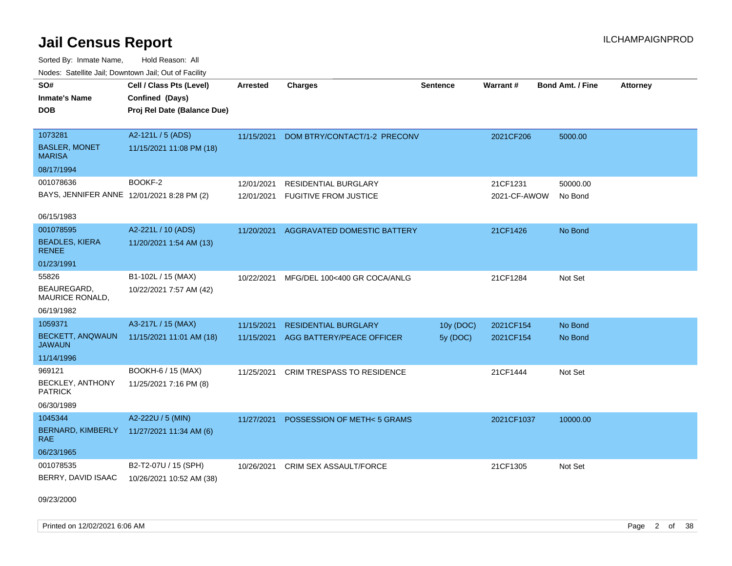Sorted By: Inmate Name, Hold Reason: All Nodes: Satellite Jail; Downtown Jail; Out of Facility

| voues. Salemie Jan, Downtown Jan, Out of Facility |                             |                 |                                    |                 |              |                         |                 |
|---------------------------------------------------|-----------------------------|-----------------|------------------------------------|-----------------|--------------|-------------------------|-----------------|
| SO#                                               | Cell / Class Pts (Level)    | <b>Arrested</b> | <b>Charges</b>                     | <b>Sentence</b> | Warrant#     | <b>Bond Amt. / Fine</b> | <b>Attorney</b> |
| <b>Inmate's Name</b>                              | Confined (Days)             |                 |                                    |                 |              |                         |                 |
| DOB                                               | Proj Rel Date (Balance Due) |                 |                                    |                 |              |                         |                 |
|                                                   |                             |                 |                                    |                 |              |                         |                 |
| 1073281                                           | A2-121L / 5 (ADS)           | 11/15/2021      | DOM BTRY/CONTACT/1-2 PRECONV       |                 | 2021CF206    | 5000.00                 |                 |
| <b>BASLER, MONET</b><br><b>MARISA</b>             | 11/15/2021 11:08 PM (18)    |                 |                                    |                 |              |                         |                 |
| 08/17/1994                                        |                             |                 |                                    |                 |              |                         |                 |
| 001078636                                         | BOOKF-2                     | 12/01/2021      | <b>RESIDENTIAL BURGLARY</b>        |                 | 21CF1231     | 50000.00                |                 |
| BAYS, JENNIFER ANNE 12/01/2021 8:28 PM (2)        |                             | 12/01/2021      | <b>FUGITIVE FROM JUSTICE</b>       |                 | 2021-CF-AWOW | No Bond                 |                 |
|                                                   |                             |                 |                                    |                 |              |                         |                 |
| 06/15/1983                                        |                             |                 |                                    |                 |              |                         |                 |
| 001078595                                         | A2-221L / 10 (ADS)          | 11/20/2021      | <b>AGGRAVATED DOMESTIC BATTERY</b> |                 | 21CF1426     | No Bond                 |                 |
| <b>BEADLES, KIERA</b><br><b>RENEE</b>             | 11/20/2021 1:54 AM (13)     |                 |                                    |                 |              |                         |                 |
| 01/23/1991                                        |                             |                 |                                    |                 |              |                         |                 |
| 55826                                             | B1-102L / 15 (MAX)          | 10/22/2021      | MFG/DEL 100<400 GR COCA/ANLG       |                 | 21CF1284     | Not Set                 |                 |
| BEAUREGARD.<br><b>MAURICE RONALD,</b>             | 10/22/2021 7:57 AM (42)     |                 |                                    |                 |              |                         |                 |
| 06/19/1982                                        |                             |                 |                                    |                 |              |                         |                 |
| 1059371                                           | A3-217L / 15 (MAX)          | 11/15/2021      | <b>RESIDENTIAL BURGLARY</b>        | 10y (DOC)       | 2021CF154    | No Bond                 |                 |
| <b>BECKETT, ANQWAUN</b><br><b>JAWAUN</b>          | 11/15/2021 11:01 AM (18)    | 11/15/2021      | AGG BATTERY/PEACE OFFICER          | 5y (DOC)        | 2021CF154    | No Bond                 |                 |
| 11/14/1996                                        |                             |                 |                                    |                 |              |                         |                 |
| 969121                                            | BOOKH-6 / 15 (MAX)          | 11/25/2021      | <b>CRIM TRESPASS TO RESIDENCE</b>  |                 | 21CF1444     | Not Set                 |                 |
| BECKLEY, ANTHONY<br>PATRICK                       | 11/25/2021 7:16 PM (8)      |                 |                                    |                 |              |                         |                 |
| 06/30/1989                                        |                             |                 |                                    |                 |              |                         |                 |
| 1045344                                           | A2-222U / 5 (MIN)           | 11/27/2021      | POSSESSION OF METH<5 GRAMS         |                 | 2021CF1037   | 10000.00                |                 |
| BERNARD, KIMBERLY<br><b>RAE</b>                   | 11/27/2021 11:34 AM (6)     |                 |                                    |                 |              |                         |                 |
| 06/23/1965                                        |                             |                 |                                    |                 |              |                         |                 |
| 001078535                                         | B2-T2-07U / 15 (SPH)        | 10/26/2021      | CRIM SEX ASSAULT/FORCE             |                 | 21CF1305     | Not Set                 |                 |
| BERRY, DAVID ISAAC                                | 10/26/2021 10:52 AM (38)    |                 |                                    |                 |              |                         |                 |

09/23/2000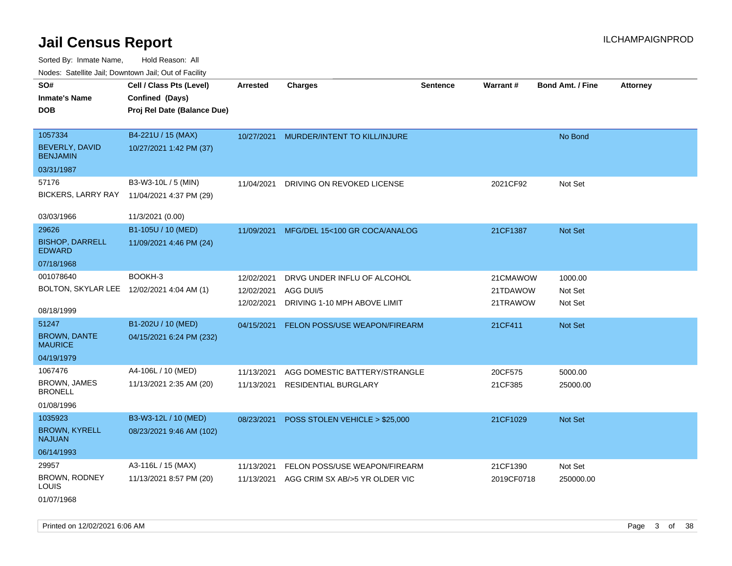Sorted By: Inmate Name, Hold Reason: All Nodes: Satellite Jail; Downtown Jail; Out of Facility

| SO#                                       | Cell / Class Pts (Level)    | <b>Arrested</b> | <b>Charges</b>                 | <b>Sentence</b> | <b>Warrant#</b> | <b>Bond Amt. / Fine</b> | <b>Attorney</b> |
|-------------------------------------------|-----------------------------|-----------------|--------------------------------|-----------------|-----------------|-------------------------|-----------------|
| <b>Inmate's Name</b>                      | Confined (Days)             |                 |                                |                 |                 |                         |                 |
| <b>DOB</b>                                | Proj Rel Date (Balance Due) |                 |                                |                 |                 |                         |                 |
|                                           |                             |                 |                                |                 |                 |                         |                 |
| 1057334                                   | B4-221U / 15 (MAX)          | 10/27/2021      | MURDER/INTENT TO KILL/INJURE   |                 |                 | No Bond                 |                 |
| BEVERLY, DAVID<br><b>BENJAMIN</b>         | 10/27/2021 1:42 PM (37)     |                 |                                |                 |                 |                         |                 |
| 03/31/1987                                |                             |                 |                                |                 |                 |                         |                 |
| 57176                                     | B3-W3-10L / 5 (MIN)         | 11/04/2021      | DRIVING ON REVOKED LICENSE     |                 | 2021CF92        | Not Set                 |                 |
| <b>BICKERS, LARRY RAY</b>                 | 11/04/2021 4:37 PM (29)     |                 |                                |                 |                 |                         |                 |
|                                           |                             |                 |                                |                 |                 |                         |                 |
| 03/03/1966                                | 11/3/2021 (0.00)            |                 |                                |                 |                 |                         |                 |
| 29626                                     | B1-105U / 10 (MED)          | 11/09/2021      | MFG/DEL 15<100 GR COCA/ANALOG  |                 | 21CF1387        | Not Set                 |                 |
| <b>BISHOP, DARRELL</b><br><b>EDWARD</b>   | 11/09/2021 4:46 PM (24)     |                 |                                |                 |                 |                         |                 |
| 07/18/1968                                |                             |                 |                                |                 |                 |                         |                 |
| 001078640                                 | BOOKH-3                     | 12/02/2021      | DRVG UNDER INFLU OF ALCOHOL    |                 | 21CMAWOW        | 1000.00                 |                 |
| BOLTON, SKYLAR LEE 12/02/2021 4:04 AM (1) |                             | 12/02/2021      | AGG DUI/5                      |                 | 21TDAWOW        | Not Set                 |                 |
|                                           |                             | 12/02/2021      | DRIVING 1-10 MPH ABOVE LIMIT   |                 | 21TRAWOW        | Not Set                 |                 |
| 08/18/1999                                |                             |                 |                                |                 |                 |                         |                 |
| 51247                                     | B1-202U / 10 (MED)          | 04/15/2021      | FELON POSS/USE WEAPON/FIREARM  |                 | 21CF411         | <b>Not Set</b>          |                 |
| <b>BROWN, DANTE</b><br><b>MAURICE</b>     | 04/15/2021 6:24 PM (232)    |                 |                                |                 |                 |                         |                 |
| 04/19/1979                                |                             |                 |                                |                 |                 |                         |                 |
| 1067476                                   | A4-106L / 10 (MED)          | 11/13/2021      | AGG DOMESTIC BATTERY/STRANGLE  |                 | 20CF575         | 5000.00                 |                 |
| BROWN, JAMES<br><b>BRONELL</b>            | 11/13/2021 2:35 AM (20)     | 11/13/2021      | <b>RESIDENTIAL BURGLARY</b>    |                 | 21CF385         | 25000.00                |                 |
| 01/08/1996                                |                             |                 |                                |                 |                 |                         |                 |
| 1035923                                   | B3-W3-12L / 10 (MED)        | 08/23/2021      | POSS STOLEN VEHICLE > \$25,000 |                 | 21CF1029        | Not Set                 |                 |
| <b>BROWN, KYRELL</b><br><b>NAJUAN</b>     | 08/23/2021 9:46 AM (102)    |                 |                                |                 |                 |                         |                 |
| 06/14/1993                                |                             |                 |                                |                 |                 |                         |                 |
| 29957                                     | A3-116L / 15 (MAX)          | 11/13/2021      | FELON POSS/USE WEAPON/FIREARM  |                 | 21CF1390        | Not Set                 |                 |
| BROWN, RODNEY<br>LOUIS                    | 11/13/2021 8:57 PM (20)     | 11/13/2021      | AGG CRIM SX AB/>5 YR OLDER VIC |                 | 2019CF0718      | 250000.00               |                 |

01/07/1968

Printed on 12/02/2021 6:06 AM **Page 3 of 38**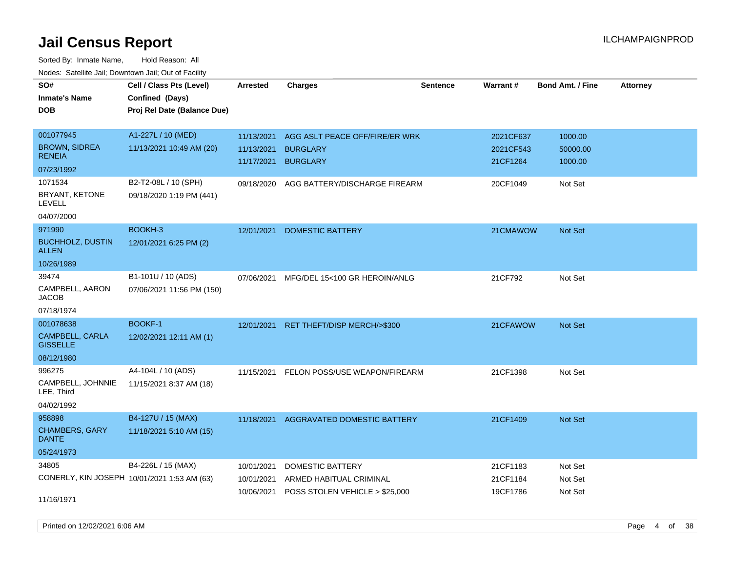Sorted By: Inmate Name, Hold Reason: All Nodes: Satellite Jail; Downtown Jail; Out of Facility

| SO#<br><b>Inmate's Name</b><br><b>DOB</b>   | Cell / Class Pts (Level)<br>Confined (Days)<br>Proj Rel Date (Balance Due) | <b>Arrested</b>          | <b>Charges</b>                     | <b>Sentence</b> | Warrant#              | <b>Bond Amt. / Fine</b> | <b>Attorney</b> |
|---------------------------------------------|----------------------------------------------------------------------------|--------------------------|------------------------------------|-----------------|-----------------------|-------------------------|-----------------|
| 001077945                                   | A1-227L / 10 (MED)                                                         | 11/13/2021               | AGG ASLT PEACE OFF/FIRE/ER WRK     |                 | 2021CF637             | 1000.00                 |                 |
| <b>BROWN, SIDREA</b><br><b>RENEIA</b>       | 11/13/2021 10:49 AM (20)                                                   | 11/13/2021<br>11/17/2021 | <b>BURGLARY</b><br><b>BURGLARY</b> |                 | 2021CF543<br>21CF1264 | 50000.00<br>1000.00     |                 |
| 07/23/1992                                  |                                                                            |                          |                                    |                 |                       |                         |                 |
| 1071534                                     | B2-T2-08L / 10 (SPH)                                                       | 09/18/2020               | AGG BATTERY/DISCHARGE FIREARM      |                 | 20CF1049              | Not Set                 |                 |
| BRYANT, KETONE<br><b>LEVELL</b>             | 09/18/2020 1:19 PM (441)                                                   |                          |                                    |                 |                       |                         |                 |
| 04/07/2000                                  |                                                                            |                          |                                    |                 |                       |                         |                 |
| 971990                                      | BOOKH-3                                                                    | 12/01/2021               | <b>DOMESTIC BATTERY</b>            |                 | 21CMAWOW              | <b>Not Set</b>          |                 |
| <b>BUCHHOLZ, DUSTIN</b><br>ALLEN            | 12/01/2021 6:25 PM (2)                                                     |                          |                                    |                 |                       |                         |                 |
| 10/26/1989                                  |                                                                            |                          |                                    |                 |                       |                         |                 |
| 39474                                       | B1-101U / 10 (ADS)                                                         | 07/06/2021               | MFG/DEL 15<100 GR HEROIN/ANLG      |                 | 21CF792               | Not Set                 |                 |
| CAMPBELL, AARON<br><b>JACOB</b>             | 07/06/2021 11:56 PM (150)                                                  |                          |                                    |                 |                       |                         |                 |
| 07/18/1974                                  |                                                                            |                          |                                    |                 |                       |                         |                 |
| 001078638                                   | <b>BOOKF-1</b>                                                             | 12/01/2021               | RET THEFT/DISP MERCH/>\$300        |                 | 21CFAWOW              | <b>Not Set</b>          |                 |
| CAMPBELL, CARLA<br><b>GISSELLE</b>          | 12/02/2021 12:11 AM (1)                                                    |                          |                                    |                 |                       |                         |                 |
| 08/12/1980                                  |                                                                            |                          |                                    |                 |                       |                         |                 |
| 996275                                      | A4-104L / 10 (ADS)                                                         | 11/15/2021               | FELON POSS/USE WEAPON/FIREARM      |                 | 21CF1398              | Not Set                 |                 |
| CAMPBELL, JOHNNIE<br>LEE, Third             | 11/15/2021 8:37 AM (18)                                                    |                          |                                    |                 |                       |                         |                 |
| 04/02/1992                                  |                                                                            |                          |                                    |                 |                       |                         |                 |
| 958898                                      | B4-127U / 15 (MAX)                                                         | 11/18/2021               | AGGRAVATED DOMESTIC BATTERY        |                 | 21CF1409              | <b>Not Set</b>          |                 |
| CHAMBERS, GARY<br><b>DANTE</b>              | 11/18/2021 5:10 AM (15)                                                    |                          |                                    |                 |                       |                         |                 |
| 05/24/1973                                  |                                                                            |                          |                                    |                 |                       |                         |                 |
| 34805                                       | B4-226L / 15 (MAX)                                                         | 10/01/2021               | <b>DOMESTIC BATTERY</b>            |                 | 21CF1183              | Not Set                 |                 |
| CONERLY, KIN JOSEPH 10/01/2021 1:53 AM (63) |                                                                            | 10/01/2021               | ARMED HABITUAL CRIMINAL            |                 | 21CF1184              | Not Set                 |                 |
| 11/16/1971                                  |                                                                            | 10/06/2021               | POSS STOLEN VEHICLE > \$25,000     |                 | 19CF1786              | Not Set                 |                 |

Printed on 12/02/2021 6:06 AM **Page 4 of 38**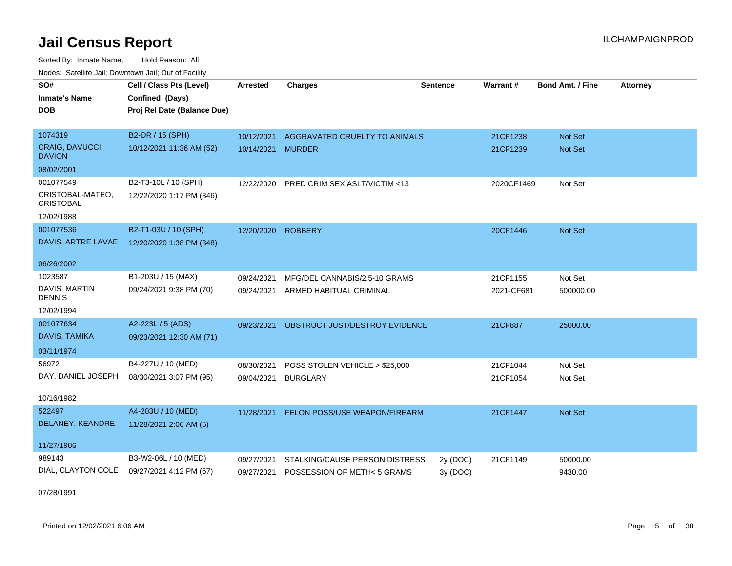Sorted By: Inmate Name, Hold Reason: All Nodes: Satellite Jail; Downtown Jail; Out of Facility

| SO#<br><b>Inmate's Name</b><br><b>DOB</b>          | Cell / Class Pts (Level)<br>Confined (Days)<br>Proj Rel Date (Balance Due) | <b>Arrested</b> | <b>Charges</b>                 | <b>Sentence</b> | Warrant#   | <b>Bond Amt. / Fine</b> | <b>Attorney</b> |
|----------------------------------------------------|----------------------------------------------------------------------------|-----------------|--------------------------------|-----------------|------------|-------------------------|-----------------|
| 1074319                                            | B2-DR / 15 (SPH)                                                           | 10/12/2021      | AGGRAVATED CRUELTY TO ANIMALS  |                 | 21CF1238   | Not Set                 |                 |
| <b>CRAIG, DAVUCCI</b><br><b>DAVION</b>             | 10/12/2021 11:36 AM (52)                                                   | 10/14/2021      | <b>MURDER</b>                  |                 | 21CF1239   | <b>Not Set</b>          |                 |
| 08/02/2001                                         |                                                                            |                 |                                |                 |            |                         |                 |
| 001077549                                          | B2-T3-10L / 10 (SPH)                                                       | 12/22/2020      | PRED CRIM SEX ASLT/VICTIM <13  |                 | 2020CF1469 | Not Set                 |                 |
| CRISTOBAL-MATEO,<br><b>CRISTOBAL</b><br>12/02/1988 | 12/22/2020 1:17 PM (346)                                                   |                 |                                |                 |            |                         |                 |
| 001077536                                          | B2-T1-03U / 10 (SPH)                                                       | 12/20/2020      | <b>ROBBERY</b>                 |                 | 20CF1446   | Not Set                 |                 |
| DAVIS, ARTRE LAVAE                                 | 12/20/2020 1:38 PM (348)                                                   |                 |                                |                 |            |                         |                 |
| 06/26/2002                                         |                                                                            |                 |                                |                 |            |                         |                 |
| 1023587                                            | B1-203U / 15 (MAX)                                                         | 09/24/2021      | MFG/DEL CANNABIS/2.5-10 GRAMS  |                 | 21CF1155   | Not Set                 |                 |
| DAVIS, MARTIN<br><b>DENNIS</b>                     | 09/24/2021 9:38 PM (70)                                                    | 09/24/2021      | ARMED HABITUAL CRIMINAL        |                 | 2021-CF681 | 500000.00               |                 |
| 12/02/1994                                         |                                                                            |                 |                                |                 |            |                         |                 |
| 001077634                                          | A2-223L / 5 (ADS)                                                          | 09/23/2021      | OBSTRUCT JUST/DESTROY EVIDENCE |                 | 21CF887    | 25000.00                |                 |
| DAVIS, TAMIKA                                      | 09/23/2021 12:30 AM (71)                                                   |                 |                                |                 |            |                         |                 |
| 03/11/1974                                         |                                                                            |                 |                                |                 |            |                         |                 |
| 56972                                              | B4-227U / 10 (MED)                                                         | 08/30/2021      | POSS STOLEN VEHICLE > \$25,000 |                 | 21CF1044   | Not Set                 |                 |
| DAY, DANIEL JOSEPH                                 | 08/30/2021 3:07 PM (95)                                                    | 09/04/2021      | <b>BURGLARY</b>                |                 | 21CF1054   | Not Set                 |                 |
| 10/16/1982                                         |                                                                            |                 |                                |                 |            |                         |                 |
| 522497                                             | A4-203U / 10 (MED)                                                         | 11/28/2021      | FELON POSS/USE WEAPON/FIREARM  |                 | 21CF1447   | Not Set                 |                 |
| DELANEY, KEANDRE                                   | 11/28/2021 2:06 AM (5)                                                     |                 |                                |                 |            |                         |                 |
| 11/27/1986                                         |                                                                            |                 |                                |                 |            |                         |                 |
| 989143                                             | B3-W2-06L / 10 (MED)                                                       | 09/27/2021      | STALKING/CAUSE PERSON DISTRESS | 2y (DOC)        | 21CF1149   | 50000.00                |                 |
| DIAL, CLAYTON COLE                                 | 09/27/2021 4:12 PM (67)                                                    | 09/27/2021      | POSSESSION OF METH< 5 GRAMS    | 3y (DOC)        |            | 9430.00                 |                 |

07/28/1991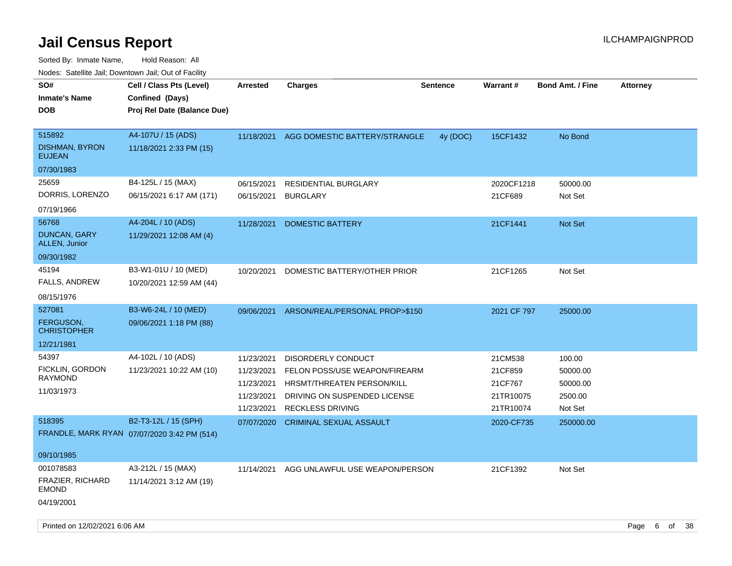| SO#<br><b>Inmate's Name</b>                                               | Cell / Class Pts (Level)<br>Confined (Days)                         | <b>Arrested</b>                                                    | <b>Charges</b>                                                                                                                                      | <b>Sentence</b> | Warrant#                                                | <b>Bond Amt. / Fine</b>                              | <b>Attorney</b> |
|---------------------------------------------------------------------------|---------------------------------------------------------------------|--------------------------------------------------------------------|-----------------------------------------------------------------------------------------------------------------------------------------------------|-----------------|---------------------------------------------------------|------------------------------------------------------|-----------------|
| DOB                                                                       | Proj Rel Date (Balance Due)                                         |                                                                    |                                                                                                                                                     |                 |                                                         |                                                      |                 |
| 515892<br><b>DISHMAN, BYRON</b><br><b>EUJEAN</b>                          | A4-107U / 15 (ADS)<br>11/18/2021 2:33 PM (15)                       | 11/18/2021                                                         | AGG DOMESTIC BATTERY/STRANGLE                                                                                                                       | 4y (DOC)        | 15CF1432                                                | No Bond                                              |                 |
| 07/30/1983                                                                |                                                                     |                                                                    |                                                                                                                                                     |                 |                                                         |                                                      |                 |
| 25659<br>DORRIS, LORENZO<br>07/19/1966                                    | B4-125L / 15 (MAX)<br>06/15/2021 6:17 AM (171)                      | 06/15/2021<br>06/15/2021                                           | <b>RESIDENTIAL BURGLARY</b><br><b>BURGLARY</b>                                                                                                      |                 | 2020CF1218<br>21CF689                                   | 50000.00<br>Not Set                                  |                 |
| 56768<br><b>DUNCAN, GARY</b><br>ALLEN, Junior<br>09/30/1982               | A4-204L / 10 (ADS)<br>11/29/2021 12:08 AM (4)                       | 11/28/2021                                                         | <b>DOMESTIC BATTERY</b>                                                                                                                             |                 | 21CF1441                                                | Not Set                                              |                 |
| 45194<br>FALLS, ANDREW<br>08/15/1976                                      | B3-W1-01U / 10 (MED)<br>10/20/2021 12:59 AM (44)                    | 10/20/2021                                                         | DOMESTIC BATTERY/OTHER PRIOR                                                                                                                        |                 | 21CF1265                                                | Not Set                                              |                 |
| 527081<br>FERGUSON,<br><b>CHRISTOPHER</b><br>12/21/1981                   | B3-W6-24L / 10 (MED)<br>09/06/2021 1:18 PM (88)                     | 09/06/2021                                                         | ARSON/REAL/PERSONAL PROP>\$150                                                                                                                      |                 | 2021 CF 797                                             | 25000.00                                             |                 |
| 54397<br>FICKLIN, GORDON<br><b>RAYMOND</b><br>11/03/1973                  | A4-102L / 10 (ADS)<br>11/23/2021 10:22 AM (10)                      | 11/23/2021<br>11/23/2021<br>11/23/2021<br>11/23/2021<br>11/23/2021 | <b>DISORDERLY CONDUCT</b><br>FELON POSS/USE WEAPON/FIREARM<br>HRSMT/THREATEN PERSON/KILL<br>DRIVING ON SUSPENDED LICENSE<br><b>RECKLESS DRIVING</b> |                 | 21CM538<br>21CF859<br>21CF767<br>21TR10075<br>21TR10074 | 100.00<br>50000.00<br>50000.00<br>2500.00<br>Not Set |                 |
| 518395                                                                    | B2-T3-12L / 15 (SPH)<br>FRANDLE, MARK RYAN 07/07/2020 3:42 PM (514) | 07/07/2020                                                         | <b>CRIMINAL SEXUAL ASSAULT</b>                                                                                                                      |                 | 2020-CF735                                              | 250000.00                                            |                 |
| 09/10/1985<br>001078583<br>FRAZIER, RICHARD<br><b>EMOND</b><br>04/19/2001 | A3-212L / 15 (MAX)<br>11/14/2021 3:12 AM (19)                       | 11/14/2021                                                         | AGG UNLAWFUL USE WEAPON/PERSON                                                                                                                      |                 | 21CF1392                                                | Not Set                                              |                 |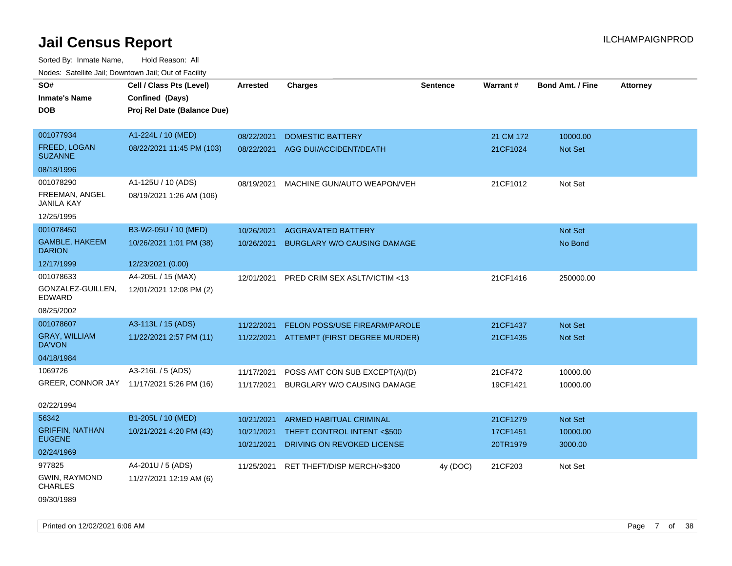| vodos. Odtomto dan, Downtown dan, Out or Fabilit |                                           |                 |                                          |                 |           |                         |                 |
|--------------------------------------------------|-------------------------------------------|-----------------|------------------------------------------|-----------------|-----------|-------------------------|-----------------|
| SO#                                              | Cell / Class Pts (Level)                  | <b>Arrested</b> | <b>Charges</b>                           | <b>Sentence</b> | Warrant#  | <b>Bond Amt. / Fine</b> | <b>Attorney</b> |
| Inmate's Name                                    | Confined (Days)                           |                 |                                          |                 |           |                         |                 |
| DOB                                              | Proj Rel Date (Balance Due)               |                 |                                          |                 |           |                         |                 |
|                                                  |                                           |                 |                                          |                 |           |                         |                 |
| 001077934                                        | A1-224L / 10 (MED)                        | 08/22/2021      | <b>DOMESTIC BATTERY</b>                  |                 | 21 CM 172 | 10000.00                |                 |
| FREED, LOGAN<br><b>SUZANNE</b>                   | 08/22/2021 11:45 PM (103)                 | 08/22/2021      | AGG DUI/ACCIDENT/DEATH                   |                 | 21CF1024  | <b>Not Set</b>          |                 |
| 08/18/1996                                       |                                           |                 |                                          |                 |           |                         |                 |
| 001078290                                        | A1-125U / 10 (ADS)                        | 08/19/2021      | MACHINE GUN/AUTO WEAPON/VEH              |                 | 21CF1012  | Not Set                 |                 |
| FREEMAN, ANGEL<br>JANILA KAY                     | 08/19/2021 1:26 AM (106)                  |                 |                                          |                 |           |                         |                 |
| 12/25/1995                                       |                                           |                 |                                          |                 |           |                         |                 |
| 001078450                                        | B3-W2-05U / 10 (MED)                      | 10/26/2021      | <b>AGGRAVATED BATTERY</b>                |                 |           | Not Set                 |                 |
| <b>GAMBLE, HAKEEM</b><br><b>DARION</b>           | 10/26/2021 1:01 PM (38)                   | 10/26/2021      | <b>BURGLARY W/O CAUSING DAMAGE</b>       |                 |           | No Bond                 |                 |
| 12/17/1999                                       | 12/23/2021 (0.00)                         |                 |                                          |                 |           |                         |                 |
| 001078633                                        | A4-205L / 15 (MAX)                        | 12/01/2021      | PRED CRIM SEX ASLT/VICTIM <13            |                 | 21CF1416  | 250000.00               |                 |
| GONZALEZ-GUILLEN,<br>EDWARD                      | 12/01/2021 12:08 PM (2)                   |                 |                                          |                 |           |                         |                 |
| 08/25/2002                                       |                                           |                 |                                          |                 |           |                         |                 |
| 001078607                                        | A3-113L / 15 (ADS)                        | 11/22/2021      | FELON POSS/USE FIREARM/PAROLE            |                 | 21CF1437  | <b>Not Set</b>          |                 |
| <b>GRAY, WILLIAM</b><br>DA'VON                   | 11/22/2021 2:57 PM (11)                   |                 | 11/22/2021 ATTEMPT (FIRST DEGREE MURDER) |                 | 21CF1435  | <b>Not Set</b>          |                 |
| 04/18/1984                                       |                                           |                 |                                          |                 |           |                         |                 |
| 1069726                                          | A3-216L / 5 (ADS)                         | 11/17/2021      | POSS AMT CON SUB EXCEPT(A)/(D)           |                 | 21CF472   | 10000.00                |                 |
|                                                  | GREER, CONNOR JAY 11/17/2021 5:26 PM (16) | 11/17/2021      | BURGLARY W/O CAUSING DAMAGE              |                 | 19CF1421  | 10000.00                |                 |
| 02/22/1994                                       |                                           |                 |                                          |                 |           |                         |                 |
| 56342                                            | B1-205L / 10 (MED)                        | 10/21/2021      | <b>ARMED HABITUAL CRIMINAL</b>           |                 | 21CF1279  | Not Set                 |                 |
| <b>GRIFFIN, NATHAN</b>                           | 10/21/2021 4:20 PM (43)                   | 10/21/2021      | THEFT CONTROL INTENT <\$500              |                 | 17CF1451  | 10000.00                |                 |
| <b>EUGENE</b>                                    |                                           | 10/21/2021      | DRIVING ON REVOKED LICENSE               |                 | 20TR1979  | 3000.00                 |                 |
| 02/24/1969                                       |                                           |                 |                                          |                 |           |                         |                 |
| 977825                                           | A4-201U / 5 (ADS)                         | 11/25/2021      | RET THEFT/DISP MERCH/>\$300              | 4y (DOC)        | 21CF203   | Not Set                 |                 |
| <b>GWIN, RAYMOND</b><br><b>CHARLES</b>           | 11/27/2021 12:19 AM (6)                   |                 |                                          |                 |           |                         |                 |
| 09/30/1989                                       |                                           |                 |                                          |                 |           |                         |                 |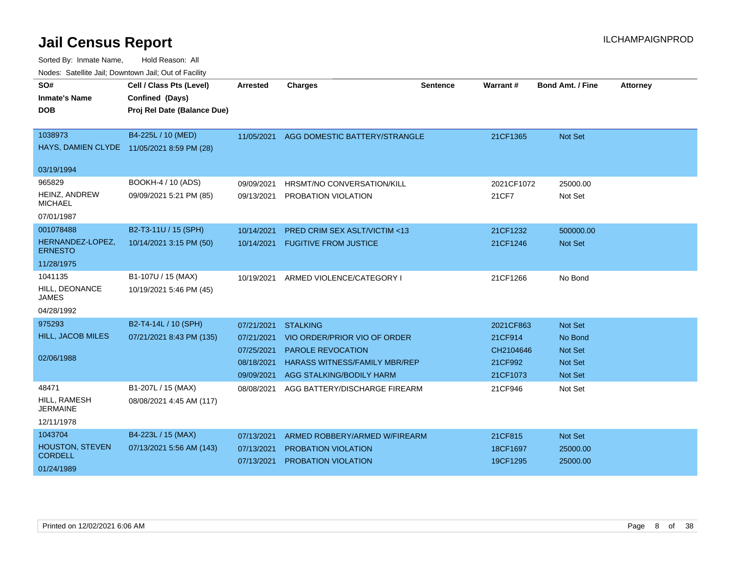| SO#                                | Cell / Class Pts (Level)                   | <b>Arrested</b> | <b>Charges</b>                          | <b>Sentence</b> | Warrant#   | <b>Bond Amt. / Fine</b> | <b>Attorney</b> |
|------------------------------------|--------------------------------------------|-----------------|-----------------------------------------|-----------------|------------|-------------------------|-----------------|
| <b>Inmate's Name</b>               | Confined (Days)                            |                 |                                         |                 |            |                         |                 |
| <b>DOB</b>                         | Proj Rel Date (Balance Due)                |                 |                                         |                 |            |                         |                 |
|                                    |                                            |                 |                                         |                 |            |                         |                 |
| 1038973                            | B4-225L / 10 (MED)                         | 11/05/2021      | AGG DOMESTIC BATTERY/STRANGLE           |                 | 21CF1365   | <b>Not Set</b>          |                 |
|                                    | HAYS, DAMIEN CLYDE 11/05/2021 8:59 PM (28) |                 |                                         |                 |            |                         |                 |
| 03/19/1994                         |                                            |                 |                                         |                 |            |                         |                 |
| 965829                             | BOOKH-4 / 10 (ADS)                         | 09/09/2021      | HRSMT/NO CONVERSATION/KILL              |                 | 2021CF1072 | 25000.00                |                 |
| HEINZ, ANDREW<br><b>MICHAEL</b>    | 09/09/2021 5:21 PM (85)                    | 09/13/2021      | PROBATION VIOLATION                     |                 | 21CF7      | Not Set                 |                 |
| 07/01/1987                         |                                            |                 |                                         |                 |            |                         |                 |
| 001078488                          | B2-T3-11U / 15 (SPH)                       | 10/14/2021      | <b>PRED CRIM SEX ASLT/VICTIM &lt;13</b> |                 | 21CF1232   | 500000.00               |                 |
| HERNANDEZ-LOPEZ,<br><b>ERNESTO</b> | 10/14/2021 3:15 PM (50)                    | 10/14/2021      | <b>FUGITIVE FROM JUSTICE</b>            |                 | 21CF1246   | <b>Not Set</b>          |                 |
| 11/28/1975                         |                                            |                 |                                         |                 |            |                         |                 |
| 1041135                            | B1-107U / 15 (MAX)                         | 10/19/2021      | ARMED VIOLENCE/CATEGORY I               |                 | 21CF1266   | No Bond                 |                 |
| HILL, DEONANCE<br><b>JAMES</b>     | 10/19/2021 5:46 PM (45)                    |                 |                                         |                 |            |                         |                 |
| 04/28/1992                         |                                            |                 |                                         |                 |            |                         |                 |
| 975293                             | B2-T4-14L / 10 (SPH)                       | 07/21/2021      | <b>STALKING</b>                         |                 | 2021CF863  | <b>Not Set</b>          |                 |
| <b>HILL, JACOB MILES</b>           | 07/21/2021 8:43 PM (135)                   | 07/21/2021      | VIO ORDER/PRIOR VIO OF ORDER            |                 | 21CF914    | No Bond                 |                 |
|                                    |                                            | 07/25/2021      | PAROLE REVOCATION                       |                 | CH2104646  | <b>Not Set</b>          |                 |
| 02/06/1988                         |                                            | 08/18/2021      | <b>HARASS WITNESS/FAMILY MBR/REP</b>    |                 | 21CF992    | Not Set                 |                 |
|                                    |                                            | 09/09/2021      | AGG STALKING/BODILY HARM                |                 | 21CF1073   | Not Set                 |                 |
| 48471                              | B1-207L / 15 (MAX)                         | 08/08/2021      | AGG BATTERY/DISCHARGE FIREARM           |                 | 21CF946    | Not Set                 |                 |
| HILL, RAMESH<br><b>JERMAINE</b>    | 08/08/2021 4:45 AM (117)                   |                 |                                         |                 |            |                         |                 |
| 12/11/1978                         |                                            |                 |                                         |                 |            |                         |                 |
| 1043704                            | B4-223L / 15 (MAX)                         | 07/13/2021      | ARMED ROBBERY/ARMED W/FIREARM           |                 | 21CF815    | Not Set                 |                 |
| <b>HOUSTON, STEVEN</b>             | 07/13/2021 5:56 AM (143)                   | 07/13/2021      | <b>PROBATION VIOLATION</b>              |                 | 18CF1697   | 25000.00                |                 |
| <b>CORDELL</b>                     |                                            | 07/13/2021      | PROBATION VIOLATION                     |                 | 19CF1295   | 25000.00                |                 |
| 01/24/1989                         |                                            |                 |                                         |                 |            |                         |                 |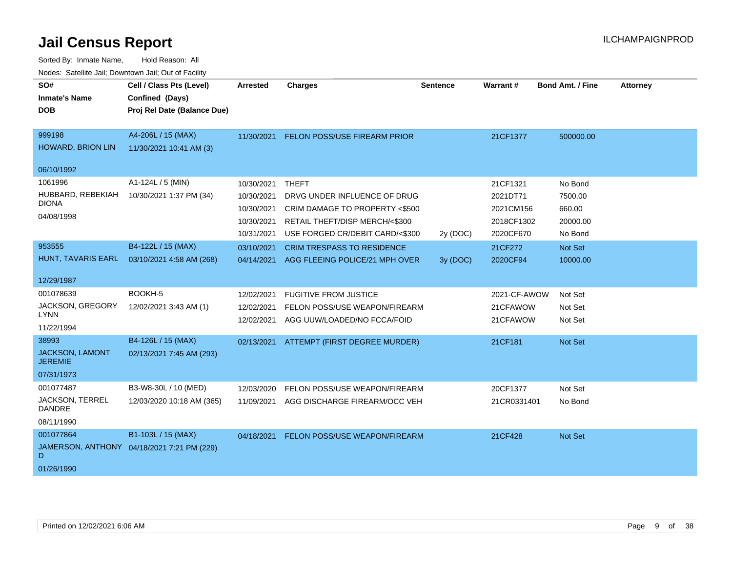| SO#<br><b>Inmate's Name</b><br><b>DOB</b>                                | Cell / Class Pts (Level)<br>Confined (Days)<br>Proj Rel Date (Balance Due) | <b>Arrested</b>                                      | <b>Charges</b>                                                                                                   | Sentence             | Warrant#                                        | <b>Bond Amt. / Fine</b>                  | <b>Attorney</b> |
|--------------------------------------------------------------------------|----------------------------------------------------------------------------|------------------------------------------------------|------------------------------------------------------------------------------------------------------------------|----------------------|-------------------------------------------------|------------------------------------------|-----------------|
| 999198<br>HOWARD, BRION LIN                                              | A4-206L / 15 (MAX)<br>11/30/2021 10:41 AM (3)                              |                                                      | 11/30/2021 FELON POSS/USE FIREARM PRIOR                                                                          |                      | 21CF1377                                        | 500000.00                                |                 |
| 06/10/1992<br>1061996<br>HUBBARD, REBEKIAH<br><b>DIONA</b><br>04/08/1998 | A1-124L / 5 (MIN)<br>10/30/2021 1:37 PM (34)                               | 10/30/2021<br>10/30/2021<br>10/30/2021<br>10/30/2021 | <b>THEFT</b><br>DRVG UNDER INFLUENCE OF DRUG<br>CRIM DAMAGE TO PROPERTY <\$500<br>RETAIL THEFT/DISP MERCH/<\$300 |                      | 21CF1321<br>2021DT71<br>2021CM156<br>2018CF1302 | No Bond<br>7500.00<br>660.00<br>20000.00 |                 |
| 953555<br>HUNT, TAVARIS EARL<br>12/29/1987                               | B4-122L / 15 (MAX)<br>03/10/2021 4:58 AM (268)                             | 10/31/2021<br>03/10/2021<br>04/14/2021               | USE FORGED CR/DEBIT CARD/<\$300<br><b>CRIM TRESPASS TO RESIDENCE</b><br>AGG FLEEING POLICE/21 MPH OVER           | 2y (DOC)<br>3y (DOC) | 2020CF670<br>21CF272<br>2020CF94                | No Bond<br>Not Set<br>10000.00           |                 |
| 001078639<br><b>JACKSON, GREGORY</b><br><b>LYNN</b><br>11/22/1994        | BOOKH-5<br>12/02/2021 3:43 AM (1)                                          | 12/02/2021<br>12/02/2021<br>12/02/2021               | <b>FUGITIVE FROM JUSTICE</b><br>FELON POSS/USE WEAPON/FIREARM<br>AGG UUW/LOADED/NO FCCA/FOID                     |                      | 2021-CF-AWOW<br>21CFAWOW<br>21CFAWOW            | Not Set<br>Not Set<br>Not Set            |                 |
| 38993<br><b>JACKSON, LAMONT</b><br><b>JEREMIE</b><br>07/31/1973          | B4-126L / 15 (MAX)<br>02/13/2021 7:45 AM (293)                             |                                                      | 02/13/2021 ATTEMPT (FIRST DEGREE MURDER)                                                                         |                      | 21CF181                                         | Not Set                                  |                 |
| 001077487<br>JACKSON, TERREL<br><b>DANDRE</b><br>08/11/1990              | B3-W8-30L / 10 (MED)<br>12/03/2020 10:18 AM (365)                          | 12/03/2020<br>11/09/2021                             | FELON POSS/USE WEAPON/FIREARM<br>AGG DISCHARGE FIREARM/OCC VEH                                                   |                      | 20CF1377<br>21CR0331401                         | Not Set<br>No Bond                       |                 |
| 001077864<br>D<br>01/26/1990                                             | B1-103L / 15 (MAX)<br>JAMERSON, ANTHONY 04/18/2021 7:21 PM (229)           | 04/18/2021                                           | <b>FELON POSS/USE WEAPON/FIREARM</b>                                                                             |                      | 21CF428                                         | Not Set                                  |                 |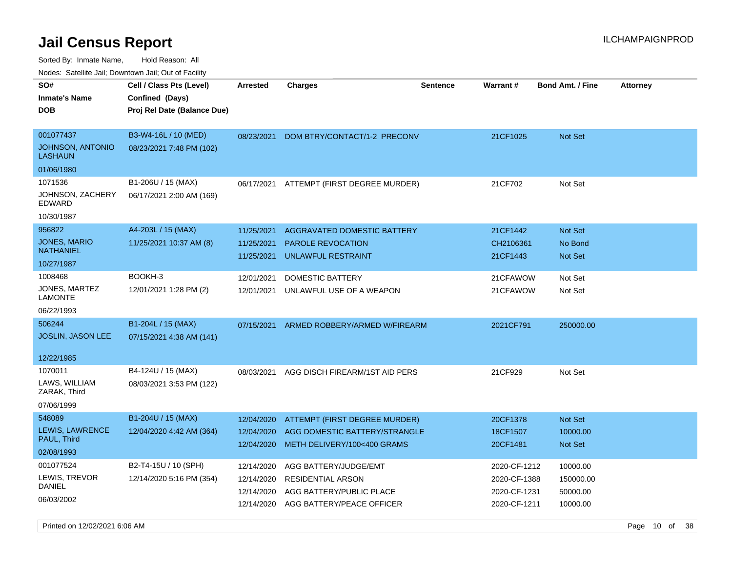Sorted By: Inmate Name, Hold Reason: All Nodes: Satellite Jail; Downtown Jail; Out of Facility

| routs. Saltille Jali, Downlown Jali, Out of Facility |                             |                 |                                |                 |                 |                         |                 |
|------------------------------------------------------|-----------------------------|-----------------|--------------------------------|-----------------|-----------------|-------------------------|-----------------|
| SO#                                                  | Cell / Class Pts (Level)    | <b>Arrested</b> | Charges                        | <b>Sentence</b> | <b>Warrant#</b> | <b>Bond Amt. / Fine</b> | <b>Attorney</b> |
| <b>Inmate's Name</b>                                 | Confined (Days)             |                 |                                |                 |                 |                         |                 |
| <b>DOB</b>                                           | Proj Rel Date (Balance Due) |                 |                                |                 |                 |                         |                 |
|                                                      |                             |                 |                                |                 |                 |                         |                 |
| 001077437                                            | B3-W4-16L / 10 (MED)        | 08/23/2021      | DOM BTRY/CONTACT/1-2 PRECONV   |                 | 21CF1025        | Not Set                 |                 |
| <b>JOHNSON, ANTONIO</b><br>LASHAUN                   | 08/23/2021 7:48 PM (102)    |                 |                                |                 |                 |                         |                 |
| 01/06/1980                                           |                             |                 |                                |                 |                 |                         |                 |
| 1071536                                              | B1-206U / 15 (MAX)          | 06/17/2021      | ATTEMPT (FIRST DEGREE MURDER)  |                 | 21CF702         | Not Set                 |                 |
| JOHNSON, ZACHERY<br>EDWARD                           | 06/17/2021 2:00 AM (169)    |                 |                                |                 |                 |                         |                 |
| 10/30/1987                                           |                             |                 |                                |                 |                 |                         |                 |
| 956822                                               | A4-203L / 15 (MAX)          | 11/25/2021      | AGGRAVATED DOMESTIC BATTERY    |                 | 21CF1442        | <b>Not Set</b>          |                 |
| <b>JONES, MARIO</b>                                  | 11/25/2021 10:37 AM (8)     | 11/25/2021      | <b>PAROLE REVOCATION</b>       |                 | CH2106361       | No Bond                 |                 |
| NATHANIEL                                            |                             | 11/25/2021      | UNLAWFUL RESTRAINT             |                 | 21CF1443        | Not Set                 |                 |
| 10/27/1987                                           |                             |                 |                                |                 |                 |                         |                 |
| 1008468                                              | BOOKH-3                     | 12/01/2021      | <b>DOMESTIC BATTERY</b>        |                 | 21CFAWOW        | Not Set                 |                 |
| JONES, MARTEZ<br>LAMONTE                             | 12/01/2021 1:28 PM (2)      | 12/01/2021      | UNLAWFUL USE OF A WEAPON       |                 | 21CFAWOW        | Not Set                 |                 |
| 06/22/1993                                           |                             |                 |                                |                 |                 |                         |                 |
| 506244                                               | B1-204L / 15 (MAX)          | 07/15/2021      | ARMED ROBBERY/ARMED W/FIREARM  |                 | 2021CF791       | 250000.00               |                 |
| <b>JOSLIN, JASON LEE</b>                             | 07/15/2021 4:38 AM (141)    |                 |                                |                 |                 |                         |                 |
|                                                      |                             |                 |                                |                 |                 |                         |                 |
| 12/22/1985                                           |                             |                 |                                |                 |                 |                         |                 |
| 1070011                                              | B4-124U / 15 (MAX)          | 08/03/2021      | AGG DISCH FIREARM/1ST AID PERS |                 | 21CF929         | Not Set                 |                 |
| LAWS, WILLIAM<br>ZARAK, Third                        | 08/03/2021 3:53 PM (122)    |                 |                                |                 |                 |                         |                 |
| 07/06/1999                                           |                             |                 |                                |                 |                 |                         |                 |
| 548089                                               | B1-204U / 15 (MAX)          | 12/04/2020      | ATTEMPT (FIRST DEGREE MURDER)  |                 | 20CF1378        | Not Set                 |                 |
| LEWIS, LAWRENCE                                      | 12/04/2020 4:42 AM (364)    | 12/04/2020      | AGG DOMESTIC BATTERY/STRANGLE  |                 | 18CF1507        | 10000.00                |                 |
| PAUL, Third                                          |                             | 12/04/2020      | METH DELIVERY/100<400 GRAMS    |                 | 20CF1481        | Not Set                 |                 |
| 02/08/1993                                           |                             |                 |                                |                 |                 |                         |                 |
| 001077524                                            | B2-T4-15U / 10 (SPH)        | 12/14/2020      | AGG BATTERY/JUDGE/EMT          |                 | 2020-CF-1212    | 10000.00                |                 |
| LEWIS, TREVOR<br>DANIEL                              | 12/14/2020 5:16 PM (354)    | 12/14/2020      | <b>RESIDENTIAL ARSON</b>       |                 | 2020-CF-1388    | 150000.00               |                 |
| 06/03/2002                                           |                             | 12/14/2020      | AGG BATTERY/PUBLIC PLACE       |                 | 2020-CF-1231    | 50000.00                |                 |
|                                                      |                             | 12/14/2020      | AGG BATTERY/PEACE OFFICER      |                 | 2020-CF-1211    | 10000.00                |                 |
|                                                      |                             |                 |                                |                 |                 |                         |                 |

Printed on 12/02/2021 6:06 AM **Page 10** of 38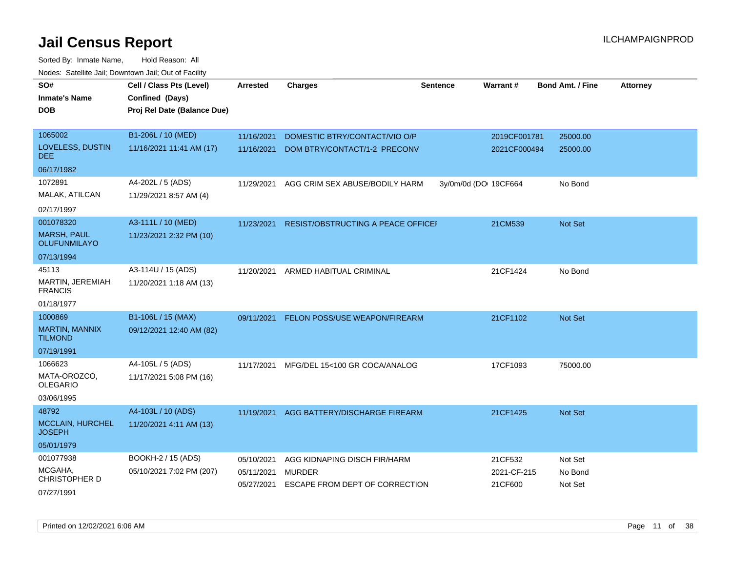| SO#<br><b>Inmate's Name</b>               | Cell / Class Pts (Level)<br>Confined (Days) | <b>Arrested</b>          | <b>Charges</b>                                  | <b>Sentence</b>       | <b>Warrant#</b>        | <b>Bond Amt. / Fine</b> | <b>Attorney</b> |
|-------------------------------------------|---------------------------------------------|--------------------------|-------------------------------------------------|-----------------------|------------------------|-------------------------|-----------------|
| <b>DOB</b>                                | Proj Rel Date (Balance Due)                 |                          |                                                 |                       |                        |                         |                 |
|                                           |                                             |                          |                                                 |                       |                        |                         |                 |
| 1065002                                   | B1-206L / 10 (MED)                          | 11/16/2021               | DOMESTIC BTRY/CONTACT/VIO O/P                   |                       | 2019CF001781           | 25000.00                |                 |
| LOVELESS, DUSTIN<br>DEE.                  | 11/16/2021 11:41 AM (17)                    | 11/16/2021               | DOM BTRY/CONTACT/1-2 PRECONV                    |                       | 2021CF000494           | 25000.00                |                 |
| 06/17/1982                                |                                             |                          |                                                 |                       |                        |                         |                 |
| 1072891                                   | A4-202L / 5 (ADS)                           | 11/29/2021               | AGG CRIM SEX ABUSE/BODILY HARM                  | 3y/0m/0d (DO: 19CF664 |                        | No Bond                 |                 |
| MALAK, ATILCAN                            | 11/29/2021 8:57 AM (4)                      |                          |                                                 |                       |                        |                         |                 |
| 02/17/1997                                |                                             |                          |                                                 |                       |                        |                         |                 |
| 001078320                                 | A3-111L / 10 (MED)                          | 11/23/2021               | RESIST/OBSTRUCTING A PEACE OFFICEI              |                       | 21CM539                | Not Set                 |                 |
| <b>MARSH, PAUL</b><br><b>OLUFUNMILAYO</b> | 11/23/2021 2:32 PM (10)                     |                          |                                                 |                       |                        |                         |                 |
| 07/13/1994                                |                                             |                          |                                                 |                       |                        |                         |                 |
| 45113                                     | A3-114U / 15 (ADS)                          | 11/20/2021               | ARMED HABITUAL CRIMINAL                         |                       | 21CF1424               | No Bond                 |                 |
| MARTIN, JEREMIAH<br><b>FRANCIS</b>        | 11/20/2021 1:18 AM (13)                     |                          |                                                 |                       |                        |                         |                 |
| 01/18/1977                                |                                             |                          |                                                 |                       |                        |                         |                 |
| 1000869                                   | B1-106L / 15 (MAX)                          | 09/11/2021               | FELON POSS/USE WEAPON/FIREARM                   |                       | 21CF1102               | Not Set                 |                 |
| <b>MARTIN, MANNIX</b><br><b>TILMOND</b>   | 09/12/2021 12:40 AM (82)                    |                          |                                                 |                       |                        |                         |                 |
| 07/19/1991                                |                                             |                          |                                                 |                       |                        |                         |                 |
| 1066623                                   | A4-105L / 5 (ADS)                           | 11/17/2021               | MFG/DEL 15<100 GR COCA/ANALOG                   |                       | 17CF1093               | 75000.00                |                 |
| MATA-OROZCO,<br><b>OLEGARIO</b>           | 11/17/2021 5:08 PM (16)                     |                          |                                                 |                       |                        |                         |                 |
| 03/06/1995                                |                                             |                          |                                                 |                       |                        |                         |                 |
| 48792                                     | A4-103L / 10 (ADS)                          | 11/19/2021               | AGG BATTERY/DISCHARGE FIREARM                   |                       | 21CF1425               | Not Set                 |                 |
| MCCLAIN, HURCHEL<br><b>JOSEPH</b>         | 11/20/2021 4:11 AM (13)                     |                          |                                                 |                       |                        |                         |                 |
| 05/01/1979                                |                                             |                          |                                                 |                       |                        |                         |                 |
| 001077938                                 | BOOKH-2 / 15 (ADS)                          | 05/10/2021               | AGG KIDNAPING DISCH FIR/HARM                    |                       | 21CF532                | Not Set                 |                 |
| MCGAHA,<br>CHRISTOPHER D                  | 05/10/2021 7:02 PM (207)                    | 05/11/2021<br>05/27/2021 | <b>MURDER</b><br>ESCAPE FROM DEPT OF CORRECTION |                       | 2021-CF-215<br>21CF600 | No Bond<br>Not Set      |                 |
| 07/27/1991                                |                                             |                          |                                                 |                       |                        |                         |                 |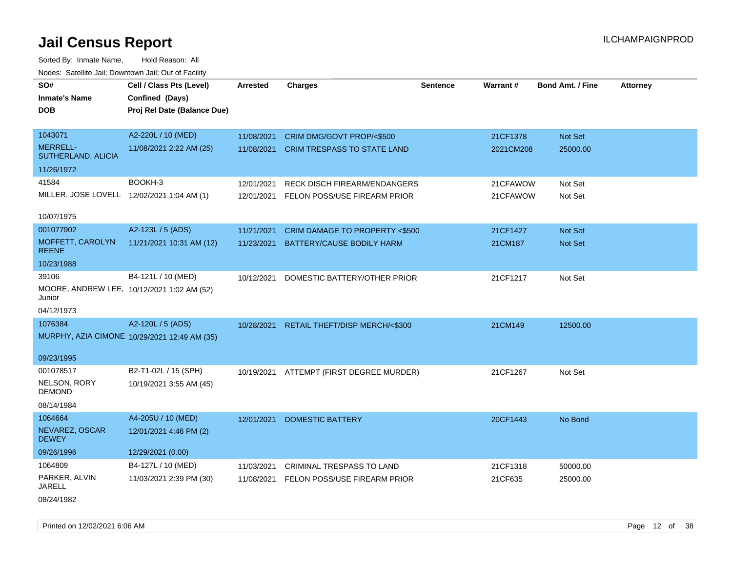Sorted By: Inmate Name, Hold Reason: All Nodes: Satellite Jail; Downtown Jail; Out of Facility

| SO#                                                  | Cell / Class Pts (Level)                     | Arrested   | <b>Charges</b>                           | <b>Sentence</b> | Warrant#  | <b>Bond Amt. / Fine</b> | <b>Attorney</b> |
|------------------------------------------------------|----------------------------------------------|------------|------------------------------------------|-----------------|-----------|-------------------------|-----------------|
| <b>Inmate's Name</b>                                 | Confined (Days)                              |            |                                          |                 |           |                         |                 |
| <b>DOB</b>                                           | Proj Rel Date (Balance Due)                  |            |                                          |                 |           |                         |                 |
|                                                      |                                              |            |                                          |                 |           |                         |                 |
| 1043071                                              | A2-220L / 10 (MED)                           | 11/08/2021 | CRIM DMG/GOVT PROP/<\$500                |                 | 21CF1378  | Not Set                 |                 |
| <b>MERRELL-</b><br>SUTHERLAND, ALICIA                | 11/08/2021 2:22 AM (25)                      | 11/08/2021 | CRIM TRESPASS TO STATE LAND              |                 | 2021CM208 | 25000.00                |                 |
| 11/26/1972                                           |                                              |            |                                          |                 |           |                         |                 |
| 41584                                                | BOOKH-3                                      | 12/01/2021 | <b>RECK DISCH FIREARM/ENDANGERS</b>      |                 | 21CFAWOW  | Not Set                 |                 |
| MILLER, JOSE LOVELL 12/02/2021 1:04 AM (1)           |                                              | 12/01/2021 | FELON POSS/USE FIREARM PRIOR             |                 | 21CFAWOW  | Not Set                 |                 |
|                                                      |                                              |            |                                          |                 |           |                         |                 |
| 10/07/1975                                           |                                              |            |                                          |                 |           |                         |                 |
| 001077902                                            | A2-123L / 5 (ADS)                            | 11/21/2021 | CRIM DAMAGE TO PROPERTY <\$500           |                 | 21CF1427  | Not Set                 |                 |
| MOFFETT, CAROLYN<br><b>REENE</b>                     | 11/21/2021 10:31 AM (12)                     | 11/23/2021 | BATTERY/CAUSE BODILY HARM                |                 | 21CM187   | Not Set                 |                 |
| 10/23/1988                                           |                                              |            |                                          |                 |           |                         |                 |
| 39106                                                | B4-121L / 10 (MED)                           | 10/12/2021 | DOMESTIC BATTERY/OTHER PRIOR             |                 | 21CF1217  | Not Set                 |                 |
| MOORE, ANDREW LEE, 10/12/2021 1:02 AM (52)<br>Junior |                                              |            |                                          |                 |           |                         |                 |
| 04/12/1973                                           |                                              |            |                                          |                 |           |                         |                 |
| 1076384                                              | A2-120L / 5 (ADS)                            | 10/28/2021 | RETAIL THEFT/DISP MERCH/<\$300           |                 | 21CM149   | 12500.00                |                 |
|                                                      | MURPHY, AZIA CIMONE 10/29/2021 12:49 AM (35) |            |                                          |                 |           |                         |                 |
|                                                      |                                              |            |                                          |                 |           |                         |                 |
| 09/23/1995                                           |                                              |            |                                          |                 |           |                         |                 |
| 001078517                                            | B2-T1-02L / 15 (SPH)                         |            | 10/19/2021 ATTEMPT (FIRST DEGREE MURDER) |                 | 21CF1267  | Not Set                 |                 |
| NELSON, RORY<br><b>DEMOND</b>                        | 10/19/2021 3:55 AM (45)                      |            |                                          |                 |           |                         |                 |
| 08/14/1984                                           |                                              |            |                                          |                 |           |                         |                 |
| 1064664                                              | A4-205U / 10 (MED)                           | 12/01/2021 | <b>DOMESTIC BATTERY</b>                  |                 | 20CF1443  | No Bond                 |                 |
| NEVAREZ, OSCAR<br><b>DEWEY</b>                       | 12/01/2021 4:46 PM (2)                       |            |                                          |                 |           |                         |                 |
| 09/26/1996                                           | 12/29/2021 (0.00)                            |            |                                          |                 |           |                         |                 |
| 1064809                                              | B4-127L / 10 (MED)                           | 11/03/2021 | <b>CRIMINAL TRESPASS TO LAND</b>         |                 | 21CF1318  | 50000.00                |                 |
| PARKER, ALVIN<br><b>JARELL</b>                       | 11/03/2021 2:39 PM (30)                      | 11/08/2021 | FELON POSS/USE FIREARM PRIOR             |                 | 21CF635   | 25000.00                |                 |
| 08/24/1982                                           |                                              |            |                                          |                 |           |                         |                 |

Printed on 12/02/2021 6:06 AM **Page 12** of 38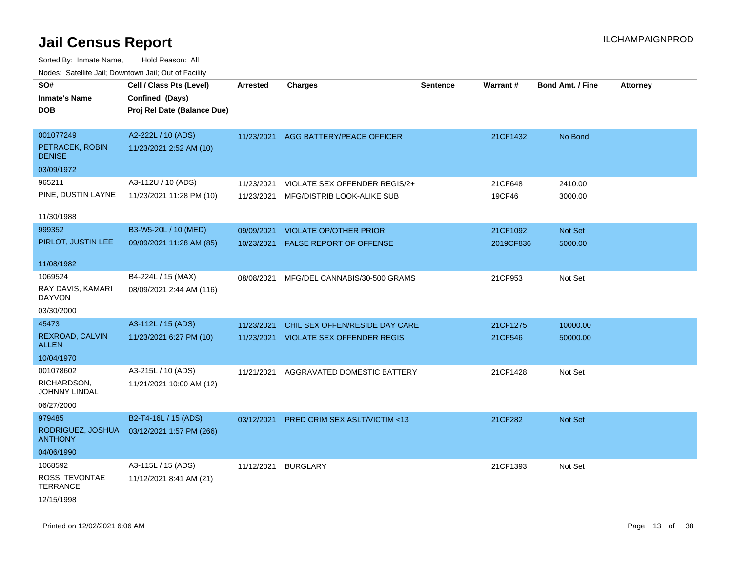| ivouss. Satellite Jall, Downtown Jall, Out of Facility |                             |            |                                         |                 |                 |                         |                 |
|--------------------------------------------------------|-----------------------------|------------|-----------------------------------------|-----------------|-----------------|-------------------------|-----------------|
| SO#                                                    | Cell / Class Pts (Level)    | Arrested   | <b>Charges</b>                          | <b>Sentence</b> | <b>Warrant#</b> | <b>Bond Amt. / Fine</b> | <b>Attorney</b> |
| <b>Inmate's Name</b>                                   | Confined (Days)             |            |                                         |                 |                 |                         |                 |
| <b>DOB</b>                                             | Proj Rel Date (Balance Due) |            |                                         |                 |                 |                         |                 |
|                                                        |                             |            |                                         |                 |                 |                         |                 |
| 001077249                                              | A2-222L / 10 (ADS)          | 11/23/2021 | AGG BATTERY/PEACE OFFICER               |                 | 21CF1432        | No Bond                 |                 |
| PETRACEK, ROBIN<br><b>DENISE</b>                       | 11/23/2021 2:52 AM (10)     |            |                                         |                 |                 |                         |                 |
| 03/09/1972                                             |                             |            |                                         |                 |                 |                         |                 |
| 965211                                                 | A3-112U / 10 (ADS)          | 11/23/2021 | VIOLATE SEX OFFENDER REGIS/2+           |                 | 21CF648         | 2410.00                 |                 |
| PINE, DUSTIN LAYNE                                     | 11/23/2021 11:28 PM (10)    | 11/23/2021 | MFG/DISTRIB LOOK-ALIKE SUB              |                 | 19CF46          | 3000.00                 |                 |
| 11/30/1988                                             |                             |            |                                         |                 |                 |                         |                 |
| 999352                                                 | B3-W5-20L / 10 (MED)        | 09/09/2021 | <b>VIOLATE OP/OTHER PRIOR</b>           |                 | 21CF1092        | Not Set                 |                 |
| PIRLOT, JUSTIN LEE                                     | 09/09/2021 11:28 AM (85)    |            |                                         |                 |                 |                         |                 |
|                                                        |                             | 10/23/2021 | FALSE REPORT OF OFFENSE                 |                 | 2019CF836       | 5000.00                 |                 |
| 11/08/1982                                             |                             |            |                                         |                 |                 |                         |                 |
| 1069524                                                | B4-224L / 15 (MAX)          | 08/08/2021 | MFG/DEL CANNABIS/30-500 GRAMS           |                 | 21CF953         | Not Set                 |                 |
| RAY DAVIS, KAMARI<br><b>DAYVON</b>                     | 08/09/2021 2:44 AM (116)    |            |                                         |                 |                 |                         |                 |
| 03/30/2000                                             |                             |            |                                         |                 |                 |                         |                 |
| 45473                                                  | A3-112L / 15 (ADS)          | 11/23/2021 | CHIL SEX OFFEN/RESIDE DAY CARE          |                 | 21CF1275        | 10000.00                |                 |
| REXROAD, CALVIN<br>ALLEN                               | 11/23/2021 6:27 PM (10)     | 11/23/2021 | <b>VIOLATE SEX OFFENDER REGIS</b>       |                 | 21CF546         | 50000.00                |                 |
| 10/04/1970                                             |                             |            |                                         |                 |                 |                         |                 |
| 001078602                                              | A3-215L / 10 (ADS)          | 11/21/2021 | AGGRAVATED DOMESTIC BATTERY             |                 | 21CF1428        | Not Set                 |                 |
| RICHARDSON,<br>JOHNNY LINDAL                           | 11/21/2021 10:00 AM (12)    |            |                                         |                 |                 |                         |                 |
| 06/27/2000                                             |                             |            |                                         |                 |                 |                         |                 |
| 979485                                                 | B2-T4-16L / 15 (ADS)        | 03/12/2021 | <b>PRED CRIM SEX ASLT/VICTIM &lt;13</b> |                 | 21CF282         | <b>Not Set</b>          |                 |
| RODRIGUEZ, JOSHUA<br><b>ANTHONY</b>                    | 03/12/2021 1:57 PM (266)    |            |                                         |                 |                 |                         |                 |
| 04/06/1990                                             |                             |            |                                         |                 |                 |                         |                 |
| 1068592                                                | A3-115L / 15 (ADS)          | 11/12/2021 | <b>BURGLARY</b>                         |                 | 21CF1393        | Not Set                 |                 |
| ROSS, TEVONTAE<br><b>TERRANCE</b>                      | 11/12/2021 8:41 AM (21)     |            |                                         |                 |                 |                         |                 |
| 12/15/1998                                             |                             |            |                                         |                 |                 |                         |                 |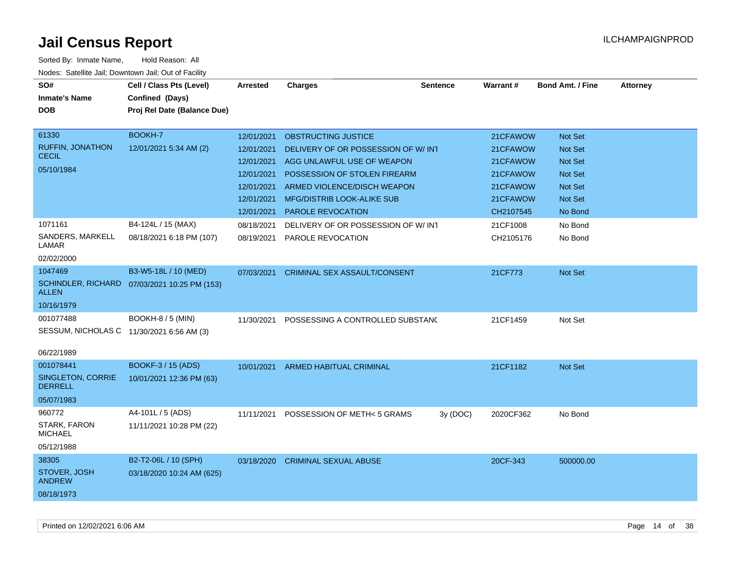| SO#<br><b>Inmate's Name</b><br><b>DOB</b> | Cell / Class Pts (Level)<br>Confined (Days)<br>Proj Rel Date (Balance Due) | <b>Arrested</b> | <b>Charges</b>                      | <b>Sentence</b> | Warrant#  | <b>Bond Amt. / Fine</b> | <b>Attorney</b> |
|-------------------------------------------|----------------------------------------------------------------------------|-----------------|-------------------------------------|-----------------|-----------|-------------------------|-----------------|
| 61330                                     | BOOKH-7                                                                    | 12/01/2021      | <b>OBSTRUCTING JUSTICE</b>          |                 | 21CFAWOW  | Not Set                 |                 |
| <b>RUFFIN, JONATHON</b><br><b>CECIL</b>   | 12/01/2021 5:34 AM (2)                                                     | 12/01/2021      | DELIVERY OF OR POSSESSION OF W/ INT |                 | 21CFAWOW  | Not Set                 |                 |
| 05/10/1984                                |                                                                            | 12/01/2021      | AGG UNLAWFUL USE OF WEAPON          |                 | 21CFAWOW  | <b>Not Set</b>          |                 |
|                                           |                                                                            | 12/01/2021      | POSSESSION OF STOLEN FIREARM        |                 | 21CFAWOW  | <b>Not Set</b>          |                 |
|                                           |                                                                            | 12/01/2021      | ARMED VIOLENCE/DISCH WEAPON         |                 | 21CFAWOW  | <b>Not Set</b>          |                 |
|                                           |                                                                            | 12/01/2021      | <b>MFG/DISTRIB LOOK-ALIKE SUB</b>   |                 | 21CFAWOW  | Not Set                 |                 |
|                                           |                                                                            | 12/01/2021      | <b>PAROLE REVOCATION</b>            |                 | CH2107545 | No Bond                 |                 |
| 1071161                                   | B4-124L / 15 (MAX)                                                         | 08/18/2021      | DELIVERY OF OR POSSESSION OF W/ INT |                 | 21CF1008  | No Bond                 |                 |
| SANDERS, MARKELL<br>LAMAR                 | 08/18/2021 6:18 PM (107)                                                   | 08/19/2021      | PAROLE REVOCATION                   |                 | CH2105176 | No Bond                 |                 |
| 02/02/2000                                |                                                                            |                 |                                     |                 |           |                         |                 |
| 1047469                                   | B3-W5-18L / 10 (MED)                                                       | 07/03/2021      | CRIMINAL SEX ASSAULT/CONSENT        |                 | 21CF773   | Not Set                 |                 |
| <b>SCHINDLER, RICHARD</b><br><b>ALLEN</b> | 07/03/2021 10:25 PM (153)                                                  |                 |                                     |                 |           |                         |                 |
| 10/16/1979                                |                                                                            |                 |                                     |                 |           |                         |                 |
| 001077488                                 | <b>BOOKH-8 / 5 (MIN)</b>                                                   | 11/30/2021      | POSSESSING A CONTROLLED SUBSTANC    |                 | 21CF1459  | Not Set                 |                 |
| SESSUM, NICHOLAS C 11/30/2021 6:56 AM (3) |                                                                            |                 |                                     |                 |           |                         |                 |
| 06/22/1989                                |                                                                            |                 |                                     |                 |           |                         |                 |
| 001078441                                 | <b>BOOKF-3 / 15 (ADS)</b>                                                  |                 | 10/01/2021 ARMED HABITUAL CRIMINAL  |                 | 21CF1182  | Not Set                 |                 |
| SINGLETON, CORRIE<br><b>DERRELL</b>       | 10/01/2021 12:36 PM (63)                                                   |                 |                                     |                 |           |                         |                 |
| 05/07/1983                                |                                                                            |                 |                                     |                 |           |                         |                 |
| 960772                                    | A4-101L / 5 (ADS)                                                          | 11/11/2021      | POSSESSION OF METH< 5 GRAMS         | 3y (DOC)        | 2020CF362 | No Bond                 |                 |
| STARK, FARON<br><b>MICHAEL</b>            | 11/11/2021 10:28 PM (22)                                                   |                 |                                     |                 |           |                         |                 |
| 05/12/1988                                |                                                                            |                 |                                     |                 |           |                         |                 |
| 38305                                     | B2-T2-06L / 10 (SPH)                                                       | 03/18/2020      | <b>CRIMINAL SEXUAL ABUSE</b>        |                 | 20CF-343  | 500000.00               |                 |
| STOVER, JOSH<br><b>ANDREW</b>             | 03/18/2020 10:24 AM (625)                                                  |                 |                                     |                 |           |                         |                 |
| 08/18/1973                                |                                                                            |                 |                                     |                 |           |                         |                 |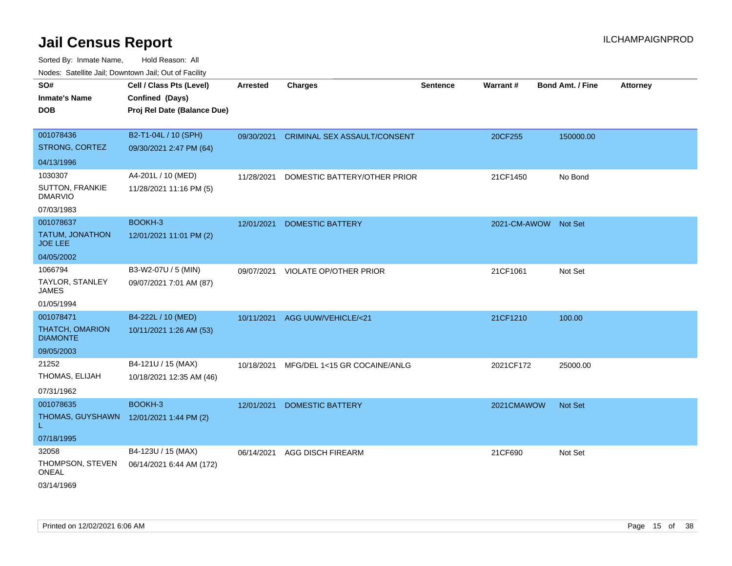Sorted By: Inmate Name, Hold Reason: All

| Nodes: Satellite Jail; Downtown Jail; Out of Facility |                             |                 |                                         |                 |                      |                  |                 |
|-------------------------------------------------------|-----------------------------|-----------------|-----------------------------------------|-----------------|----------------------|------------------|-----------------|
| SO#                                                   | Cell / Class Pts (Level)    | <b>Arrested</b> | <b>Charges</b>                          | <b>Sentence</b> | Warrant#             | Bond Amt. / Fine | <b>Attorney</b> |
| <b>Inmate's Name</b>                                  | Confined (Days)             |                 |                                         |                 |                      |                  |                 |
| <b>DOB</b>                                            | Proj Rel Date (Balance Due) |                 |                                         |                 |                      |                  |                 |
|                                                       |                             |                 |                                         |                 |                      |                  |                 |
| 001078436                                             | B2-T1-04L / 10 (SPH)        |                 | 09/30/2021 CRIMINAL SEX ASSAULT/CONSENT |                 | 20CF255              | 150000.00        |                 |
| STRONG, CORTEZ                                        | 09/30/2021 2:47 PM (64)     |                 |                                         |                 |                      |                  |                 |
| 04/13/1996                                            |                             |                 |                                         |                 |                      |                  |                 |
| 1030307                                               | A4-201L / 10 (MED)          | 11/28/2021      | DOMESTIC BATTERY/OTHER PRIOR            |                 | 21CF1450             | No Bond          |                 |
| <b>SUTTON, FRANKIE</b><br><b>DMARVIO</b>              | 11/28/2021 11:16 PM (5)     |                 |                                         |                 |                      |                  |                 |
| 07/03/1983                                            |                             |                 |                                         |                 |                      |                  |                 |
| 001078637                                             | BOOKH-3                     | 12/01/2021      | <b>DOMESTIC BATTERY</b>                 |                 | 2021-CM-AWOW Not Set |                  |                 |
| TATUM, JONATHON<br><b>JOE LEE</b>                     | 12/01/2021 11:01 PM (2)     |                 |                                         |                 |                      |                  |                 |
| 04/05/2002                                            |                             |                 |                                         |                 |                      |                  |                 |
| 1066794                                               | B3-W2-07U / 5 (MIN)         | 09/07/2021      | VIOLATE OP/OTHER PRIOR                  |                 | 21CF1061             | Not Set          |                 |
| TAYLOR, STANLEY<br><b>JAMES</b>                       | 09/07/2021 7:01 AM (87)     |                 |                                         |                 |                      |                  |                 |
| 01/05/1994                                            |                             |                 |                                         |                 |                      |                  |                 |
| 001078471                                             | B4-222L / 10 (MED)          |                 | 10/11/2021 AGG UUW/VEHICLE/<21          |                 | 21CF1210             | 100.00           |                 |
| THATCH, OMARION<br><b>DIAMONTE</b>                    | 10/11/2021 1:26 AM (53)     |                 |                                         |                 |                      |                  |                 |
| 09/05/2003                                            |                             |                 |                                         |                 |                      |                  |                 |
| 21252                                                 | B4-121U / 15 (MAX)          | 10/18/2021      | MFG/DEL 1<15 GR COCAINE/ANLG            |                 | 2021CF172            | 25000.00         |                 |
| THOMAS, ELIJAH                                        | 10/18/2021 12:35 AM (46)    |                 |                                         |                 |                      |                  |                 |
| 07/31/1962                                            |                             |                 |                                         |                 |                      |                  |                 |
| 001078635                                             | BOOKH-3                     | 12/01/2021      | <b>DOMESTIC BATTERY</b>                 |                 | 2021CMAWOW           | Not Set          |                 |
| THOMAS, GUYSHAWN                                      | 12/01/2021 1:44 PM (2)      |                 |                                         |                 |                      |                  |                 |
| 07/18/1995                                            |                             |                 |                                         |                 |                      |                  |                 |
| 32058                                                 | B4-123U / 15 (MAX)          | 06/14/2021      | <b>AGG DISCH FIREARM</b>                |                 | 21CF690              | Not Set          |                 |
| THOMPSON, STEVEN<br>ONEAL                             | 06/14/2021 6:44 AM (172)    |                 |                                         |                 |                      |                  |                 |
| 03/14/1969                                            |                             |                 |                                         |                 |                      |                  |                 |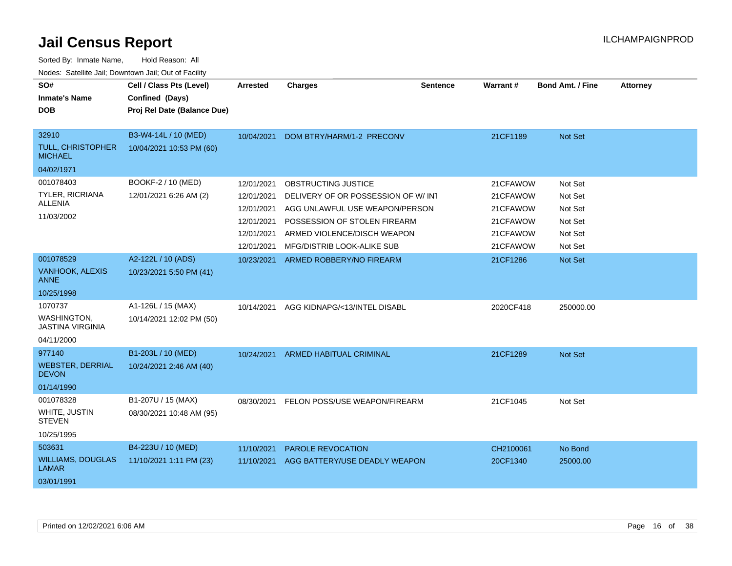| SO#<br><b>Inmate's Name</b><br><b>DOB</b>                           | Cell / Class Pts (Level)<br>Confined (Days)<br>Proj Rel Date (Balance Due) | <b>Arrested</b>                                                                  | <b>Charges</b>                                                                                                                                                                           | <b>Sentence</b> | Warrant#                                                             | <b>Bond Amt. / Fine</b>                                        | <b>Attorney</b> |
|---------------------------------------------------------------------|----------------------------------------------------------------------------|----------------------------------------------------------------------------------|------------------------------------------------------------------------------------------------------------------------------------------------------------------------------------------|-----------------|----------------------------------------------------------------------|----------------------------------------------------------------|-----------------|
| 32910<br><b>TULL, CHRISTOPHER</b><br><b>MICHAEL</b><br>04/02/1971   | B3-W4-14L / 10 (MED)<br>10/04/2021 10:53 PM (60)                           | 10/04/2021                                                                       | DOM BTRY/HARM/1-2 PRECONV                                                                                                                                                                |                 | 21CF1189                                                             | Not Set                                                        |                 |
| 001078403<br><b>TYLER, RICRIANA</b><br><b>ALLENIA</b><br>11/03/2002 | BOOKF-2 / 10 (MED)<br>12/01/2021 6:26 AM (2)                               | 12/01/2021<br>12/01/2021<br>12/01/2021<br>12/01/2021<br>12/01/2021<br>12/01/2021 | OBSTRUCTING JUSTICE<br>DELIVERY OF OR POSSESSION OF W/IN1<br>AGG UNLAWFUL USE WEAPON/PERSON<br>POSSESSION OF STOLEN FIREARM<br>ARMED VIOLENCE/DISCH WEAPON<br>MFG/DISTRIB LOOK-ALIKE SUB |                 | 21CFAWOW<br>21CFAWOW<br>21CFAWOW<br>21CFAWOW<br>21CFAWOW<br>21CFAWOW | Not Set<br>Not Set<br>Not Set<br>Not Set<br>Not Set<br>Not Set |                 |
| 001078529<br><b>VANHOOK, ALEXIS</b><br>ANNE<br>10/25/1998           | A2-122L / 10 (ADS)<br>10/23/2021 5:50 PM (41)                              | 10/23/2021                                                                       | ARMED ROBBERY/NO FIREARM                                                                                                                                                                 |                 | 21CF1286                                                             | Not Set                                                        |                 |
| 1070737<br>WASHINGTON,<br><b>JASTINA VIRGINIA</b><br>04/11/2000     | A1-126L / 15 (MAX)<br>10/14/2021 12:02 PM (50)                             | 10/14/2021                                                                       | AGG KIDNAPG/<13/INTEL DISABL                                                                                                                                                             |                 | 2020CF418                                                            | 250000.00                                                      |                 |
| 977140<br><b>WEBSTER, DERRIAL</b><br><b>DEVON</b><br>01/14/1990     | B1-203L / 10 (MED)<br>10/24/2021 2:46 AM (40)                              | 10/24/2021                                                                       | ARMED HABITUAL CRIMINAL                                                                                                                                                                  |                 | 21CF1289                                                             | Not Set                                                        |                 |
| 001078328<br>WHITE, JUSTIN<br><b>STEVEN</b><br>10/25/1995           | B1-207U / 15 (MAX)<br>08/30/2021 10:48 AM (95)                             | 08/30/2021                                                                       | FELON POSS/USE WEAPON/FIREARM                                                                                                                                                            |                 | 21CF1045                                                             | Not Set                                                        |                 |
| 503631<br><b>WILLIAMS, DOUGLAS</b><br><b>LAMAR</b><br>03/01/1991    | B4-223U / 10 (MED)<br>11/10/2021 1:11 PM (23)                              | 11/10/2021<br>11/10/2021                                                         | <b>PAROLE REVOCATION</b><br>AGG BATTERY/USE DEADLY WEAPON                                                                                                                                |                 | CH2100061<br>20CF1340                                                | No Bond<br>25000.00                                            |                 |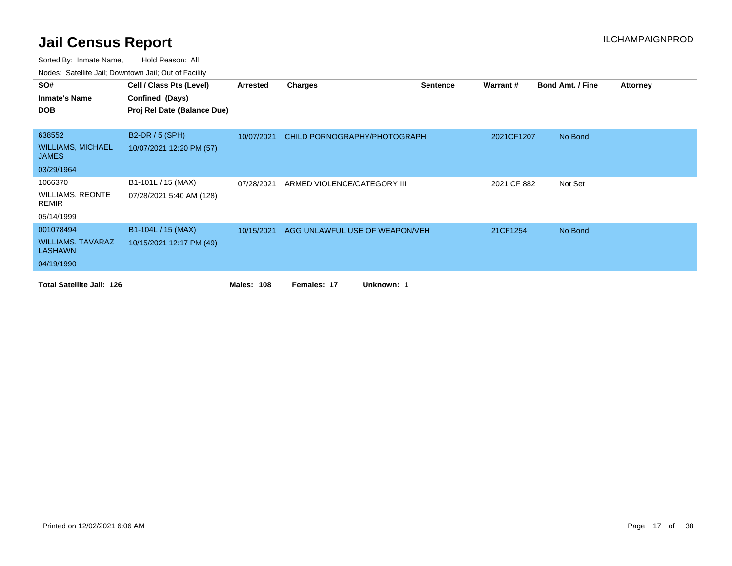| SO#                                        | Cell / Class Pts (Level)    | Arrested          | <b>Charges</b>                 | <b>Sentence</b> | Warrant#    | <b>Bond Amt. / Fine</b> | <b>Attorney</b> |
|--------------------------------------------|-----------------------------|-------------------|--------------------------------|-----------------|-------------|-------------------------|-----------------|
| <b>Inmate's Name</b>                       | Confined (Days)             |                   |                                |                 |             |                         |                 |
| <b>DOB</b>                                 | Proj Rel Date (Balance Due) |                   |                                |                 |             |                         |                 |
|                                            |                             |                   |                                |                 |             |                         |                 |
| 638552                                     | B2-DR / 5 (SPH)             | 10/07/2021        | CHILD PORNOGRAPHY/PHOTOGRAPH   |                 | 2021CF1207  | No Bond                 |                 |
| <b>WILLIAMS, MICHAEL</b><br><b>JAMES</b>   | 10/07/2021 12:20 PM (57)    |                   |                                |                 |             |                         |                 |
| 03/29/1964                                 |                             |                   |                                |                 |             |                         |                 |
| 1066370                                    | B1-101L / 15 (MAX)          | 07/28/2021        | ARMED VIOLENCE/CATEGORY III    |                 | 2021 CF 882 | Not Set                 |                 |
| WILLIAMS, REONTE<br>REMIR                  | 07/28/2021 5:40 AM (128)    |                   |                                |                 |             |                         |                 |
| 05/14/1999                                 |                             |                   |                                |                 |             |                         |                 |
| 001078494                                  | B1-104L / 15 (MAX)          | 10/15/2021        | AGG UNLAWFUL USE OF WEAPON/VEH |                 | 21CF1254    | No Bond                 |                 |
| <b>WILLIAMS, TAVARAZ</b><br><b>LASHAWN</b> | 10/15/2021 12:17 PM (49)    |                   |                                |                 |             |                         |                 |
| 04/19/1990                                 |                             |                   |                                |                 |             |                         |                 |
| <b>Total Satellite Jail: 126</b>           |                             | <b>Males: 108</b> | Unknown: 1<br>Females: 17      |                 |             |                         |                 |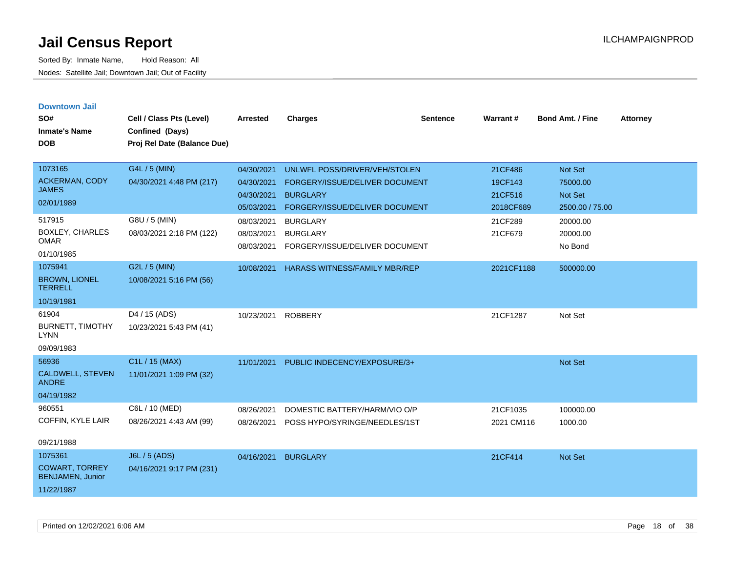| <b>Downtown Jail</b><br>SO#<br><b>Inmate's Name</b><br><b>DOB</b>         | Cell / Class Pts (Level)<br>Confined (Days)<br>Proj Rel Date (Balance Due) | <b>Arrested</b>                                      | <b>Charges</b>                                                                                                       | <b>Sentence</b> | Warrant#                                   | Bond Amt. / Fine                                  | <b>Attorney</b> |
|---------------------------------------------------------------------------|----------------------------------------------------------------------------|------------------------------------------------------|----------------------------------------------------------------------------------------------------------------------|-----------------|--------------------------------------------|---------------------------------------------------|-----------------|
| 1073165<br>ACKERMAN, CODY<br><b>JAMES</b><br>02/01/1989                   | G4L / 5 (MIN)<br>04/30/2021 4:48 PM (217)                                  | 04/30/2021<br>04/30/2021<br>04/30/2021<br>05/03/2021 | UNLWFL POSS/DRIVER/VEH/STOLEN<br>FORGERY/ISSUE/DELIVER DOCUMENT<br><b>BURGLARY</b><br>FORGERY/ISSUE/DELIVER DOCUMENT |                 | 21CF486<br>19CF143<br>21CF516<br>2018CF689 | Not Set<br>75000.00<br>Not Set<br>2500.00 / 75.00 |                 |
| 517915<br><b>BOXLEY, CHARLES</b><br><b>OMAR</b><br>01/10/1985             | G8U / 5 (MIN)<br>08/03/2021 2:18 PM (122)                                  | 08/03/2021<br>08/03/2021<br>08/03/2021               | <b>BURGLARY</b><br><b>BURGLARY</b><br>FORGERY/ISSUE/DELIVER DOCUMENT                                                 |                 | 21CF289<br>21CF679                         | 20000.00<br>20000.00<br>No Bond                   |                 |
| 1075941<br><b>BROWN, LIONEL</b><br><b>TERRELL</b><br>10/19/1981           | G2L / 5 (MIN)<br>10/08/2021 5:16 PM (56)                                   | 10/08/2021                                           | <b>HARASS WITNESS/FAMILY MBR/REP</b>                                                                                 |                 | 2021CF1188                                 | 500000.00                                         |                 |
| 61904<br><b>BURNETT, TIMOTHY</b><br><b>LYNN</b><br>09/09/1983             | D4 / 15 (ADS)<br>10/23/2021 5:43 PM (41)                                   | 10/23/2021                                           | <b>ROBBERY</b>                                                                                                       |                 | 21CF1287                                   | Not Set                                           |                 |
| 56936<br>CALDWELL, STEVEN<br><b>ANDRE</b><br>04/19/1982                   | C1L / 15 (MAX)<br>11/01/2021 1:09 PM (32)                                  | 11/01/2021                                           | PUBLIC INDECENCY/EXPOSURE/3+                                                                                         |                 |                                            | <b>Not Set</b>                                    |                 |
| 960551<br>COFFIN, KYLE LAIR<br>09/21/1988                                 | C6L / 10 (MED)<br>08/26/2021 4:43 AM (99)                                  | 08/26/2021<br>08/26/2021                             | DOMESTIC BATTERY/HARM/VIO O/P<br>POSS HYPO/SYRINGE/NEEDLES/1ST                                                       |                 | 21CF1035<br>2021 CM116                     | 100000.00<br>1000.00                              |                 |
| 1075361<br><b>COWART, TORREY</b><br><b>BENJAMEN, Junior</b><br>11/22/1987 | J6L / 5 (ADS)<br>04/16/2021 9:17 PM (231)                                  | 04/16/2021                                           | <b>BURGLARY</b>                                                                                                      |                 | 21CF414                                    | <b>Not Set</b>                                    |                 |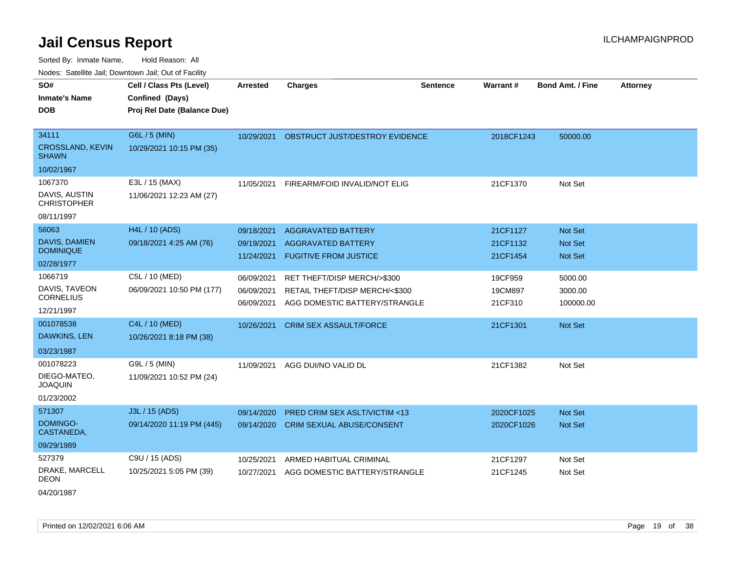| rougs. Calcinic Jan, Downtown Jan, Out of Facility |                             |                 |                                  |                 |            |                         |                 |
|----------------------------------------------------|-----------------------------|-----------------|----------------------------------|-----------------|------------|-------------------------|-----------------|
| SO#                                                | Cell / Class Pts (Level)    | <b>Arrested</b> | <b>Charges</b>                   | <b>Sentence</b> | Warrant#   | <b>Bond Amt. / Fine</b> | <b>Attorney</b> |
| <b>Inmate's Name</b>                               | Confined (Days)             |                 |                                  |                 |            |                         |                 |
| <b>DOB</b>                                         | Proj Rel Date (Balance Due) |                 |                                  |                 |            |                         |                 |
|                                                    |                             |                 |                                  |                 |            |                         |                 |
| 34111                                              | G6L / 5 (MIN)               | 10/29/2021      | OBSTRUCT JUST/DESTROY EVIDENCE   |                 | 2018CF1243 | 50000.00                |                 |
| CROSSLAND, KEVIN<br><b>SHAWN</b>                   | 10/29/2021 10:15 PM (35)    |                 |                                  |                 |            |                         |                 |
| 10/02/1967                                         |                             |                 |                                  |                 |            |                         |                 |
| 1067370                                            | E3L / 15 (MAX)              | 11/05/2021      | FIREARM/FOID INVALID/NOT ELIG    |                 | 21CF1370   | Not Set                 |                 |
| DAVIS, AUSTIN<br><b>CHRISTOPHER</b>                | 11/06/2021 12:23 AM (27)    |                 |                                  |                 |            |                         |                 |
| 08/11/1997                                         |                             |                 |                                  |                 |            |                         |                 |
| 56063                                              | H4L / 10 (ADS)              | 09/18/2021      | <b>AGGRAVATED BATTERY</b>        |                 | 21CF1127   | Not Set                 |                 |
| <b>DAVIS, DAMIEN</b>                               | 09/18/2021 4:25 AM (76)     | 09/19/2021      | <b>AGGRAVATED BATTERY</b>        |                 | 21CF1132   | <b>Not Set</b>          |                 |
| <b>DOMINIQUE</b>                                   |                             | 11/24/2021      | <b>FUGITIVE FROM JUSTICE</b>     |                 | 21CF1454   | <b>Not Set</b>          |                 |
| 02/28/1977                                         |                             |                 |                                  |                 |            |                         |                 |
| 1066719                                            | C5L / 10 (MED)              | 06/09/2021      | RET THEFT/DISP MERCH/>\$300      |                 | 19CF959    | 5000.00                 |                 |
| DAVIS, TAVEON<br><b>CORNELIUS</b>                  | 06/09/2021 10:50 PM (177)   | 06/09/2021      | RETAIL THEFT/DISP MERCH/<\$300   |                 | 19CM897    | 3000.00                 |                 |
| 12/21/1997                                         |                             | 06/09/2021      | AGG DOMESTIC BATTERY/STRANGLE    |                 | 21CF310    | 100000.00               |                 |
| 001078538                                          | C4L / 10 (MED)              |                 |                                  |                 |            |                         |                 |
| <b>DAWKINS, LEN</b>                                | 10/26/2021 8:18 PM (38)     | 10/26/2021      | <b>CRIM SEX ASSAULT/FORCE</b>    |                 | 21CF1301   | Not Set                 |                 |
|                                                    |                             |                 |                                  |                 |            |                         |                 |
| 03/23/1987                                         |                             |                 |                                  |                 |            |                         |                 |
| 001078223                                          | G9L / 5 (MIN)               | 11/09/2021      | AGG DUI/NO VALID DL              |                 | 21CF1382   | Not Set                 |                 |
| DIEGO-MATEO,<br><b>JOAQUIN</b>                     | 11/09/2021 10:52 PM (24)    |                 |                                  |                 |            |                         |                 |
| 01/23/2002                                         |                             |                 |                                  |                 |            |                         |                 |
| 571307                                             | J3L / 15 (ADS)              | 09/14/2020      | PRED CRIM SEX ASLT/VICTIM <13    |                 | 2020CF1025 | Not Set                 |                 |
| DOMINGO-<br>CASTANEDA,                             | 09/14/2020 11:19 PM (445)   | 09/14/2020      | <b>CRIM SEXUAL ABUSE/CONSENT</b> |                 | 2020CF1026 | Not Set                 |                 |
| 09/29/1989                                         |                             |                 |                                  |                 |            |                         |                 |
| 527379                                             | C9U / 15 (ADS)              | 10/25/2021      | ARMED HABITUAL CRIMINAL          |                 | 21CF1297   | Not Set                 |                 |
| DRAKE, MARCELL<br>DEON                             | 10/25/2021 5:05 PM (39)     | 10/27/2021      | AGG DOMESTIC BATTERY/STRANGLE    |                 | 21CF1245   | Not Set                 |                 |
| 04/20/1987                                         |                             |                 |                                  |                 |            |                         |                 |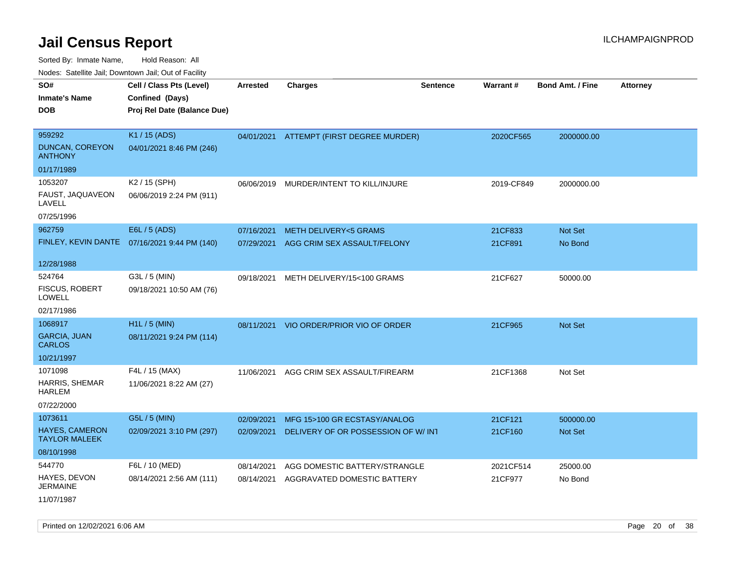Sorted By: Inmate Name, Hold Reason: All

Nodes: Satellite Jail; Downtown Jail; Out of Facility

| SO#<br><b>Inmate's Name</b><br><b>DOB</b>           | Cell / Class Pts (Level)<br>Confined (Days)<br>Proj Rel Date (Balance Due) | Arrested   | <b>Charges</b>                           | <b>Sentence</b> | Warrant#   | <b>Bond Amt. / Fine</b> | <b>Attorney</b> |
|-----------------------------------------------------|----------------------------------------------------------------------------|------------|------------------------------------------|-----------------|------------|-------------------------|-----------------|
| 959292<br>DUNCAN, COREYON<br><b>ANTHONY</b>         | K1 / 15 (ADS)<br>04/01/2021 8:46 PM (246)                                  |            | 04/01/2021 ATTEMPT (FIRST DEGREE MURDER) |                 | 2020CF565  | 2000000.00              |                 |
| 01/17/1989                                          |                                                                            |            |                                          |                 |            |                         |                 |
| 1053207<br>FAUST, JAQUAVEON<br>LAVELL<br>07/25/1996 | K <sub>2</sub> / 15 (SPH)<br>06/06/2019 2:24 PM (911)                      | 06/06/2019 | MURDER/INTENT TO KILL/INJURE             |                 | 2019-CF849 | 2000000.00              |                 |
| 962759                                              | E6L / 5 (ADS)                                                              | 07/16/2021 | <b>METH DELIVERY&lt;5 GRAMS</b>          |                 | 21CF833    | <b>Not Set</b>          |                 |
|                                                     | FINLEY, KEVIN DANTE  07/16/2021 9:44 PM (140)                              | 07/29/2021 | AGG CRIM SEX ASSAULT/FELONY              |                 | 21CF891    | No Bond                 |                 |
| 12/28/1988                                          |                                                                            |            |                                          |                 |            |                         |                 |
| 524764<br>FISCUS, ROBERT                            | G3L / 5 (MIN)<br>09/18/2021 10:50 AM (76)                                  | 09/18/2021 | METH DELIVERY/15<100 GRAMS               |                 | 21CF627    | 50000.00                |                 |
| <b>LOWELL</b><br>02/17/1986                         |                                                                            |            |                                          |                 |            |                         |                 |
| 1068917                                             | H1L / 5 (MIN)                                                              | 08/11/2021 | VIO ORDER/PRIOR VIO OF ORDER             |                 | 21CF965    | Not Set                 |                 |
| <b>GARCIA, JUAN</b><br><b>CARLOS</b>                | 08/11/2021 9:24 PM (114)                                                   |            |                                          |                 |            |                         |                 |
| 10/21/1997                                          |                                                                            |            |                                          |                 |            |                         |                 |
| 1071098                                             | F4L / 15 (MAX)                                                             | 11/06/2021 | AGG CRIM SEX ASSAULT/FIREARM             |                 | 21CF1368   | Not Set                 |                 |
| HARRIS, SHEMAR<br>HARLEM                            | 11/06/2021 8:22 AM (27)                                                    |            |                                          |                 |            |                         |                 |
| 07/22/2000                                          |                                                                            |            |                                          |                 |            |                         |                 |
| 1073611                                             | G5L / 5 (MIN)                                                              | 02/09/2021 | MFG 15>100 GR ECSTASY/ANALOG             |                 | 21CF121    | 500000.00               |                 |
| <b>HAYES, CAMERON</b><br><b>TAYLOR MALEEK</b>       | 02/09/2021 3:10 PM (297)                                                   | 02/09/2021 | DELIVERY OF OR POSSESSION OF W/INT       |                 | 21CF160    | <b>Not Set</b>          |                 |
| 08/10/1998                                          |                                                                            |            |                                          |                 |            |                         |                 |
| 544770                                              | F6L / 10 (MED)                                                             | 08/14/2021 | AGG DOMESTIC BATTERY/STRANGLE            |                 | 2021CF514  | 25000.00                |                 |
| HAYES, DEVON<br><b>JERMAINE</b>                     | 08/14/2021 2:56 AM (111)                                                   | 08/14/2021 | AGGRAVATED DOMESTIC BATTERY              |                 | 21CF977    | No Bond                 |                 |
|                                                     |                                                                            |            |                                          |                 |            |                         |                 |

11/07/1987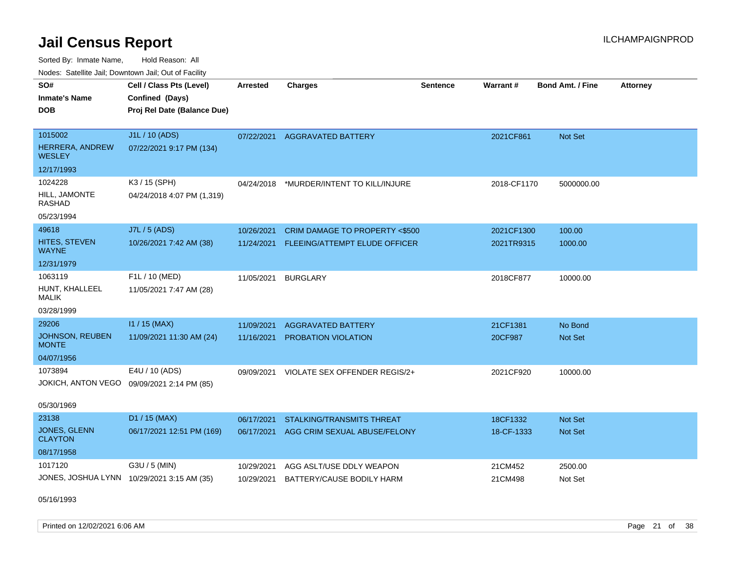Sorted By: Inmate Name, Hold Reason: All Nodes: Satellite Jail; Downtown Jail; Out of Facility

| SO#<br><b>Inmate's Name</b><br><b>DOB</b>  | Cell / Class Pts (Level)<br>Confined (Days)<br>Proj Rel Date (Balance Due) | <b>Arrested</b> | <b>Charges</b>                   | <b>Sentence</b> | Warrant#    | <b>Bond Amt. / Fine</b> | <b>Attorney</b> |
|--------------------------------------------|----------------------------------------------------------------------------|-----------------|----------------------------------|-----------------|-------------|-------------------------|-----------------|
| 1015002                                    | J1L / 10 (ADS)                                                             | 07/22/2021      | <b>AGGRAVATED BATTERY</b>        |                 | 2021CF861   | Not Set                 |                 |
| HERRERA, ANDREW<br><b>WESLEY</b>           | 07/22/2021 9:17 PM (134)                                                   |                 |                                  |                 |             |                         |                 |
| 12/17/1993                                 |                                                                            |                 |                                  |                 |             |                         |                 |
| 1024228                                    | K3 / 15 (SPH)                                                              | 04/24/2018      | *MURDER/INTENT TO KILL/INJURE    |                 | 2018-CF1170 | 5000000.00              |                 |
| HILL, JAMONTE<br>RASHAD                    | 04/24/2018 4:07 PM (1,319)                                                 |                 |                                  |                 |             |                         |                 |
| 05/23/1994                                 |                                                                            |                 |                                  |                 |             |                         |                 |
| 49618                                      | J7L / 5 (ADS)                                                              | 10/26/2021      | CRIM DAMAGE TO PROPERTY <\$500   |                 | 2021CF1300  | 100.00                  |                 |
| <b>HITES, STEVEN</b><br><b>WAYNE</b>       | 10/26/2021 7:42 AM (38)                                                    | 11/24/2021      | FLEEING/ATTEMPT ELUDE OFFICER    |                 | 2021TR9315  | 1000.00                 |                 |
| 12/31/1979                                 |                                                                            |                 |                                  |                 |             |                         |                 |
| 1063119                                    | F1L / 10 (MED)                                                             | 11/05/2021      | <b>BURGLARY</b>                  |                 | 2018CF877   | 10000.00                |                 |
| HUNT, KHALLEEL<br><b>MALIK</b>             | 11/05/2021 7:47 AM (28)                                                    |                 |                                  |                 |             |                         |                 |
| 03/28/1999                                 |                                                                            |                 |                                  |                 |             |                         |                 |
| 29206                                      | $11/15$ (MAX)                                                              | 11/09/2021      | <b>AGGRAVATED BATTERY</b>        |                 | 21CF1381    | No Bond                 |                 |
| <b>JOHNSON, REUBEN</b><br><b>MONTE</b>     | 11/09/2021 11:30 AM (24)                                                   | 11/16/2021      | PROBATION VIOLATION              |                 | 20CF987     | Not Set                 |                 |
| 04/07/1956                                 |                                                                            |                 |                                  |                 |             |                         |                 |
| 1073894                                    | E4U / 10 (ADS)                                                             | 09/09/2021      | VIOLATE SEX OFFENDER REGIS/2+    |                 | 2021CF920   | 10000.00                |                 |
| JOKICH, ANTON VEGO 09/09/2021 2:14 PM (85) |                                                                            |                 |                                  |                 |             |                         |                 |
| 05/30/1969                                 |                                                                            |                 |                                  |                 |             |                         |                 |
| 23138                                      | D1 / 15 (MAX)                                                              | 06/17/2021      | <b>STALKING/TRANSMITS THREAT</b> |                 | 18CF1332    | <b>Not Set</b>          |                 |
| <b>JONES, GLENN</b><br><b>CLAYTON</b>      | 06/17/2021 12:51 PM (169)                                                  | 06/17/2021      | AGG CRIM SEXUAL ABUSE/FELONY     |                 | 18-CF-1333  | Not Set                 |                 |
| 08/17/1958                                 |                                                                            |                 |                                  |                 |             |                         |                 |
| 1017120                                    | G3U / 5 (MIN)                                                              | 10/29/2021      | AGG ASLT/USE DDLY WEAPON         |                 | 21CM452     | 2500.00                 |                 |
| JONES, JOSHUA LYNN 10/29/2021 3:15 AM (35) |                                                                            | 10/29/2021      | BATTERY/CAUSE BODILY HARM        |                 | 21CM498     | Not Set                 |                 |

05/16/1993

Printed on 12/02/2021 6:06 AM **Page 21 of 38**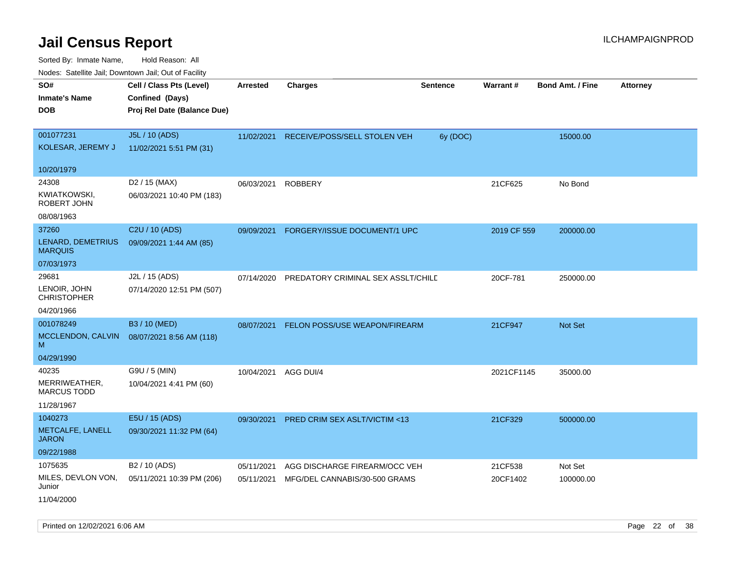| Nodes. Satellite Jali, Downtown Jali, Out of Facility |                             |                 |                                    |                 |             |                         |                 |
|-------------------------------------------------------|-----------------------------|-----------------|------------------------------------|-----------------|-------------|-------------------------|-----------------|
| SO#                                                   | Cell / Class Pts (Level)    | <b>Arrested</b> | <b>Charges</b>                     | <b>Sentence</b> | Warrant#    | <b>Bond Amt. / Fine</b> | <b>Attorney</b> |
| <b>Inmate's Name</b>                                  | Confined (Days)             |                 |                                    |                 |             |                         |                 |
| <b>DOB</b>                                            | Proj Rel Date (Balance Due) |                 |                                    |                 |             |                         |                 |
|                                                       |                             |                 |                                    |                 |             |                         |                 |
| 001077231                                             | J5L / 10 (ADS)              | 11/02/2021      | RECEIVE/POSS/SELL STOLEN VEH       | 6y (DOC)        |             | 15000.00                |                 |
| KOLESAR, JEREMY J                                     | 11/02/2021 5:51 PM (31)     |                 |                                    |                 |             |                         |                 |
| 10/20/1979                                            |                             |                 |                                    |                 |             |                         |                 |
| 24308                                                 | D <sub>2</sub> / 15 (MAX)   | 06/03/2021      | <b>ROBBERY</b>                     |                 | 21CF625     | No Bond                 |                 |
| KWIATKOWSKI,<br>ROBERT JOHN                           | 06/03/2021 10:40 PM (183)   |                 |                                    |                 |             |                         |                 |
| 08/08/1963                                            |                             |                 |                                    |                 |             |                         |                 |
| 37260                                                 | C2U / 10 (ADS)              | 09/09/2021      | FORGERY/ISSUE DOCUMENT/1 UPC       |                 | 2019 CF 559 | 200000.00               |                 |
| LENARD, DEMETRIUS<br><b>MARQUIS</b>                   | 09/09/2021 1:44 AM (85)     |                 |                                    |                 |             |                         |                 |
| 07/03/1973                                            |                             |                 |                                    |                 |             |                         |                 |
| 29681                                                 | J2L / 15 (ADS)              | 07/14/2020      | PREDATORY CRIMINAL SEX ASSLT/CHILD |                 | 20CF-781    | 250000.00               |                 |
| LENOIR, JOHN<br>CHRISTOPHER                           | 07/14/2020 12:51 PM (507)   |                 |                                    |                 |             |                         |                 |
| 04/20/1966                                            |                             |                 |                                    |                 |             |                         |                 |
| 001078249                                             | B3 / 10 (MED)               | 08/07/2021      | FELON POSS/USE WEAPON/FIREARM      |                 | 21CF947     | <b>Not Set</b>          |                 |
| MCCLENDON, CALVIN<br>M                                | 08/07/2021 8:56 AM (118)    |                 |                                    |                 |             |                         |                 |
| 04/29/1990                                            |                             |                 |                                    |                 |             |                         |                 |
| 40235                                                 | G9U / 5 (MIN)               | 10/04/2021      | AGG DUI/4                          |                 | 2021CF1145  | 35000.00                |                 |
| MERRIWEATHER,<br><b>MARCUS TODD</b>                   | 10/04/2021 4:41 PM (60)     |                 |                                    |                 |             |                         |                 |
| 11/28/1967                                            |                             |                 |                                    |                 |             |                         |                 |
| 1040273                                               | E5U / 15 (ADS)              | 09/30/2021      | PRED CRIM SEX ASLT/VICTIM <13      |                 | 21CF329     | 500000.00               |                 |
| METCALFE, LANELL<br><b>JARON</b>                      | 09/30/2021 11:32 PM (64)    |                 |                                    |                 |             |                         |                 |
| 09/22/1988                                            |                             |                 |                                    |                 |             |                         |                 |
| 1075635                                               | B <sub>2</sub> / 10 (ADS)   | 05/11/2021      | AGG DISCHARGE FIREARM/OCC VEH      |                 | 21CF538     | Not Set                 |                 |
| MILES, DEVLON VON,<br>Junior                          | 05/11/2021 10:39 PM (206)   | 05/11/2021      | MFG/DEL CANNABIS/30-500 GRAMS      |                 | 20CF1402    | 100000.00               |                 |
| 11/04/2000                                            |                             |                 |                                    |                 |             |                         |                 |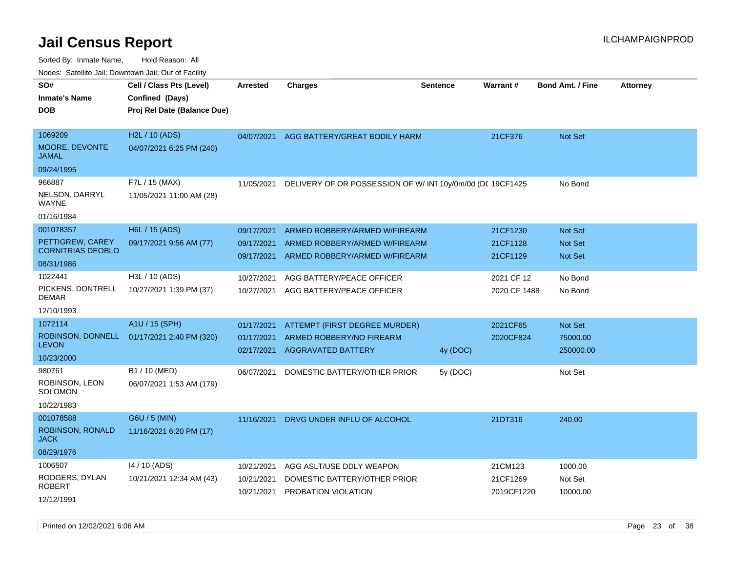| Todoo. Catomto cam, Bornitorini cam, Oat or I aonity |                                             |            |                                                          |                 |                 |                         |                 |
|------------------------------------------------------|---------------------------------------------|------------|----------------------------------------------------------|-----------------|-----------------|-------------------------|-----------------|
| SO#<br>Inmate's Name                                 | Cell / Class Pts (Level)<br>Confined (Days) | Arrested   | <b>Charges</b>                                           | <b>Sentence</b> | <b>Warrant#</b> | <b>Bond Amt. / Fine</b> | <b>Attorney</b> |
| DOB                                                  | Proj Rel Date (Balance Due)                 |            |                                                          |                 |                 |                         |                 |
|                                                      |                                             |            |                                                          |                 |                 |                         |                 |
| 1069209                                              | H <sub>2</sub> L / 10 (ADS)                 | 04/07/2021 | AGG BATTERY/GREAT BODILY HARM                            |                 | 21CF376         | Not Set                 |                 |
| <b>MOORE, DEVONTE</b><br>JAMAL                       | 04/07/2021 6:25 PM (240)                    |            |                                                          |                 |                 |                         |                 |
| 09/24/1995                                           |                                             |            |                                                          |                 |                 |                         |                 |
| 966887                                               | F7L / 15 (MAX)                              | 11/05/2021 | DELIVERY OF OR POSSESSION OF W/IN110y/0m/0d (DC 19CF1425 |                 |                 | No Bond                 |                 |
| NELSON, DARRYL<br>WAYNE                              | 11/05/2021 11:00 AM (28)                    |            |                                                          |                 |                 |                         |                 |
| 01/16/1984                                           |                                             |            |                                                          |                 |                 |                         |                 |
| 001078357                                            | H6L / 15 (ADS)                              | 09/17/2021 | ARMED ROBBERY/ARMED W/FIREARM                            |                 | 21CF1230        | Not Set                 |                 |
| PETTIGREW, CAREY                                     | 09/17/2021 9:56 AM (77)                     | 09/17/2021 | ARMED ROBBERY/ARMED W/FIREARM                            |                 | 21CF1128        | <b>Not Set</b>          |                 |
| <b>CORNITRIAS DEOBLO</b>                             |                                             | 09/17/2021 | ARMED ROBBERY/ARMED W/FIREARM                            |                 | 21CF1129        | <b>Not Set</b>          |                 |
| 08/31/1986                                           |                                             |            |                                                          |                 |                 |                         |                 |
| 1022441                                              | H3L / 10 (ADS)                              | 10/27/2021 | AGG BATTERY/PEACE OFFICER                                |                 | 2021 CF 12      | No Bond                 |                 |
| PICKENS, DONTRELL<br>DEMAR                           | 10/27/2021 1:39 PM (37)                     | 10/27/2021 | AGG BATTERY/PEACE OFFICER                                |                 | 2020 CF 1488    | No Bond                 |                 |
| 12/10/1993                                           |                                             |            |                                                          |                 |                 |                         |                 |
| 1072114                                              | A1U / 15 (SPH)                              | 01/17/2021 | ATTEMPT (FIRST DEGREE MURDER)                            |                 | 2021CF65        | <b>Not Set</b>          |                 |
|                                                      | ROBINSON, DONNELL 01/17/2021 2:40 PM (320)  | 01/17/2021 | ARMED ROBBERY/NO FIREARM                                 |                 | 2020CF824       | 75000.00                |                 |
| <b>LEVON</b>                                         |                                             | 02/17/2021 | <b>AGGRAVATED BATTERY</b>                                | 4y (DOC)        |                 | 250000.00               |                 |
| 10/23/2000                                           |                                             |            |                                                          |                 |                 |                         |                 |
| 980761                                               | B1 / 10 (MED)                               | 06/07/2021 | DOMESTIC BATTERY/OTHER PRIOR                             | 5y (DOC)        |                 | Not Set                 |                 |
| ROBINSON, LEON<br>SOLOMON                            | 06/07/2021 1:53 AM (179)                    |            |                                                          |                 |                 |                         |                 |
| 10/22/1983                                           |                                             |            |                                                          |                 |                 |                         |                 |
| 001078588                                            | G6U / 5 (MIN)                               | 11/16/2021 | DRVG UNDER INFLU OF ALCOHOL                              |                 | 21DT316         | 240.00                  |                 |
| ROBINSON, RONALD<br>JACK                             | 11/16/2021 6:20 PM (17)                     |            |                                                          |                 |                 |                         |                 |
| 08/29/1976                                           |                                             |            |                                                          |                 |                 |                         |                 |
| 1006507                                              | 14 / 10 (ADS)                               | 10/21/2021 | AGG ASLT/USE DDLY WEAPON                                 |                 | 21CM123         | 1000.00                 |                 |
| RODGERS, DYLAN                                       | 10/21/2021 12:34 AM (43)                    | 10/21/2021 | DOMESTIC BATTERY/OTHER PRIOR                             |                 | 21CF1269        | Not Set                 |                 |
| ROBERT                                               |                                             | 10/21/2021 | PROBATION VIOLATION                                      |                 | 2019CF1220      | 10000.00                |                 |
| 12/12/1991                                           |                                             |            |                                                          |                 |                 |                         |                 |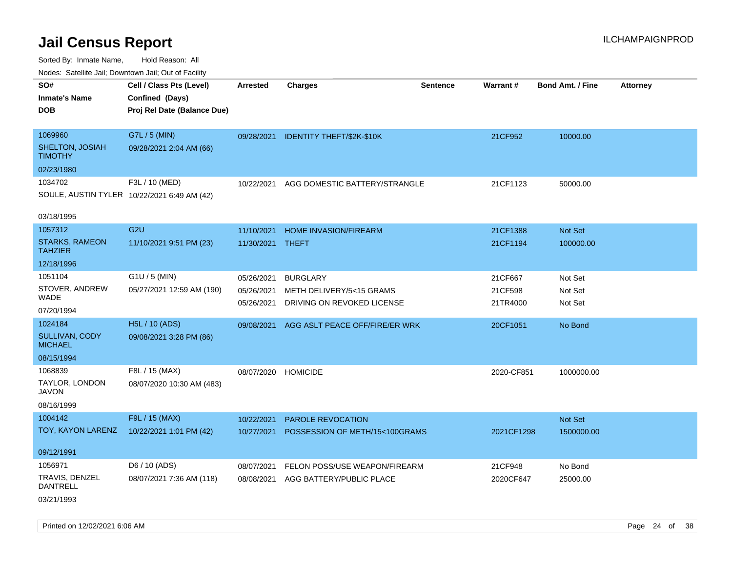Sorted By: Inmate Name, Hold Reason: All Nodes: Satellite Jail; Downtown Jail; Out of Facility

| Noues. Salemie Jan, Downtown Jan, Out of Facility |                                             |                  |                                      |                 |            |                         |          |
|---------------------------------------------------|---------------------------------------------|------------------|--------------------------------------|-----------------|------------|-------------------------|----------|
| SO#                                               | Cell / Class Pts (Level)                    | <b>Arrested</b>  | <b>Charges</b>                       | <b>Sentence</b> | Warrant#   | <b>Bond Amt. / Fine</b> | Attorney |
| <b>Inmate's Name</b>                              | Confined (Days)                             |                  |                                      |                 |            |                         |          |
| <b>DOB</b>                                        | Proj Rel Date (Balance Due)                 |                  |                                      |                 |            |                         |          |
|                                                   |                                             |                  |                                      |                 |            |                         |          |
| 1069960                                           | G7L / 5 (MIN)                               |                  | 09/28/2021 IDENTITY THEFT/\$2K-\$10K |                 | 21CF952    | 10000.00                |          |
| SHELTON, JOSIAH<br><b>TIMOTHY</b>                 | 09/28/2021 2:04 AM (66)                     |                  |                                      |                 |            |                         |          |
| 02/23/1980                                        |                                             |                  |                                      |                 |            |                         |          |
| 1034702                                           | F3L / 10 (MED)                              | 10/22/2021       | AGG DOMESTIC BATTERY/STRANGLE        |                 | 21CF1123   | 50000.00                |          |
|                                                   | SOULE, AUSTIN TYLER 10/22/2021 6:49 AM (42) |                  |                                      |                 |            |                         |          |
|                                                   |                                             |                  |                                      |                 |            |                         |          |
| 03/18/1995                                        |                                             |                  |                                      |                 |            |                         |          |
| 1057312                                           | G <sub>2U</sub>                             | 11/10/2021       | <b>HOME INVASION/FIREARM</b>         |                 | 21CF1388   | Not Set                 |          |
| <b>STARKS, RAMEON</b><br><b>TAHZIER</b>           | 11/10/2021 9:51 PM (23)                     | 11/30/2021 THEFT |                                      |                 | 21CF1194   | 100000.00               |          |
| 12/18/1996                                        |                                             |                  |                                      |                 |            |                         |          |
| 1051104                                           | G1U / 5 (MIN)                               | 05/26/2021       | <b>BURGLARY</b>                      |                 | 21CF667    | Not Set                 |          |
| STOVER, ANDREW                                    | 05/27/2021 12:59 AM (190)                   | 05/26/2021       | METH DELIVERY/5<15 GRAMS             |                 | 21CF598    | Not Set                 |          |
| <b>WADE</b>                                       |                                             | 05/26/2021       | DRIVING ON REVOKED LICENSE           |                 | 21TR4000   | Not Set                 |          |
| 07/20/1994                                        |                                             |                  |                                      |                 |            |                         |          |
| 1024184                                           | H5L / 10 (ADS)                              | 09/08/2021       | AGG ASLT PEACE OFF/FIRE/ER WRK       |                 | 20CF1051   | No Bond                 |          |
| SULLIVAN, CODY<br><b>MICHAEL</b>                  | 09/08/2021 3:28 PM (86)                     |                  |                                      |                 |            |                         |          |
| 08/15/1994                                        |                                             |                  |                                      |                 |            |                         |          |
| 1068839                                           | F8L / 15 (MAX)                              | 08/07/2020       | <b>HOMICIDE</b>                      |                 | 2020-CF851 | 1000000.00              |          |
| TAYLOR, LONDON<br><b>JAVON</b>                    | 08/07/2020 10:30 AM (483)                   |                  |                                      |                 |            |                         |          |
| 08/16/1999                                        |                                             |                  |                                      |                 |            |                         |          |
| 1004142                                           | F9L / 15 (MAX)                              | 10/22/2021       | PAROLE REVOCATION                    |                 |            | Not Set                 |          |
| TOY, KAYON LARENZ                                 | 10/22/2021 1:01 PM (42)                     | 10/27/2021       | POSSESSION OF METH/15<100GRAMS       |                 | 2021CF1298 | 1500000.00              |          |
|                                                   |                                             |                  |                                      |                 |            |                         |          |
| 09/12/1991                                        |                                             |                  |                                      |                 |            |                         |          |
| 1056971                                           | D6 / 10 (ADS)                               | 08/07/2021       | FELON POSS/USE WEAPON/FIREARM        |                 | 21CF948    | No Bond                 |          |
| <b>TRAVIS, DENZEL</b><br><b>DANTRELL</b>          | 08/07/2021 7:36 AM (118)                    | 08/08/2021       | AGG BATTERY/PUBLIC PLACE             |                 | 2020CF647  | 25000.00                |          |
| 03/21/1993                                        |                                             |                  |                                      |                 |            |                         |          |

Printed on 12/02/2021 6:06 AM **Page 24 of 38**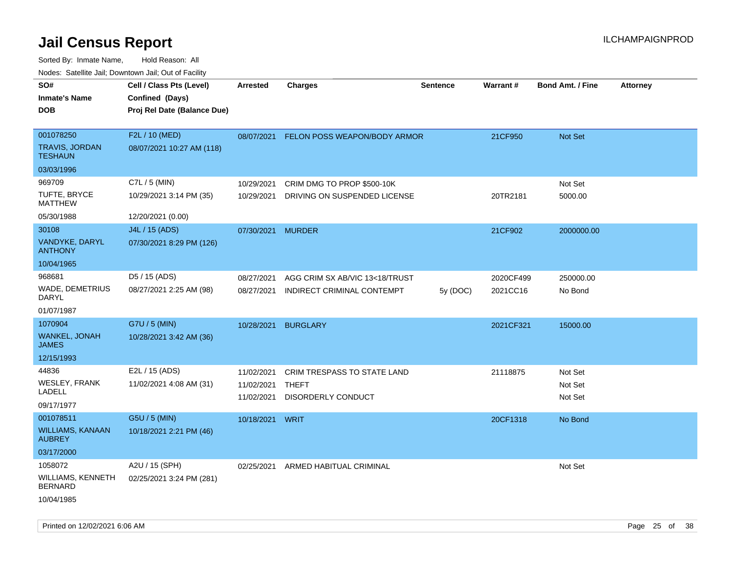| roaco. Catolino dall, Downtown dall, Out of Fability |                             |                   |                                    |                 |                 |                         |                 |
|------------------------------------------------------|-----------------------------|-------------------|------------------------------------|-----------------|-----------------|-------------------------|-----------------|
| SO#                                                  | Cell / Class Pts (Level)    | <b>Arrested</b>   | <b>Charges</b>                     | <b>Sentence</b> | <b>Warrant#</b> | <b>Bond Amt. / Fine</b> | <b>Attorney</b> |
| <b>Inmate's Name</b>                                 | Confined (Days)             |                   |                                    |                 |                 |                         |                 |
| <b>DOB</b>                                           | Proj Rel Date (Balance Due) |                   |                                    |                 |                 |                         |                 |
|                                                      |                             |                   |                                    |                 |                 |                         |                 |
| 001078250                                            | F2L / 10 (MED)              | 08/07/2021        | FELON POSS WEAPON/BODY ARMOR       |                 | 21CF950         | Not Set                 |                 |
| TRAVIS, JORDAN<br><b>TESHAUN</b>                     | 08/07/2021 10:27 AM (118)   |                   |                                    |                 |                 |                         |                 |
| 03/03/1996                                           |                             |                   |                                    |                 |                 |                         |                 |
| 969709                                               | C7L / 5 (MIN)               | 10/29/2021        | CRIM DMG TO PROP \$500-10K         |                 |                 | Not Set                 |                 |
| TUFTE, BRYCE<br><b>MATTHEW</b>                       | 10/29/2021 3:14 PM (35)     | 10/29/2021        | DRIVING ON SUSPENDED LICENSE       |                 | 20TR2181        | 5000.00                 |                 |
| 05/30/1988                                           | 12/20/2021 (0.00)           |                   |                                    |                 |                 |                         |                 |
| 30108                                                | J4L / 15 (ADS)              | 07/30/2021 MURDER |                                    |                 | 21CF902         | 2000000.00              |                 |
| VANDYKE, DARYL<br><b>ANTHONY</b>                     | 07/30/2021 8:29 PM (126)    |                   |                                    |                 |                 |                         |                 |
| 10/04/1965                                           |                             |                   |                                    |                 |                 |                         |                 |
| 968681                                               | D5 / 15 (ADS)               | 08/27/2021        | AGG CRIM SX AB/VIC 13<18/TRUST     |                 | 2020CF499       | 250000.00               |                 |
| WADE, DEMETRIUS<br>DARYL                             | 08/27/2021 2:25 AM (98)     | 08/27/2021        | INDIRECT CRIMINAL CONTEMPT         | 5y(DOC)         | 2021CC16        | No Bond                 |                 |
| 01/07/1987                                           |                             |                   |                                    |                 |                 |                         |                 |
| 1070904                                              | G7U / 5 (MIN)               | 10/28/2021        | <b>BURGLARY</b>                    |                 | 2021CF321       | 15000.00                |                 |
| WANKEL, JONAH<br><b>JAMES</b>                        | 10/28/2021 3:42 AM (36)     |                   |                                    |                 |                 |                         |                 |
| 12/15/1993                                           |                             |                   |                                    |                 |                 |                         |                 |
| 44836                                                | E2L / 15 (ADS)              | 11/02/2021        | <b>CRIM TRESPASS TO STATE LAND</b> |                 | 21118875        | Not Set                 |                 |
| WESLEY, FRANK                                        | 11/02/2021 4:08 AM (31)     | 11/02/2021        | THEFT                              |                 |                 | Not Set                 |                 |
| LADELL                                               |                             | 11/02/2021        | DISORDERLY CONDUCT                 |                 |                 | Not Set                 |                 |
| 09/17/1977                                           |                             |                   |                                    |                 |                 |                         |                 |
| 001078511                                            | G5U / 5 (MIN)               | 10/18/2021        | <b>WRIT</b>                        |                 | 20CF1318        | No Bond                 |                 |
| <b>WILLIAMS, KANAAN</b><br><b>AUBREY</b>             | 10/18/2021 2:21 PM (46)     |                   |                                    |                 |                 |                         |                 |
| 03/17/2000                                           |                             |                   |                                    |                 |                 |                         |                 |
| 1058072                                              | A2U / 15 (SPH)              | 02/25/2021        | ARMED HABITUAL CRIMINAL            |                 |                 | Not Set                 |                 |
| <b>WILLIAMS, KENNETH</b><br><b>BERNARD</b>           | 02/25/2021 3:24 PM (281)    |                   |                                    |                 |                 |                         |                 |
| 10/04/1985                                           |                             |                   |                                    |                 |                 |                         |                 |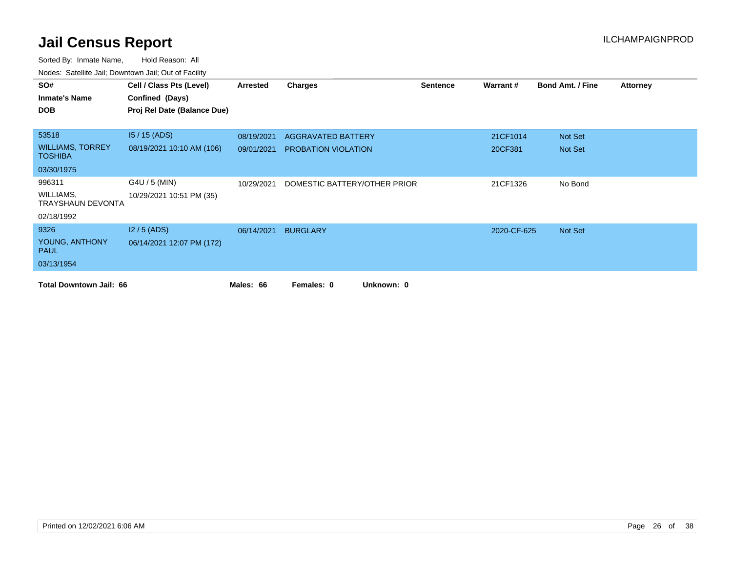| SO#                                       | Cell / Class Pts (Level)    | Arrested   | <b>Charges</b>               | <b>Sentence</b> | Warrant#    | <b>Bond Amt. / Fine</b> | <b>Attorney</b> |
|-------------------------------------------|-----------------------------|------------|------------------------------|-----------------|-------------|-------------------------|-----------------|
| <b>Inmate's Name</b>                      | Confined (Days)             |            |                              |                 |             |                         |                 |
| <b>DOB</b>                                | Proj Rel Date (Balance Due) |            |                              |                 |             |                         |                 |
|                                           |                             |            |                              |                 |             |                         |                 |
| 53518                                     | $15/15$ (ADS)               | 08/19/2021 | AGGRAVATED BATTERY           |                 | 21CF1014    | Not Set                 |                 |
| <b>WILLIAMS, TORREY</b><br><b>TOSHIBA</b> | 08/19/2021 10:10 AM (106)   | 09/01/2021 | PROBATION VIOLATION          |                 | 20CF381     | Not Set                 |                 |
| 03/30/1975                                |                             |            |                              |                 |             |                         |                 |
| 996311                                    | G4U / 5 (MIN)               | 10/29/2021 | DOMESTIC BATTERY/OTHER PRIOR |                 | 21CF1326    | No Bond                 |                 |
| WILLIAMS,<br>TRAYSHAUN DEVONTA            | 10/29/2021 10:51 PM (35)    |            |                              |                 |             |                         |                 |
| 02/18/1992                                |                             |            |                              |                 |             |                         |                 |
| 9326                                      | $12/5$ (ADS)                | 06/14/2021 | <b>BURGLARY</b>              |                 | 2020-CF-625 | Not Set                 |                 |
| YOUNG, ANTHONY<br><b>PAUL</b>             | 06/14/2021 12:07 PM (172)   |            |                              |                 |             |                         |                 |
| 03/13/1954                                |                             |            |                              |                 |             |                         |                 |
| <b>Total Downtown Jail: 66</b>            |                             | Males: 66  | Females: 0<br>Unknown: 0     |                 |             |                         |                 |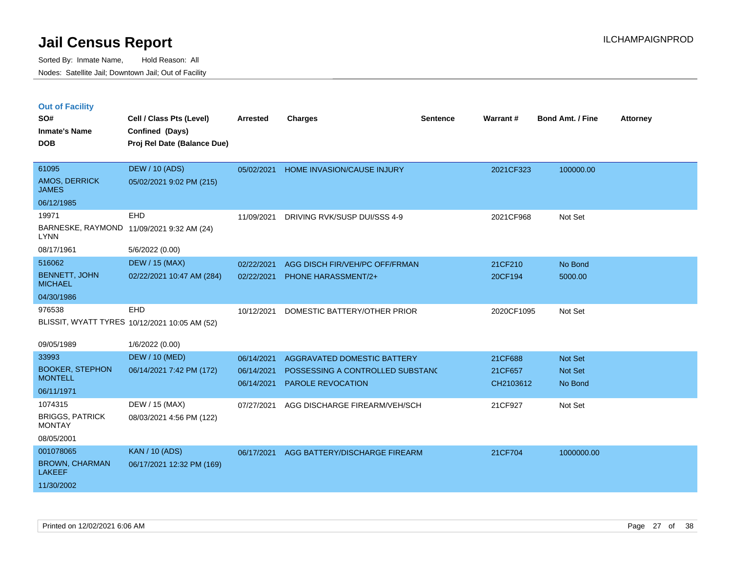|  | <b>Out of Facility</b> |  |
|--|------------------------|--|

| SO#<br><b>Inmate's Name</b><br><b>DOB</b> | Cell / Class Pts (Level)<br>Confined (Days)<br>Proj Rel Date (Balance Due) | <b>Arrested</b> | <b>Charges</b>                   | <b>Sentence</b> | <b>Warrant#</b> | Bond Amt. / Fine | <b>Attorney</b> |
|-------------------------------------------|----------------------------------------------------------------------------|-----------------|----------------------------------|-----------------|-----------------|------------------|-----------------|
| 61095<br>AMOS, DERRICK<br><b>JAMES</b>    | <b>DEW / 10 (ADS)</b><br>05/02/2021 9:02 PM (215)                          | 05/02/2021      | HOME INVASION/CAUSE INJURY       |                 | 2021CF323       | 100000.00        |                 |
| 06/12/1985                                |                                                                            |                 |                                  |                 |                 |                  |                 |
| 19971                                     | EHD                                                                        | 11/09/2021      | DRIVING RVK/SUSP DUI/SSS 4-9     |                 | 2021CF968       | Not Set          |                 |
| <b>LYNN</b>                               | BARNESKE, RAYMOND 11/09/2021 9:32 AM (24)                                  |                 |                                  |                 |                 |                  |                 |
| 08/17/1961                                | 5/6/2022 (0.00)                                                            |                 |                                  |                 |                 |                  |                 |
| 516062                                    | <b>DEW / 15 (MAX)</b>                                                      | 02/22/2021      | AGG DISCH FIR/VEH/PC OFF/FRMAN   |                 | 21CF210         | No Bond          |                 |
| <b>BENNETT, JOHN</b><br><b>MICHAEL</b>    | 02/22/2021 10:47 AM (284)                                                  | 02/22/2021      | <b>PHONE HARASSMENT/2+</b>       |                 | 20CF194         | 5000.00          |                 |
| 04/30/1986                                |                                                                            |                 |                                  |                 |                 |                  |                 |
| 976538                                    | EHD                                                                        | 10/12/2021      | DOMESTIC BATTERY/OTHER PRIOR     |                 | 2020CF1095      | Not Set          |                 |
|                                           | BLISSIT, WYATT TYRES 10/12/2021 10:05 AM (52)                              |                 |                                  |                 |                 |                  |                 |
| 09/05/1989                                | 1/6/2022 (0.00)                                                            |                 |                                  |                 |                 |                  |                 |
| 33993                                     | <b>DEW / 10 (MED)</b>                                                      | 06/14/2021      | AGGRAVATED DOMESTIC BATTERY      |                 | 21CF688         | Not Set          |                 |
| <b>BOOKER, STEPHON</b>                    | 06/14/2021 7:42 PM (172)                                                   | 06/14/2021      | POSSESSING A CONTROLLED SUBSTAND |                 | 21CF657         | Not Set          |                 |
| <b>MONTELL</b>                            |                                                                            | 06/14/2021      | PAROLE REVOCATION                |                 | CH2103612       | No Bond          |                 |
| 06/11/1971                                |                                                                            |                 |                                  |                 |                 |                  |                 |
| 1074315                                   | DEW / 15 (MAX)                                                             | 07/27/2021      | AGG DISCHARGE FIREARM/VEH/SCH    |                 | 21CF927         | Not Set          |                 |
| <b>BRIGGS, PATRICK</b><br><b>MONTAY</b>   | 08/03/2021 4:56 PM (122)                                                   |                 |                                  |                 |                 |                  |                 |
| 08/05/2001                                |                                                                            |                 |                                  |                 |                 |                  |                 |
| 001078065                                 | <b>KAN / 10 (ADS)</b>                                                      | 06/17/2021      | AGG BATTERY/DISCHARGE FIREARM    |                 | 21CF704         | 1000000.00       |                 |
| <b>BROWN, CHARMAN</b><br><b>LAKEEF</b>    | 06/17/2021 12:32 PM (169)                                                  |                 |                                  |                 |                 |                  |                 |
| 11/30/2002                                |                                                                            |                 |                                  |                 |                 |                  |                 |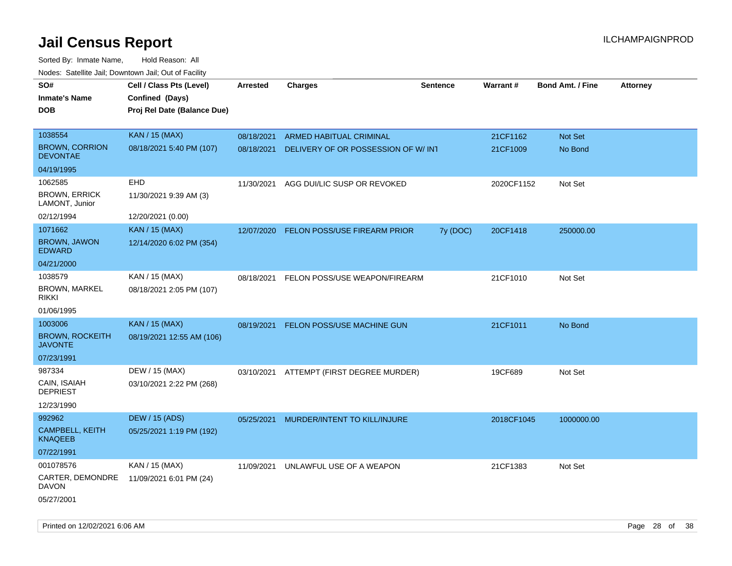| SO#<br><b>Inmate's Name</b><br><b>DOB</b> | Cell / Class Pts (Level)<br>Confined (Days)<br>Proj Rel Date (Balance Due) | Arrested   | <b>Charges</b>                     | <b>Sentence</b> | <b>Warrant#</b> | <b>Bond Amt. / Fine</b> | <b>Attorney</b> |
|-------------------------------------------|----------------------------------------------------------------------------|------------|------------------------------------|-----------------|-----------------|-------------------------|-----------------|
| 1038554                                   | <b>KAN / 15 (MAX)</b>                                                      | 08/18/2021 | <b>ARMED HABITUAL CRIMINAL</b>     |                 | 21CF1162        | <b>Not Set</b>          |                 |
| <b>BROWN, CORRION</b><br><b>DEVONTAE</b>  | 08/18/2021 5:40 PM (107)                                                   | 08/18/2021 | DELIVERY OF OR POSSESSION OF W/INT |                 | 21CF1009        | No Bond                 |                 |
| 04/19/1995                                |                                                                            |            |                                    |                 |                 |                         |                 |
| 1062585                                   | <b>EHD</b>                                                                 | 11/30/2021 | AGG DUI/LIC SUSP OR REVOKED        |                 | 2020CF1152      | Not Set                 |                 |
| <b>BROWN, ERRICK</b><br>LAMONT, Junior    | 11/30/2021 9:39 AM (3)                                                     |            |                                    |                 |                 |                         |                 |
| 02/12/1994                                | 12/20/2021 (0.00)                                                          |            |                                    |                 |                 |                         |                 |
| 1071662                                   | <b>KAN / 15 (MAX)</b>                                                      | 12/07/2020 | FELON POSS/USE FIREARM PRIOR       | 7y (DOC)        | 20CF1418        | 250000.00               |                 |
| <b>BROWN, JAWON</b><br><b>EDWARD</b>      | 12/14/2020 6:02 PM (354)                                                   |            |                                    |                 |                 |                         |                 |
| 04/21/2000                                |                                                                            |            |                                    |                 |                 |                         |                 |
| 1038579                                   | KAN / 15 (MAX)                                                             | 08/18/2021 | FELON POSS/USE WEAPON/FIREARM      |                 | 21CF1010        | Not Set                 |                 |
| <b>BROWN, MARKEL</b><br><b>RIKKI</b>      | 08/18/2021 2:05 PM (107)                                                   |            |                                    |                 |                 |                         |                 |
| 01/06/1995                                |                                                                            |            |                                    |                 |                 |                         |                 |
| 1003006                                   | <b>KAN / 15 (MAX)</b>                                                      | 08/19/2021 | FELON POSS/USE MACHINE GUN         |                 | 21CF1011        | No Bond                 |                 |
| <b>BROWN, ROCKEITH</b><br><b>JAVONTE</b>  | 08/19/2021 12:55 AM (106)                                                  |            |                                    |                 |                 |                         |                 |
| 07/23/1991                                |                                                                            |            |                                    |                 |                 |                         |                 |
| 987334                                    | DEW / 15 (MAX)                                                             | 03/10/2021 | ATTEMPT (FIRST DEGREE MURDER)      |                 | 19CF689         | Not Set                 |                 |
| CAIN, ISAIAH<br><b>DEPRIEST</b>           | 03/10/2021 2:22 PM (268)                                                   |            |                                    |                 |                 |                         |                 |
| 12/23/1990                                |                                                                            |            |                                    |                 |                 |                         |                 |
| 992962                                    | <b>DEW / 15 (ADS)</b>                                                      | 05/25/2021 | MURDER/INTENT TO KILL/INJURE       |                 | 2018CF1045      | 1000000.00              |                 |
| CAMPBELL, KEITH<br><b>KNAQEEB</b>         | 05/25/2021 1:19 PM (192)                                                   |            |                                    |                 |                 |                         |                 |
| 07/22/1991                                |                                                                            |            |                                    |                 |                 |                         |                 |
| 001078576                                 | KAN / 15 (MAX)                                                             | 11/09/2021 | UNLAWFUL USE OF A WEAPON           |                 | 21CF1383        | Not Set                 |                 |
| CARTER, DEMONDRE<br>DAVON                 | 11/09/2021 6:01 PM (24)                                                    |            |                                    |                 |                 |                         |                 |
| 05/27/2001                                |                                                                            |            |                                    |                 |                 |                         |                 |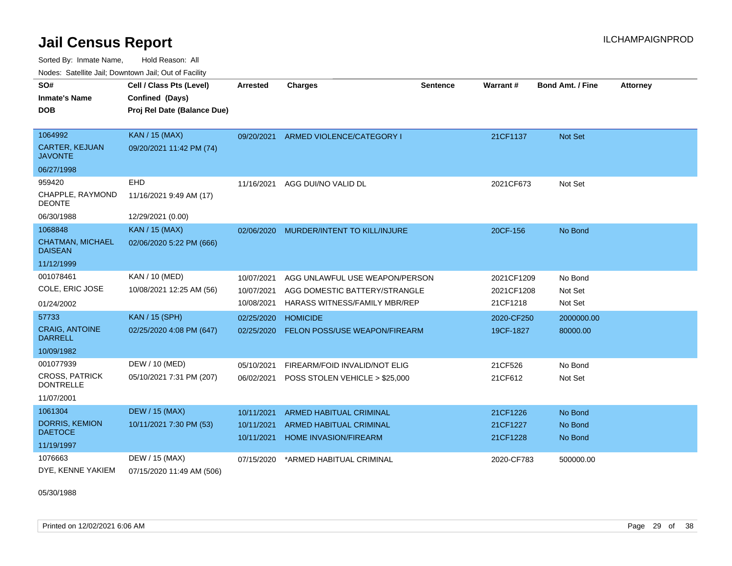Sorted By: Inmate Name, Hold Reason: All Nodes: Satellite Jail; Downtown Jail; Out of Facility

| ivuutis. Galtiillit Jall, Duwilluwii Jall, Oul of Facility |                             |                 |                                      |                 |                 |                         |                 |
|------------------------------------------------------------|-----------------------------|-----------------|--------------------------------------|-----------------|-----------------|-------------------------|-----------------|
| SO#                                                        | Cell / Class Pts (Level)    | <b>Arrested</b> | <b>Charges</b>                       | <b>Sentence</b> | <b>Warrant#</b> | <b>Bond Amt. / Fine</b> | <b>Attorney</b> |
| <b>Inmate's Name</b>                                       | Confined (Days)             |                 |                                      |                 |                 |                         |                 |
| <b>DOB</b>                                                 | Proj Rel Date (Balance Due) |                 |                                      |                 |                 |                         |                 |
|                                                            |                             |                 |                                      |                 |                 |                         |                 |
| 1064992                                                    | <b>KAN / 15 (MAX)</b>       |                 | 09/20/2021 ARMED VIOLENCE/CATEGORY I |                 | 21CF1137        | Not Set                 |                 |
| <b>CARTER, KEJUAN</b><br><b>JAVONTE</b>                    | 09/20/2021 11:42 PM (74)    |                 |                                      |                 |                 |                         |                 |
| 06/27/1998                                                 |                             |                 |                                      |                 |                 |                         |                 |
| 959420                                                     | <b>EHD</b>                  | 11/16/2021      | AGG DUI/NO VALID DL                  |                 | 2021CF673       | Not Set                 |                 |
| CHAPPLE, RAYMOND<br><b>DEONTE</b>                          | 11/16/2021 9:49 AM (17)     |                 |                                      |                 |                 |                         |                 |
| 06/30/1988                                                 | 12/29/2021 (0.00)           |                 |                                      |                 |                 |                         |                 |
| 1068848                                                    | <b>KAN / 15 (MAX)</b>       | 02/06/2020      | MURDER/INTENT TO KILL/INJURE         |                 | 20CF-156        | No Bond                 |                 |
| <b>CHATMAN, MICHAEL</b><br><b>DAISEAN</b>                  | 02/06/2020 5:22 PM (666)    |                 |                                      |                 |                 |                         |                 |
| 11/12/1999                                                 |                             |                 |                                      |                 |                 |                         |                 |
| 001078461                                                  | KAN / 10 (MED)              | 10/07/2021      | AGG UNLAWFUL USE WEAPON/PERSON       |                 | 2021CF1209      | No Bond                 |                 |
| COLE, ERIC JOSE                                            | 10/08/2021 12:25 AM (56)    | 10/07/2021      | AGG DOMESTIC BATTERY/STRANGLE        |                 | 2021CF1208      | Not Set                 |                 |
| 01/24/2002                                                 |                             | 10/08/2021      | HARASS WITNESS/FAMILY MBR/REP        |                 | 21CF1218        | Not Set                 |                 |
| 57733                                                      | <b>KAN / 15 (SPH)</b>       | 02/25/2020      | <b>HOMICIDE</b>                      |                 | 2020-CF250      | 2000000.00              |                 |
| <b>CRAIG, ANTOINE</b><br><b>DARRELL</b>                    | 02/25/2020 4:08 PM (647)    | 02/25/2020      | <b>FELON POSS/USE WEAPON/FIREARM</b> |                 | 19CF-1827       | 80000.00                |                 |
| 10/09/1982                                                 |                             |                 |                                      |                 |                 |                         |                 |
| 001077939                                                  | DEW / 10 (MED)              | 05/10/2021      | FIREARM/FOID INVALID/NOT ELIG        |                 | 21CF526         | No Bond                 |                 |
| <b>CROSS, PATRICK</b><br><b>DONTRELLE</b>                  | 05/10/2021 7:31 PM (207)    | 06/02/2021      | POSS STOLEN VEHICLE > \$25,000       |                 | 21CF612         | Not Set                 |                 |
| 11/07/2001                                                 |                             |                 |                                      |                 |                 |                         |                 |
| 1061304                                                    | <b>DEW / 15 (MAX)</b>       | 10/11/2021      | <b>ARMED HABITUAL CRIMINAL</b>       |                 | 21CF1226        | No Bond                 |                 |
| DORRIS, KEMION                                             | 10/11/2021 7:30 PM (53)     | 10/11/2021      | <b>ARMED HABITUAL CRIMINAL</b>       |                 | 21CF1227        | No Bond                 |                 |
| <b>DAETOCE</b>                                             |                             | 10/11/2021      | <b>HOME INVASION/FIREARM</b>         |                 | 21CF1228        | No Bond                 |                 |
| 11/19/1997                                                 |                             |                 |                                      |                 |                 |                         |                 |
| 1076663                                                    | DEW / 15 (MAX)              | 07/15/2020      | *ARMED HABITUAL CRIMINAL             |                 | 2020-CF783      | 500000.00               |                 |
| DYE, KENNE YAKIEM                                          | 07/15/2020 11:49 AM (506)   |                 |                                      |                 |                 |                         |                 |

05/30/1988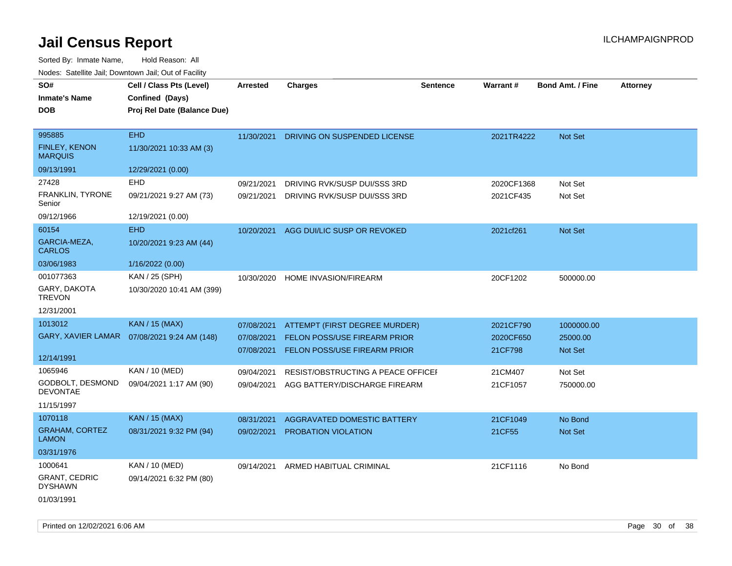| SO#                                    | Cell / Class Pts (Level)                     | <b>Arrested</b> | <b>Charges</b>                     | <b>Sentence</b> | Warrant#   | <b>Bond Amt. / Fine</b> | <b>Attorney</b> |
|----------------------------------------|----------------------------------------------|-----------------|------------------------------------|-----------------|------------|-------------------------|-----------------|
| Inmate's Name                          | Confined (Days)                              |                 |                                    |                 |            |                         |                 |
| DOB                                    | Proj Rel Date (Balance Due)                  |                 |                                    |                 |            |                         |                 |
| 995885                                 | <b>EHD</b>                                   | 11/30/2021      | DRIVING ON SUSPENDED LICENSE       |                 | 2021TR4222 | Not Set                 |                 |
| FINLEY, KENON<br><b>MARQUIS</b>        | 11/30/2021 10:33 AM (3)                      |                 |                                    |                 |            |                         |                 |
| 09/13/1991                             | 12/29/2021 (0.00)                            |                 |                                    |                 |            |                         |                 |
| 27428                                  | <b>EHD</b>                                   | 09/21/2021      | DRIVING RVK/SUSP DUI/SSS 3RD       |                 | 2020CF1368 | Not Set                 |                 |
| FRANKLIN, TYRONE<br>Senior             | 09/21/2021 9:27 AM (73)                      | 09/21/2021      | DRIVING RVK/SUSP DUI/SSS 3RD       |                 | 2021CF435  | Not Set                 |                 |
| 09/12/1966                             | 12/19/2021 (0.00)                            |                 |                                    |                 |            |                         |                 |
| 60154                                  | <b>EHD</b>                                   | 10/20/2021      | AGG DUI/LIC SUSP OR REVOKED        |                 | 2021cf261  | <b>Not Set</b>          |                 |
| GARCIA-MEZA,<br><b>CARLOS</b>          | 10/20/2021 9:23 AM (44)                      |                 |                                    |                 |            |                         |                 |
| 03/06/1983                             | 1/16/2022 (0.00)                             |                 |                                    |                 |            |                         |                 |
| 001077363                              | KAN / 25 (SPH)                               | 10/30/2020      | HOME INVASION/FIREARM              |                 | 20CF1202   | 500000.00               |                 |
| GARY, DAKOTA<br><b>TREVON</b>          | 10/30/2020 10:41 AM (399)                    |                 |                                    |                 |            |                         |                 |
| 12/31/2001                             |                                              |                 |                                    |                 |            |                         |                 |
| 1013012                                | <b>KAN / 15 (MAX)</b>                        | 07/08/2021      | ATTEMPT (FIRST DEGREE MURDER)      |                 | 2021CF790  | 1000000.00              |                 |
|                                        | GARY, XAVIER LAMAR  07/08/2021 9:24 AM (148) | 07/08/2021      | FELON POSS/USE FIREARM PRIOR       |                 | 2020CF650  | 25000.00                |                 |
|                                        |                                              | 07/08/2021      | FELON POSS/USE FIREARM PRIOR       |                 | 21CF798    | Not Set                 |                 |
| 12/14/1991                             |                                              |                 |                                    |                 |            |                         |                 |
| 1065946                                | KAN / 10 (MED)                               | 09/04/2021      | RESIST/OBSTRUCTING A PEACE OFFICE  |                 | 21CM407    | Not Set                 |                 |
| GODBOLT, DESMOND<br><b>DEVONTAE</b>    | 09/04/2021 1:17 AM (90)                      | 09/04/2021      | AGG BATTERY/DISCHARGE FIREARM      |                 | 21CF1057   | 750000.00               |                 |
| 11/15/1997                             |                                              |                 |                                    |                 |            |                         |                 |
| 1070118                                | <b>KAN / 15 (MAX)</b>                        | 08/31/2021      | <b>AGGRAVATED DOMESTIC BATTERY</b> |                 | 21CF1049   | No Bond                 |                 |
| <b>GRAHAM, CORTEZ</b><br><b>LAMON</b>  | 08/31/2021 9:32 PM (94)                      | 09/02/2021      | PROBATION VIOLATION                |                 | 21CF55     | <b>Not Set</b>          |                 |
| 03/31/1976                             |                                              |                 |                                    |                 |            |                         |                 |
| 1000641                                | KAN / 10 (MED)                               | 09/14/2021      | ARMED HABITUAL CRIMINAL            |                 | 21CF1116   | No Bond                 |                 |
| <b>GRANT, CEDRIC</b><br><b>DYSHAWN</b> | 09/14/2021 6:32 PM (80)                      |                 |                                    |                 |            |                         |                 |
| 01/03/1991                             |                                              |                 |                                    |                 |            |                         |                 |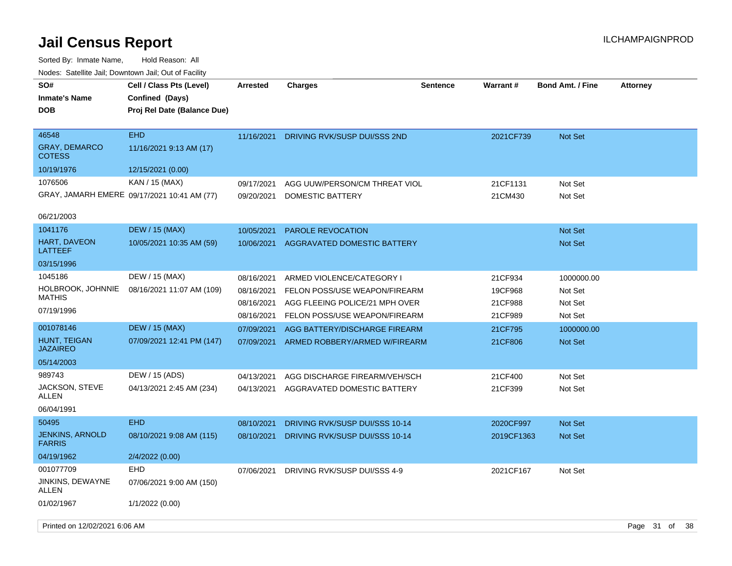| SO#<br><b>Inmate's Name</b><br>DOB             | Cell / Class Pts (Level)<br>Confined (Days)<br>Proj Rel Date (Balance Due) | <b>Arrested</b>          | <b>Charges</b>                                                  | <b>Sentence</b> | <b>Warrant#</b>    | <b>Bond Amt. / Fine</b> | <b>Attorney</b> |      |
|------------------------------------------------|----------------------------------------------------------------------------|--------------------------|-----------------------------------------------------------------|-----------------|--------------------|-------------------------|-----------------|------|
| 46548<br><b>GRAY, DEMARCO</b><br><b>COTESS</b> | <b>EHD</b><br>11/16/2021 9:13 AM (17)                                      | 11/16/2021               | DRIVING RVK/SUSP DUI/SSS 2ND                                    |                 | 2021CF739          | <b>Not Set</b>          |                 |      |
| 10/19/1976                                     | 12/15/2021 (0.00)                                                          |                          |                                                                 |                 |                    |                         |                 |      |
| 1076506                                        | KAN / 15 (MAX)                                                             | 09/17/2021               | AGG UUW/PERSON/CM THREAT VIOL                                   |                 | 21CF1131           | Not Set                 |                 |      |
|                                                | GRAY, JAMARH EMERE 09/17/2021 10:41 AM (77)                                | 09/20/2021               | <b>DOMESTIC BATTERY</b>                                         |                 | 21CM430            | Not Set                 |                 |      |
| 06/21/2003                                     |                                                                            |                          |                                                                 |                 |                    |                         |                 |      |
| 1041176                                        | <b>DEW / 15 (MAX)</b>                                                      | 10/05/2021               | PAROLE REVOCATION                                               |                 |                    | <b>Not Set</b>          |                 |      |
| HART, DAVEON<br>LATTEEF                        | 10/05/2021 10:35 AM (59)                                                   | 10/06/2021               | AGGRAVATED DOMESTIC BATTERY                                     |                 |                    | <b>Not Set</b>          |                 |      |
| 03/15/1996                                     |                                                                            |                          |                                                                 |                 |                    |                         |                 |      |
| 1045186                                        | DEW / 15 (MAX)                                                             | 08/16/2021               | ARMED VIOLENCE/CATEGORY I                                       |                 | 21CF934            | 1000000.00              |                 |      |
| HOLBROOK, JOHNNIE<br>MATHIS                    | 08/16/2021 11:07 AM (109)                                                  | 08/16/2021               | FELON POSS/USE WEAPON/FIREARM                                   |                 | 19CF968            | Not Set                 |                 |      |
| 07/19/1996                                     |                                                                            | 08/16/2021<br>08/16/2021 | AGG FLEEING POLICE/21 MPH OVER<br>FELON POSS/USE WEAPON/FIREARM |                 | 21CF988<br>21CF989 | Not Set<br>Not Set      |                 |      |
| 001078146                                      | <b>DEW / 15 (MAX)</b>                                                      | 07/09/2021               | AGG BATTERY/DISCHARGE FIREARM                                   |                 | 21CF795            | 1000000.00              |                 |      |
| HUNT, TEIGAN<br><b>JAZAIREO</b>                | 07/09/2021 12:41 PM (147)                                                  | 07/09/2021               | ARMED ROBBERY/ARMED W/FIREARM                                   |                 | 21CF806            | <b>Not Set</b>          |                 |      |
| 05/14/2003                                     |                                                                            |                          |                                                                 |                 |                    |                         |                 |      |
| 989743                                         | DEW / 15 (ADS)                                                             | 04/13/2021               | AGG DISCHARGE FIREARM/VEH/SCH                                   |                 | 21CF400            | Not Set                 |                 |      |
| JACKSON, STEVE<br>ALLEN                        | 04/13/2021 2:45 AM (234)                                                   | 04/13/2021               | AGGRAVATED DOMESTIC BATTERY                                     |                 | 21CF399            | Not Set                 |                 |      |
| 06/04/1991                                     |                                                                            |                          |                                                                 |                 |                    |                         |                 |      |
| 50495                                          | <b>EHD</b>                                                                 | 08/10/2021               | DRIVING RVK/SUSP DUI/SSS 10-14                                  |                 | 2020CF997          | <b>Not Set</b>          |                 |      |
| JENKINS, ARNOLD<br><b>FARRIS</b>               | 08/10/2021 9:08 AM (115)                                                   | 08/10/2021               | DRIVING RVK/SUSP DUI/SSS 10-14                                  |                 | 2019CF1363         | Not Set                 |                 |      |
| 04/19/1962                                     | 2/4/2022 (0.00)                                                            |                          |                                                                 |                 |                    |                         |                 |      |
| 001077709                                      | <b>EHD</b>                                                                 | 07/06/2021               | DRIVING RVK/SUSP DUI/SSS 4-9                                    |                 | 2021CF167          | Not Set                 |                 |      |
| JINKINS, DEWAYNE<br><b>ALLEN</b>               | 07/06/2021 9:00 AM (150)                                                   |                          |                                                                 |                 |                    |                         |                 |      |
| 01/02/1967                                     | 1/1/2022 (0.00)                                                            |                          |                                                                 |                 |                    |                         |                 |      |
| Printed on 12/02/2021 6:06 AM                  |                                                                            |                          |                                                                 |                 |                    |                         | Page 31 of      | - 38 |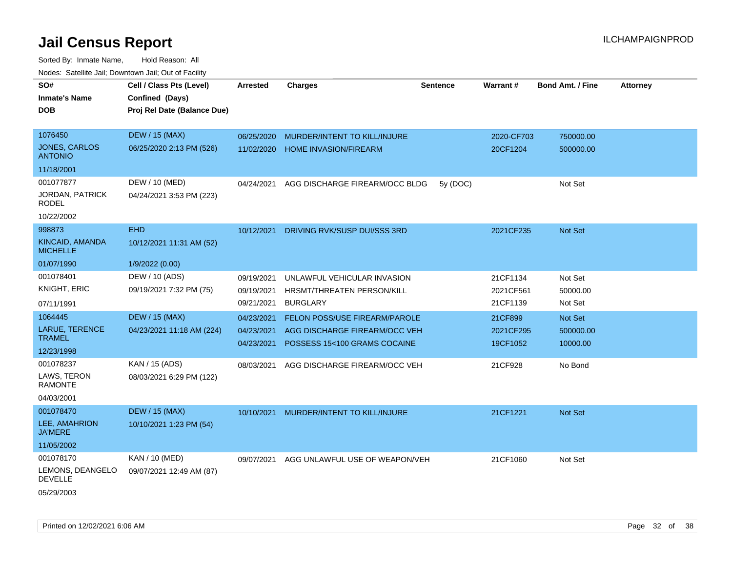| SO#<br><b>Inmate's Name</b><br>DOB                              | Cell / Class Pts (Level)<br>Confined (Days)<br>Proj Rel Date (Balance Due) | <b>Arrested</b>                        | <b>Charges</b>                                                                                        | <b>Sentence</b> | <b>Warrant#</b>                   | <b>Bond Amt. / Fine</b>          | <b>Attorney</b> |
|-----------------------------------------------------------------|----------------------------------------------------------------------------|----------------------------------------|-------------------------------------------------------------------------------------------------------|-----------------|-----------------------------------|----------------------------------|-----------------|
| 1076450<br><b>JONES, CARLOS</b><br><b>ANTONIO</b><br>11/18/2001 | <b>DEW / 15 (MAX)</b><br>06/25/2020 2:13 PM (526)                          | 06/25/2020<br>11/02/2020               | MURDER/INTENT TO KILL/INJURE<br><b>HOME INVASION/FIREARM</b>                                          |                 | 2020-CF703<br>20CF1204            | 750000.00<br>500000.00           |                 |
| 001077877<br>JORDAN, PATRICK<br><b>RODEL</b><br>10/22/2002      | DEW / 10 (MED)<br>04/24/2021 3:53 PM (223)                                 | 04/24/2021                             | AGG DISCHARGE FIREARM/OCC BLDG                                                                        | 5y (DOC)        |                                   | Not Set                          |                 |
| 998873<br>KINCAID, AMANDA<br><b>MICHELLE</b><br>01/07/1990      | <b>EHD</b><br>10/12/2021 11:31 AM (52)<br>1/9/2022 (0.00)                  | 10/12/2021                             | DRIVING RVK/SUSP DUI/SSS 3RD                                                                          |                 | 2021CF235                         | Not Set                          |                 |
| 001078401<br>KNIGHT, ERIC<br>07/11/1991                         | DEW / 10 (ADS)<br>09/19/2021 7:32 PM (75)                                  | 09/19/2021<br>09/19/2021<br>09/21/2021 | UNLAWFUL VEHICULAR INVASION<br>HRSMT/THREATEN PERSON/KILL<br><b>BURGLARY</b>                          |                 | 21CF1134<br>2021CF561<br>21CF1139 | Not Set<br>50000.00<br>Not Set   |                 |
| 1064445<br><b>LARUE, TERENCE</b><br><b>TRAMEL</b><br>12/23/1998 | <b>DEW / 15 (MAX)</b><br>04/23/2021 11:18 AM (224)                         | 04/23/2021<br>04/23/2021<br>04/23/2021 | <b>FELON POSS/USE FIREARM/PAROLE</b><br>AGG DISCHARGE FIREARM/OCC VEH<br>POSSESS 15<100 GRAMS COCAINE |                 | 21CF899<br>2021CF295<br>19CF1052  | Not Set<br>500000.00<br>10000.00 |                 |
| 001078237<br>LAWS, TERON<br><b>RAMONTE</b><br>04/03/2001        | KAN / 15 (ADS)<br>08/03/2021 6:29 PM (122)                                 | 08/03/2021                             | AGG DISCHARGE FIREARM/OCC VEH                                                                         |                 | 21CF928                           | No Bond                          |                 |
| 001078470<br>LEE, AMAHRION<br><b>JA'MERE</b><br>11/05/2002      | <b>DEW / 15 (MAX)</b><br>10/10/2021 1:23 PM (54)                           | 10/10/2021                             | MURDER/INTENT TO KILL/INJURE                                                                          |                 | 21CF1221                          | Not Set                          |                 |
| 001078170<br>LEMONS, DEANGELO<br><b>DEVELLE</b><br>05/29/2003   | KAN / 10 (MED)<br>09/07/2021 12:49 AM (87)                                 | 09/07/2021                             | AGG UNLAWFUL USE OF WEAPON/VEH                                                                        |                 | 21CF1060                          | Not Set                          |                 |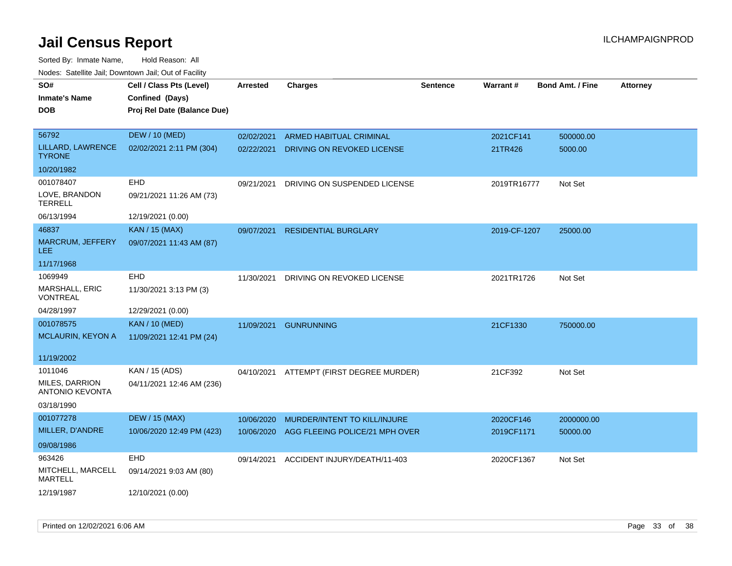| SO#                                      | Cell / Class Pts (Level)    | <b>Arrested</b> | <b>Charges</b>                           | <b>Sentence</b> | Warrant#     | <b>Bond Amt. / Fine</b> | <b>Attorney</b> |
|------------------------------------------|-----------------------------|-----------------|------------------------------------------|-----------------|--------------|-------------------------|-----------------|
| Inmate's Name                            | Confined (Days)             |                 |                                          |                 |              |                         |                 |
| <b>DOB</b>                               | Proj Rel Date (Balance Due) |                 |                                          |                 |              |                         |                 |
|                                          |                             |                 |                                          |                 |              |                         |                 |
| 56792                                    | <b>DEW / 10 (MED)</b>       | 02/02/2021      | <b>ARMED HABITUAL CRIMINAL</b>           |                 | 2021CF141    | 500000.00               |                 |
| LILLARD, LAWRENCE<br><b>TYRONE</b>       | 02/02/2021 2:11 PM (304)    | 02/22/2021      | DRIVING ON REVOKED LICENSE               |                 | 21TR426      | 5000.00                 |                 |
| 10/20/1982                               |                             |                 |                                          |                 |              |                         |                 |
| 001078407                                | EHD                         | 09/21/2021      | DRIVING ON SUSPENDED LICENSE             |                 | 2019TR16777  | Not Set                 |                 |
| LOVE, BRANDON<br><b>TERRELL</b>          | 09/21/2021 11:26 AM (73)    |                 |                                          |                 |              |                         |                 |
| 06/13/1994                               | 12/19/2021 (0.00)           |                 |                                          |                 |              |                         |                 |
| 46837                                    | <b>KAN / 15 (MAX)</b>       | 09/07/2021      | <b>RESIDENTIAL BURGLARY</b>              |                 | 2019-CF-1207 | 25000.00                |                 |
| <b>MARCRUM, JEFFERY</b><br>LEE.          | 09/07/2021 11:43 AM (87)    |                 |                                          |                 |              |                         |                 |
| 11/17/1968                               |                             |                 |                                          |                 |              |                         |                 |
| 1069949                                  | <b>EHD</b>                  | 11/30/2021      | DRIVING ON REVOKED LICENSE               |                 | 2021TR1726   | Not Set                 |                 |
| MARSHALL, ERIC<br>VONTREAL               | 11/30/2021 3:13 PM (3)      |                 |                                          |                 |              |                         |                 |
| 04/28/1997                               | 12/29/2021 (0.00)           |                 |                                          |                 |              |                         |                 |
| 001078575                                | <b>KAN / 10 (MED)</b>       | 11/09/2021      | <b>GUNRUNNING</b>                        |                 | 21CF1330     | 750000.00               |                 |
| MCLAURIN, KEYON A                        | 11/09/2021 12:41 PM (24)    |                 |                                          |                 |              |                         |                 |
|                                          |                             |                 |                                          |                 |              |                         |                 |
| 11/19/2002                               |                             |                 |                                          |                 |              |                         |                 |
| 1011046                                  | KAN / 15 (ADS)              |                 | 04/10/2021 ATTEMPT (FIRST DEGREE MURDER) |                 | 21CF392      | Not Set                 |                 |
| MILES, DARRION<br><b>ANTONIO KEVONTA</b> | 04/11/2021 12:46 AM (236)   |                 |                                          |                 |              |                         |                 |
| 03/18/1990                               |                             |                 |                                          |                 |              |                         |                 |
| 001077278                                | <b>DEW / 15 (MAX)</b>       | 10/06/2020      | MURDER/INTENT TO KILL/INJURE             |                 | 2020CF146    | 2000000.00              |                 |
| MILLER, D'ANDRE                          | 10/06/2020 12:49 PM (423)   | 10/06/2020      | AGG FLEEING POLICE/21 MPH OVER           |                 | 2019CF1171   | 50000.00                |                 |
| 09/08/1986                               |                             |                 |                                          |                 |              |                         |                 |
| 963426                                   | EHD                         | 09/14/2021      | ACCIDENT INJURY/DEATH/11-403             |                 | 2020CF1367   | Not Set                 |                 |
| MITCHELL, MARCELL<br><b>MARTELL</b>      | 09/14/2021 9:03 AM (80)     |                 |                                          |                 |              |                         |                 |
| 12/19/1987                               | 12/10/2021 (0.00)           |                 |                                          |                 |              |                         |                 |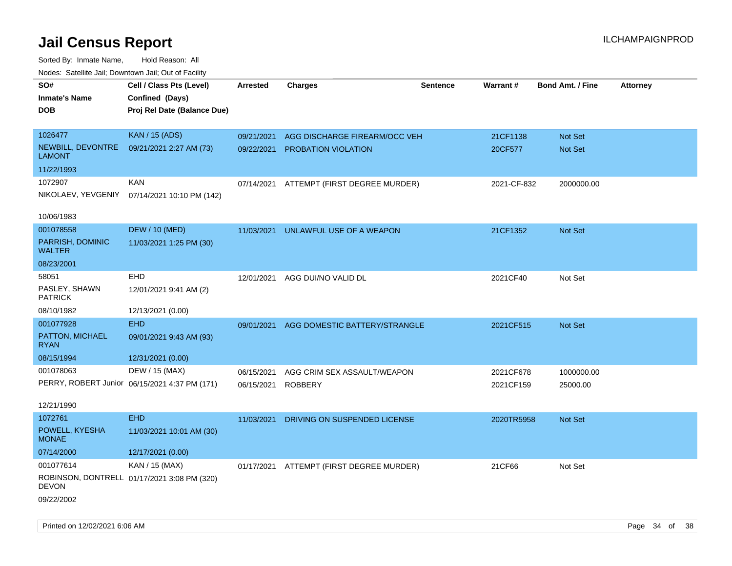| roaco. Oatomto dan, Downtown dan, Oat or Fability |                                               |                 |                                          |                 |             |                         |                 |
|---------------------------------------------------|-----------------------------------------------|-----------------|------------------------------------------|-----------------|-------------|-------------------------|-----------------|
| SO#                                               | Cell / Class Pts (Level)                      | <b>Arrested</b> | <b>Charges</b>                           | <b>Sentence</b> | Warrant#    | <b>Bond Amt. / Fine</b> | <b>Attorney</b> |
| <b>Inmate's Name</b>                              | Confined (Days)                               |                 |                                          |                 |             |                         |                 |
| <b>DOB</b>                                        | Proj Rel Date (Balance Due)                   |                 |                                          |                 |             |                         |                 |
|                                                   |                                               |                 |                                          |                 |             |                         |                 |
| 1026477                                           | <b>KAN / 15 (ADS)</b>                         | 09/21/2021      | AGG DISCHARGE FIREARM/OCC VEH            |                 | 21CF1138    | Not Set                 |                 |
| NEWBILL, DEVONTRE<br><b>LAMONT</b>                | 09/21/2021 2:27 AM (73)                       |                 | 09/22/2021 PROBATION VIOLATION           |                 | 20CF577     | Not Set                 |                 |
| 11/22/1993                                        |                                               |                 |                                          |                 |             |                         |                 |
| 1072907                                           | <b>KAN</b>                                    |                 | 07/14/2021 ATTEMPT (FIRST DEGREE MURDER) |                 | 2021-CF-832 | 2000000.00              |                 |
|                                                   | NIKOLAEV, YEVGENIY 07/14/2021 10:10 PM (142)  |                 |                                          |                 |             |                         |                 |
| 10/06/1983                                        |                                               |                 |                                          |                 |             |                         |                 |
| 001078558                                         | <b>DEW / 10 (MED)</b>                         | 11/03/2021      | UNLAWFUL USE OF A WEAPON                 |                 | 21CF1352    | Not Set                 |                 |
| PARRISH, DOMINIC<br><b>WALTER</b>                 | 11/03/2021 1:25 PM (30)                       |                 |                                          |                 |             |                         |                 |
| 08/23/2001                                        |                                               |                 |                                          |                 |             |                         |                 |
| 58051                                             | <b>EHD</b>                                    | 12/01/2021      | AGG DUI/NO VALID DL                      |                 | 2021CF40    | Not Set                 |                 |
| PASLEY, SHAWN<br><b>PATRICK</b>                   | 12/01/2021 9:41 AM (2)                        |                 |                                          |                 |             |                         |                 |
| 08/10/1982                                        | 12/13/2021 (0.00)                             |                 |                                          |                 |             |                         |                 |
| 001077928                                         | <b>EHD</b>                                    | 09/01/2021      | AGG DOMESTIC BATTERY/STRANGLE            |                 | 2021CF515   | Not Set                 |                 |
| PATTON, MICHAEL<br><b>RYAN</b>                    | 09/01/2021 9:43 AM (93)                       |                 |                                          |                 |             |                         |                 |
| 08/15/1994                                        | 12/31/2021 (0.00)                             |                 |                                          |                 |             |                         |                 |
| 001078063                                         | DEW / 15 (MAX)                                | 06/15/2021      | AGG CRIM SEX ASSAULT/WEAPON              |                 | 2021CF678   | 1000000.00              |                 |
|                                                   | PERRY, ROBERT Junior 06/15/2021 4:37 PM (171) | 06/15/2021      | <b>ROBBERY</b>                           |                 | 2021CF159   | 25000.00                |                 |
|                                                   |                                               |                 |                                          |                 |             |                         |                 |
| 12/21/1990                                        |                                               |                 |                                          |                 |             |                         |                 |
| 1072761                                           | <b>EHD</b>                                    | 11/03/2021      | DRIVING ON SUSPENDED LICENSE             |                 | 2020TR5958  | Not Set                 |                 |
| POWELL, KYESHA<br><b>MONAE</b>                    | 11/03/2021 10:01 AM (30)                      |                 |                                          |                 |             |                         |                 |
| 07/14/2000                                        | 12/17/2021 (0.00)                             |                 |                                          |                 |             |                         |                 |
| 001077614                                         | KAN / 15 (MAX)                                |                 | 01/17/2021 ATTEMPT (FIRST DEGREE MURDER) |                 | 21CF66      | Not Set                 |                 |
| <b>DEVON</b>                                      | ROBINSON, DONTRELL 01/17/2021 3:08 PM (320)   |                 |                                          |                 |             |                         |                 |
| 09/22/2002                                        |                                               |                 |                                          |                 |             |                         |                 |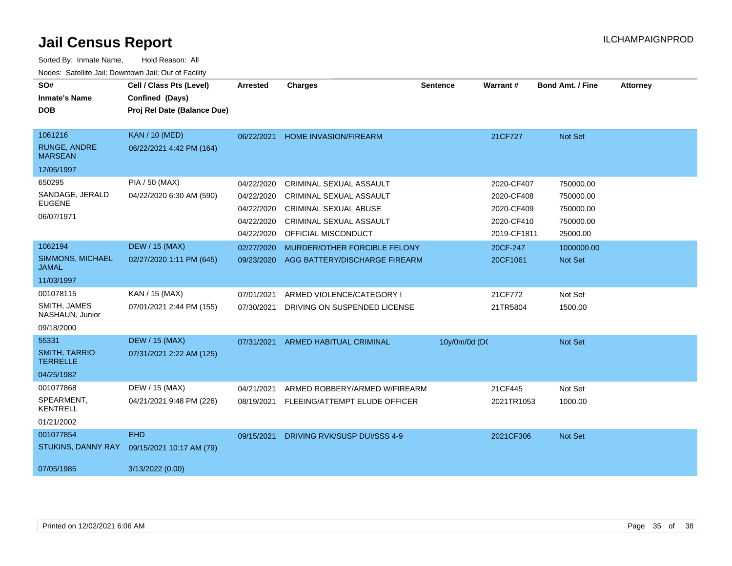| SO#<br><b>Inmate's Name</b><br><b>DOB</b>                              | Cell / Class Pts (Level)<br>Confined (Days)<br>Proj Rel Date (Balance Due) | <b>Arrested</b>                                      | <b>Charges</b>                                                                                                       | <b>Sentence</b> | Warrant#                                             | <b>Bond Amt. / Fine</b>                          | <b>Attorney</b> |
|------------------------------------------------------------------------|----------------------------------------------------------------------------|------------------------------------------------------|----------------------------------------------------------------------------------------------------------------------|-----------------|------------------------------------------------------|--------------------------------------------------|-----------------|
| 1061216<br><b>RUNGE, ANDRE</b><br><b>MARSEAN</b>                       | <b>KAN / 10 (MED)</b><br>06/22/2021 4:42 PM (164)                          | 06/22/2021                                           | <b>HOME INVASION/FIREARM</b>                                                                                         |                 | 21CF727                                              | Not Set                                          |                 |
| 12/05/1997<br>650295<br>SANDAGE, JERALD<br><b>EUGENE</b><br>06/07/1971 | PIA / 50 (MAX)<br>04/22/2020 6:30 AM (590)                                 | 04/22/2020<br>04/22/2020<br>04/22/2020<br>04/22/2020 | CRIMINAL SEXUAL ASSAULT<br><b>CRIMINAL SEXUAL ASSAULT</b><br><b>CRIMINAL SEXUAL ABUSE</b><br>CRIMINAL SEXUAL ASSAULT |                 | 2020-CF407<br>2020-CF408<br>2020-CF409<br>2020-CF410 | 750000.00<br>750000.00<br>750000.00<br>750000.00 |                 |
| 1062194<br>SIMMONS, MICHAEL<br><b>JAMAL</b><br>11/03/1997              | <b>DEW / 15 (MAX)</b><br>02/27/2020 1:11 PM (645)                          | 04/22/2020<br>02/27/2020<br>09/23/2020               | OFFICIAL MISCONDUCT<br>MURDER/OTHER FORCIBLE FELONY<br>AGG BATTERY/DISCHARGE FIREARM                                 |                 | 2019-CF1811<br>20CF-247<br>20CF1061                  | 25000.00<br>1000000.00<br>Not Set                |                 |
| 001078115<br>SMITH, JAMES<br>NASHAUN, Junior<br>09/18/2000             | KAN / 15 (MAX)<br>07/01/2021 2:44 PM (155)                                 | 07/01/2021<br>07/30/2021                             | ARMED VIOLENCE/CATEGORY I<br>DRIVING ON SUSPENDED LICENSE                                                            |                 | 21CF772<br>21TR5804                                  | Not Set<br>1500.00                               |                 |
| 55331<br><b>SMITH, TARRIO</b><br><b>TERRELLE</b><br>04/25/1982         | <b>DEW / 15 (MAX)</b><br>07/31/2021 2:22 AM (125)                          | 07/31/2021                                           | <b>ARMED HABITUAL CRIMINAL</b>                                                                                       | 10y/0m/0d (DC   |                                                      | Not Set                                          |                 |
| 001077868<br>SPEARMENT.<br><b>KENTRELL</b><br>01/21/2002               | DEW / 15 (MAX)<br>04/21/2021 9:48 PM (226)                                 | 04/21/2021<br>08/19/2021                             | ARMED ROBBERY/ARMED W/FIREARM<br>FLEEING/ATTEMPT ELUDE OFFICER                                                       |                 | 21CF445<br>2021TR1053                                | Not Set<br>1000.00                               |                 |
| 001077854<br>STUKINS, DANNY RAY<br>07/05/1985                          | <b>EHD</b><br>09/15/2021 10:17 AM (79)<br>3/13/2022 (0.00)                 | 09/15/2021                                           | DRIVING RVK/SUSP DUI/SSS 4-9                                                                                         |                 | 2021CF306                                            | <b>Not Set</b>                                   |                 |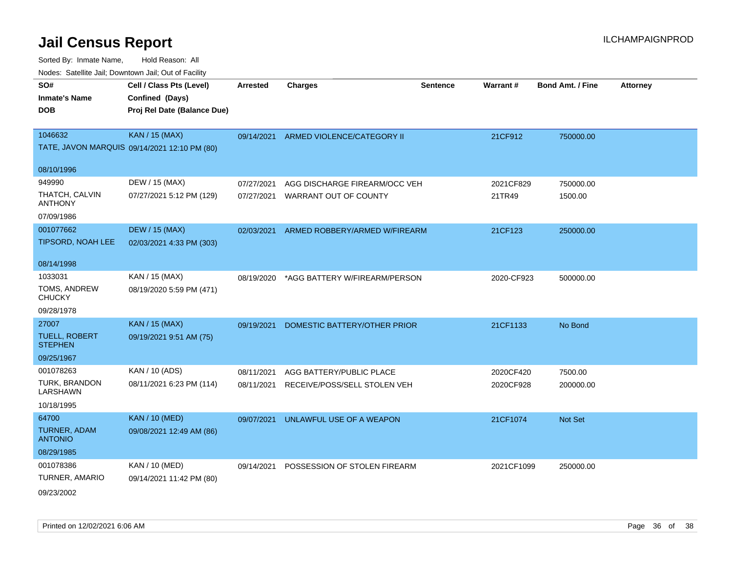| SO#                                    | Cell / Class Pts (Level)                     | <b>Arrested</b> | <b>Charges</b>                        | <b>Sentence</b> | Warrant#   | <b>Bond Amt. / Fine</b> | <b>Attorney</b> |
|----------------------------------------|----------------------------------------------|-----------------|---------------------------------------|-----------------|------------|-------------------------|-----------------|
| <b>Inmate's Name</b>                   | Confined (Days)                              |                 |                                       |                 |            |                         |                 |
| <b>DOB</b>                             | Proj Rel Date (Balance Due)                  |                 |                                       |                 |            |                         |                 |
|                                        |                                              |                 |                                       |                 |            |                         |                 |
| 1046632                                | <b>KAN / 15 (MAX)</b>                        |                 | 09/14/2021 ARMED VIOLENCE/CATEGORY II |                 | 21CF912    | 750000.00               |                 |
|                                        | TATE, JAVON MARQUIS 09/14/2021 12:10 PM (80) |                 |                                       |                 |            |                         |                 |
| 08/10/1996                             |                                              |                 |                                       |                 |            |                         |                 |
| 949990                                 | DEW / 15 (MAX)                               | 07/27/2021      | AGG DISCHARGE FIREARM/OCC VEH         |                 | 2021CF829  | 750000.00               |                 |
| THATCH, CALVIN<br>ANTHONY              | 07/27/2021 5:12 PM (129)                     | 07/27/2021      | WARRANT OUT OF COUNTY                 |                 | 21TR49     | 1500.00                 |                 |
| 07/09/1986                             |                                              |                 |                                       |                 |            |                         |                 |
| 001077662                              | <b>DEW / 15 (MAX)</b>                        | 02/03/2021      | ARMED ROBBERY/ARMED W/FIREARM         |                 | 21CF123    | 250000.00               |                 |
| <b>TIPSORD, NOAH LEE</b>               | 02/03/2021 4:33 PM (303)                     |                 |                                       |                 |            |                         |                 |
| 08/14/1998                             |                                              |                 |                                       |                 |            |                         |                 |
| 1033031                                | KAN / 15 (MAX)                               | 08/19/2020      | *AGG BATTERY W/FIREARM/PERSON         |                 | 2020-CF923 | 500000.00               |                 |
| TOMS, ANDREW<br><b>CHUCKY</b>          | 08/19/2020 5:59 PM (471)                     |                 |                                       |                 |            |                         |                 |
| 09/28/1978                             |                                              |                 |                                       |                 |            |                         |                 |
| 27007                                  | <b>KAN / 15 (MAX)</b>                        | 09/19/2021      | DOMESTIC BATTERY/OTHER PRIOR          |                 | 21CF1133   | No Bond                 |                 |
| <b>TUELL, ROBERT</b><br><b>STEPHEN</b> | 09/19/2021 9:51 AM (75)                      |                 |                                       |                 |            |                         |                 |
| 09/25/1967                             |                                              |                 |                                       |                 |            |                         |                 |
| 001078263                              | KAN / 10 (ADS)                               | 08/11/2021      | AGG BATTERY/PUBLIC PLACE              |                 | 2020CF420  | 7500.00                 |                 |
| TURK, BRANDON<br>LARSHAWN              | 08/11/2021 6:23 PM (114)                     | 08/11/2021      | RECEIVE/POSS/SELL STOLEN VEH          |                 | 2020CF928  | 200000.00               |                 |
| 10/18/1995                             |                                              |                 |                                       |                 |            |                         |                 |
| 64700                                  | <b>KAN / 10 (MED)</b>                        | 09/07/2021      | UNLAWFUL USE OF A WEAPON              |                 | 21CF1074   | <b>Not Set</b>          |                 |
| TURNER, ADAM<br><b>ANTONIO</b>         | 09/08/2021 12:49 AM (86)                     |                 |                                       |                 |            |                         |                 |
| 08/29/1985                             |                                              |                 |                                       |                 |            |                         |                 |
| 001078386                              | <b>KAN / 10 (MED)</b>                        | 09/14/2021      | POSSESSION OF STOLEN FIREARM          |                 | 2021CF1099 | 250000.00               |                 |
| TURNER, AMARIO                         | 09/14/2021 11:42 PM (80)                     |                 |                                       |                 |            |                         |                 |
| 09/23/2002                             |                                              |                 |                                       |                 |            |                         |                 |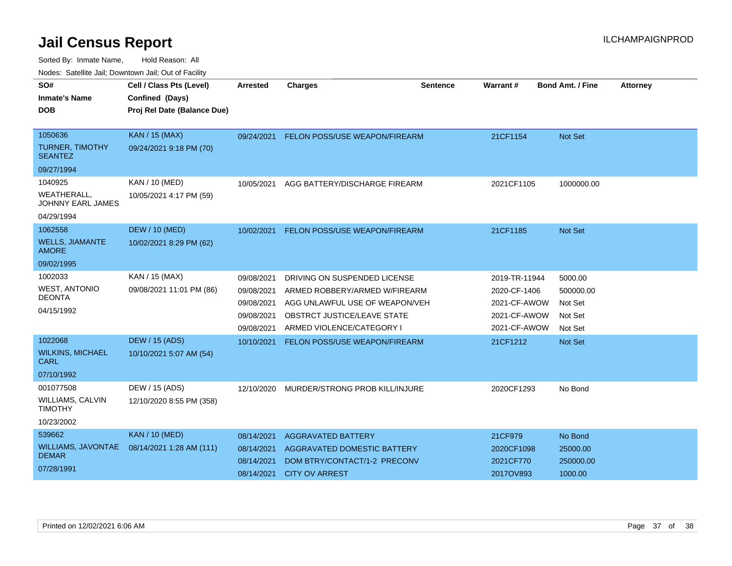Sorted By: Inmate Name, Hold Reason: All

Nodes: Satellite Jail; Downtown Jail; Out of Facility

| SO#<br><b>Inmate's Name</b><br><b>DOB</b>                               | Cell / Class Pts (Level)<br>Confined (Days)<br>Proj Rel Date (Balance Due) | <b>Arrested</b>                                      | <b>Charges</b>                                                                                                    | <b>Sentence</b> | <b>Warrant#</b>                                 | <b>Bond Amt. / Fine</b>                     | <b>Attorney</b> |
|-------------------------------------------------------------------------|----------------------------------------------------------------------------|------------------------------------------------------|-------------------------------------------------------------------------------------------------------------------|-----------------|-------------------------------------------------|---------------------------------------------|-----------------|
| 1050636<br>TURNER, TIMOTHY<br><b>SEANTEZ</b>                            | <b>KAN / 15 (MAX)</b><br>09/24/2021 9:18 PM (70)                           | 09/24/2021                                           | FELON POSS/USE WEAPON/FIREARM                                                                                     |                 | 21CF1154                                        | Not Set                                     |                 |
| 09/27/1994                                                              |                                                                            |                                                      |                                                                                                                   |                 |                                                 |                                             |                 |
| 1040925<br><b>WEATHERALL,</b><br><b>JOHNNY EARL JAMES</b><br>04/29/1994 | KAN / 10 (MED)<br>10/05/2021 4:17 PM (59)                                  | 10/05/2021                                           | AGG BATTERY/DISCHARGE FIREARM                                                                                     |                 | 2021CF1105                                      | 1000000.00                                  |                 |
| 1062558                                                                 | <b>DEW / 10 (MED)</b>                                                      | 10/02/2021                                           | FELON POSS/USE WEAPON/FIREARM                                                                                     |                 | 21CF1185                                        | <b>Not Set</b>                              |                 |
| <b>WELLS, JIAMANTE</b><br><b>AMORE</b>                                  | 10/02/2021 8:29 PM (62)                                                    |                                                      |                                                                                                                   |                 |                                                 |                                             |                 |
| 09/02/1995                                                              |                                                                            |                                                      |                                                                                                                   |                 |                                                 |                                             |                 |
| 1002033                                                                 | KAN / 15 (MAX)                                                             | 09/08/2021                                           | DRIVING ON SUSPENDED LICENSE                                                                                      |                 | 2019-TR-11944                                   | 5000.00                                     |                 |
| <b>WEST, ANTONIO</b>                                                    | 09/08/2021 11:01 PM (86)                                                   | 09/08/2021                                           | ARMED ROBBERY/ARMED W/FIREARM                                                                                     |                 | 2020-CF-1406                                    | 500000.00                                   |                 |
| <b>DEONTA</b>                                                           |                                                                            | 09/08/2021                                           | AGG UNLAWFUL USE OF WEAPON/VEH                                                                                    |                 | 2021-CF-AWOW                                    | Not Set                                     |                 |
| 04/15/1992                                                              |                                                                            | 09/08/2021                                           | OBSTRCT JUSTICE/LEAVE STATE                                                                                       |                 | 2021-CF-AWOW                                    | Not Set                                     |                 |
|                                                                         |                                                                            | 09/08/2021                                           | ARMED VIOLENCE/CATEGORY I                                                                                         |                 | 2021-CF-AWOW                                    | Not Set                                     |                 |
| 1022068<br><b>WILKINS, MICHAEL</b><br>CARL<br>07/10/1992                | <b>DEW / 15 (ADS)</b><br>10/10/2021 5:07 AM (54)                           | 10/10/2021                                           | FELON POSS/USE WEAPON/FIREARM                                                                                     |                 | 21CF1212                                        | Not Set                                     |                 |
| 001077508<br><b>WILLIAMS, CALVIN</b><br><b>TIMOTHY</b><br>10/23/2002    | DEW / 15 (ADS)<br>12/10/2020 8:55 PM (358)                                 | 12/10/2020                                           | MURDER/STRONG PROB KILL/INJURE                                                                                    |                 | 2020CF1293                                      | No Bond                                     |                 |
| 539662<br><b>WILLIAMS, JAVONTAE</b><br><b>DEMAR</b><br>07/28/1991       | <b>KAN / 10 (MED)</b><br>08/14/2021 1:28 AM (111)                          | 08/14/2021<br>08/14/2021<br>08/14/2021<br>08/14/2021 | <b>AGGRAVATED BATTERY</b><br>AGGRAVATED DOMESTIC BATTERY<br>DOM BTRY/CONTACT/1-2 PRECONV<br><b>CITY OV ARREST</b> |                 | 21CF979<br>2020CF1098<br>2021CF770<br>2017OV893 | No Bond<br>25000.00<br>250000.00<br>1000.00 |                 |